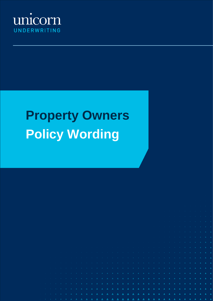

# **Property Owners Policy Wording**

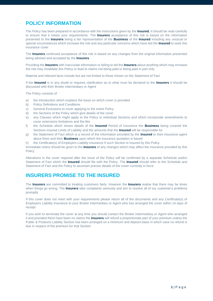# **POLICY INFORMATION**

The Policy has been prepared in accordance with the instructions given by the **Insured.** It should be read carefully to ensure that it meets your requirements. The **Insurers** acceptance of this risk is based on the information presented to the **Insurers** being a fair representation of the **Business** of the **Insured** including any unusual or special circumstances which increase the risk and any particular concerns which have led the **Insured** to seek this insurance cover

The **Insurers** continued acceptance of this risk is based on any changes from the original information presented being advised and accepted by the **Insurers**

Providing the **Insurers** with inaccurate information or failing to tell the **Insurers** about anything which may increase the risk may invalidate this Policy or lead to claims not being paid or being paid in part only

Material and relevant facts include but are not limited to those shown on the Statement of Fact

If the **Insured** is in any doubt or requires clarification as to what must be declared to the **Insurers** it should be discussed with their Broker Intermediary or Agent

The Policy consists of

- a) the introduction which explains the basis on which cover is provided
- b) Policy Definitions and Conditions
- c) General Exclusions to cover applying to the entire Policy
- d) the Sections of the Policy which give details of the cover
- e) any Clauses which might apply to the Policy or individual Sections and which incorporate amendments to cover extensions limitations and the like
- f) the Schedule which shows details of the **Insured** Period of Insurance the **Business** being covered the Sections insured Limits of Liability and the amounts that the **Insured** will be responsible for
- g) the Statement of Fact which is a record of the information provided by the **Insured** to their insurance agent about them and their **Business** upon which the insurance quotation is based
- h) the Certificate(s) of Employers Liability Insurance if such Section is insured by this Policy

Immediate notice should be given to the **Insurers** of any changes which may affect the insurance provided by this Policy

Alterations in the cover required after the issue of the Policy will be confirmed by a separate Schedule and/or Statement of Fact which the **Insured** should file with the Policy. The **Insured** should refer to the Schedule and Statement of Fact and the Policy to ascertain precise details of the cover currently in force

# **INSURERS PROMISE TO THE INSURED**

The **Insurers** are committed to treating customers fairly. However the **Insurers** realise that there may be times when things go wrong. The **Insurers** take complaints seriously and aim to resolve all of our customer's problems promptly

If this cover does not meet with your requirements please return all of the documents and any Certificate(s) of Employers Liability Insurance to your Broker Intermediary or Agent who has arranged the cover within 14 days of receipt

If you wish to terminate the cover at any time you should contact the Broker Intermediary or Agent who arranged it and provided there have been no claims the **Insurers** will refund a proportionate part of your premium unless the Public & Products Liability Section has been arranged on a minimum and deposit basis in which case no refund is due in respect of the premium for that Section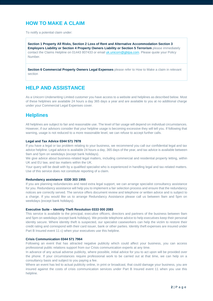# **HOW TO MAKE A CLAIM**

To notify a potential claim under:

**Section 1 Property All Risks, Section 2 Loss of Rent and Alternative Accommodation Section 3 Employers Liability or Section 4 Property Owners Liability or Section 5 Terrorism** please immediately contact the Claims Helpline on 01443 807433 or email *uk.unicorn@gbtpa.com*. Please quote your Policy Number.

**Section 6 Commercial Property Owners Legal Expenses** please refer to How to Make a claim in relevant section

# **HELP AND ASSISTANCE**

As a Unicorn Underwriting Limited customer you have access to a website and helplines as described below. Most of these helplines are available 24 hours a day 365 days a year and are available to you at no additional charge under your Commercial Legal Expenses cover.

### **Helplines**

All helplines are subject to fair and reasonable use. The level of fair usage will depend on individual circumstances. However, if our advisors consider that your helpline usage is becoming excessive they will tell you. If following that warning, usage is not reduced to a more reasonable level, we can refuse to accept further calls.

### **Legal and Tax Advice 0344 571 7978**

If you have a legal or tax problem relating to your business, we recommend you call our confidential legal and tax advice helpline. Legal advice is available 24 hours a day, 365 days of the year, and tax advice is available between 9am and 5pm on weekdays (except bank holidays).

We give advice about business-related legal matters, including commercial and residential property letting, within UK and EU law, and tax matters within the UK.

Your query will be dealt with by a qualified specialist who is experienced in handling legal and tax-related matters. Use of this service does not constitute reporting of a claim.

### **Redundancy assistance 0330 303 1955**

If you are planning redundancies and need extra legal support, we can arrange specialist consultancy assistance for you. Redundancy assistance will help you to implement a fair selection process and ensure that the redundancy notices are correctly served. The service offers document review and telephone or written advice and is subject to a charge. If you would like us to arrange Redundancy Assistance please call us between 9am and 5pm on weekdays (except bank holidays).

### **Executive Suite – Identity Theft Resolution 0333 000 2083**

This service is available to the principal, executive officers, directors and partners of the business between 9am and 5pm on weekdays (except bank holidays). We provide telephone advice to help executives keep their personal identity secure. Where identity theft is suspected, our specialist caseworkers can help the victim to restore their credit rating and correspond with their card issuer, bank or other parties. Identity theft expenses are insured under Part B Insured event 11 c) when your executives use this helpline.

### **Crisis Communication 0344 571 7964**

Following an event that has attracted negative publicity which could affect your business, you can access professional public relations support from our Crisis communication experts at any time.

In advance of any actual adverse publicity, where possible, initial advice for you to act upon will be provided over the phone. If your circumstances require professional work to be carried out at that time, we can help on a consultancy basis and subject to you paying a fee.

Where an event has led to actual publicity online, in print or broadcast, that could damage your business, you are insured against the costs of crisis communication services under Part B Insured event 11 when you use this helpline.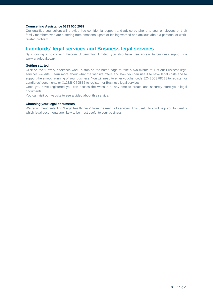### **Counselling Assistance 0333 000 2082**

Our qualified counsellors will provide free confidential support and advice by phone to your employees or their family members who are suffering from emotional upset or feeling worried and anxious about a personal or workrelated problem.

### **Landlords' legal services and Business legal services**

By choosing a policy with Unicorn Underwriting Limited, you also have free access to business support via [www.araglegal.co.uk](http://www.araglegal.co.uk/)

### **Getting started**

Click on the "How our services work" button on the home page to take a two-minute tour of our Business legal services website. Learn more about what the website offers and how you can use it to save legal costs and to support the smooth running of your business. You will need to enter voucher code EC426C378CB8 to register for Landlords' documents or X1232KC79BB5 to register for Business legal services.

Once you have registered you can access the website at any time to create and securely store your legal documents.

You can visit our website to see a video about this service.

### **Choosing your legal documents**

We recommend selecting "Legal healthcheck" from the menu of services. This useful tool will help you to identify which legal documents are likely to be most useful to your business.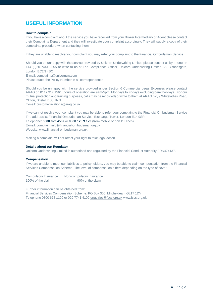# **USEFUL INFORMATION**

### **How to complain**

If you have a complaint about the service you have received from your Broker Intermediary or Agent please contact their Complaints Department and they will investigate your complaint accordingly. They will supply a copy of their complaints procedure when contacting them.

If they are unable to resolve your complaint you may refer your complaint to the Financial Ombudsman Service

Should you be unhappy with the service provided by Unicorn Underwriting Limited please contact us by phone on +44 (0)20 7444 9555 or write to us at The Compliance Officer, Unicorn Underwriting Limited, 22 Bishopsgate, London EC2N 4BQ

E-mail[: complaints@unicornuw.com](mailto:complaints@unicornuw.com)

Please quote the Policy Number in all correspondence

Should you be unhappy with the service provided under Section 6 Commercial Legal Expenses please contact ARAG on 0117 917 1561 (hours of operation are 9am-5pm, Mondays to Fridays excluding bank holidays. For our mutual protection and training purposes, calls may be recorded) or write to them at ARAG plc, 9 Whiteladies Road, Clifton, Bristol, BS8 1NN.

E-mail[: customerrelations@arag.co.uk](mailto:customerrelations@arag.co.uk)

If we cannot resolve your complaint you may be able to refer your complaint to the Financial Ombudsman Service The address is: Financial Ombudsman Service, Exchange Tower, London E14 9SR Telephone: **0800 023 4567** or **0300 123 9 123** (from mobile or non BT lines)

E-mail[: complaint.info@financial-ombudsman.org.uk](mailto:complaint.info@financial-ombudsman.org.uk) Website[: www.financial-ombudsman.org.uk](http://www.financial-ombudsman.org.uk/)

Making a complaint will not affect your right to take legal action

### **Details about our Regulator**

Unicorn Underwriting Limited is authorised and regulated by the Financial Conduct Authority FRN474137.

### **Compensation**

If we are unable to meet our liabilities to policyholders, you may be able to claim compensation from the Financial Services Compensation Scheme. The level of compensation differs depending on the type of cover:

Compulsory Insurance Non-compulsory Insurance 100% of the claim 90% of the claim

Further information can be obtained from:

Financial Services Compensation Scheme, PO Box 300, Mitcheldean, GL17 1DY Telephone 0800 678 1100 or 020 7741 410[0 enquiries@fscs.org.uk](mailto:enquiries@fscs.org.uk) www.fscs.org.uk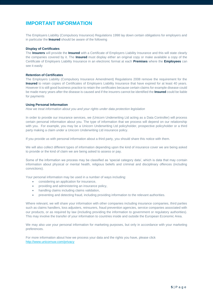# **IMPORTANT INFORMATION**

The Employers Liability (Compulsory Insurance) Regulations 1998 lay down certain obligations for employers and in particular the **Insured** should be aware of the following

### **Display of Certificates**

The **Insurers** will provide the **Insured** with a Certificate of Employers Liability Insurance and this will state clearly the companies covered by it. The **Insured** must display either an original copy or make available a copy of the Certificate of Employers Liability Insurance in an electronic format at each **Premises** where the **Employees** can see it easily

### **Retention of Certificates**

The Employers Liability (Compulsory Insurance Amendment) Regulations 2008 remove the requirement for the **Insured** to retain copies of Certificates of Employers Liability Insurance that have expired for at least 40 years. However it is still good business practice to retain the certificates because certain claims for example disease could be made many years after the disease is caused and if the insurers cannot be identified the **Insured** could be liable for payments

### **Using Personal Information**

*How we treat information about you and your rights under data protection legislation*

In order to provide our insurance services, we (Unicorn Underwriting Ltd acting as a Data Controller) will process certain personal information about you. The type of information that we process will depend on our relationship with you. For example, you may be a Unicorn Underwriting Ltd policyholder, prospective policyholder or a third party making a claim under a Unicorn Underwriting Ltd insurance policy.

If you provide us with personal information about a third party, you should share this notice with them.

We will also collect different types of information depending upon the kind of insurance cover we are being asked to provide or the kind of claim we are being asked to assess or pay.

Some of the information we process may be classified as 'special category data', which is data that may contain information about physical or mental health, religious beliefs and criminal and disciplinary offences (including convictions).

Your personal information may be used in a number of ways including:

- considering an application for insurance,
- providing and administering an insurance policy,
- handling claims including claims validation,
- preventing and detecting fraud, including providing information to the relevant authorities.

Where relevant, we will share your information with other companies including insurance companies, third parties such as claims handlers, loss adjusters, reinsurers, fraud prevention agencies, service companies associated with our products, or as required by law (including providing the information to government or regulatory authorities). This may involve the transfer of your information to countries inside and outside the European Economic Area.

We may also use your personal information for marketing purposes, but only in accordance with your marketing preferences.

For more information about how we process your data and the rights you have, please click <http://www.unicornuw.com/privacy>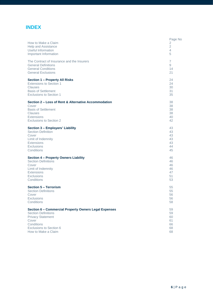# **INDEX**

| How to Make a Claim<br><b>Help and Assistance</b><br>Useful Information<br>Important Information | Page No<br>2<br>$\overline{2}$<br>$\overline{4}$<br>5 |
|--------------------------------------------------------------------------------------------------|-------------------------------------------------------|
| The Contract of Insurance and the Insurers                                                       | $\overline{7}$                                        |
| <b>General Definitions</b>                                                                       | 9                                                     |
| <b>General Conditions</b>                                                                        | 14                                                    |
| <b>General Exclusions</b>                                                                        | 21                                                    |
| Section 1 - Property All Risks                                                                   | 24                                                    |
| <b>Extensions to Section 1</b>                                                                   | 24                                                    |
| <b>Clauses</b>                                                                                   | 30                                                    |
| <b>Basis of Settlement</b>                                                                       | 31                                                    |
| <b>Exclusions to Section 1</b>                                                                   | 35                                                    |
| Section 2 – Loss of Rent & Alternative Accommodation                                             | 38                                                    |
| Cover                                                                                            | 38                                                    |
| <b>Basis of Settlement</b>                                                                       | 38                                                    |
| <b>Clauses</b>                                                                                   | 38                                                    |
| <b>Extensions</b>                                                                                | 40                                                    |
| <b>Exclusions to Section 2</b>                                                                   | 42                                                    |
| Section 3 - Employers' Liability                                                                 | 43                                                    |
| <b>Section Definition</b>                                                                        | 43                                                    |
| Cover                                                                                            | 43                                                    |
| Limit of Indemnity                                                                               | 43                                                    |
| <b>Extensions</b>                                                                                | 43                                                    |
| <b>Exclusions</b>                                                                                | 44                                                    |
| Conditions                                                                                       | 45                                                    |
| <b>Section 4 - Property Owners Liability</b>                                                     | 46                                                    |
| <b>Section Definitions</b>                                                                       | 46                                                    |
| Cover                                                                                            | 46                                                    |
| Limit of Indemnity                                                                               | 46                                                    |
| <b>Extensions</b>                                                                                | 47                                                    |
| <b>Exclusions</b>                                                                                | 51                                                    |
| Conditions                                                                                       | 53                                                    |
| <b>Section 5 - Terrorism</b>                                                                     | 55                                                    |
| <b>Section Definitions</b>                                                                       | 55                                                    |
| Cover                                                                                            | 56                                                    |
| Exclusions                                                                                       | 56                                                    |
| Conditions                                                                                       | 58                                                    |
| Section 6 - Commercial Property Owners Legal Expenses                                            | 59                                                    |
| <b>Section Definitions</b>                                                                       | 59                                                    |
| <b>Privacy Statement</b>                                                                         | 60                                                    |
| Cover                                                                                            | 61                                                    |
| Conditions                                                                                       | 66                                                    |
| <b>Exclusions to Section 6</b>                                                                   | 68                                                    |
| How to Make a Claim                                                                              | 68                                                    |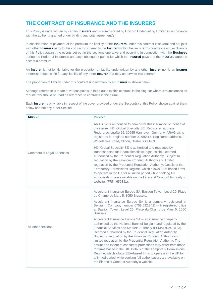# **THE CONTRACT OF INSURANCE AND THE INSURERS**

This Policy is underwritten by certain **Insurers** and is administered by Unicorn Underwriting Limited in accordance with the authority granted under binding authority agreement(s)

In consideration of payment of the premium the liability of the **Insurers** under this contract is several and not joint with other **Insurers** party to this contract to indemnify the **Insured** within the limits terms conditions and exclusions of this Policy against the events set out in the sections operative and occurring in connection with the **Business**  during the Period of Insurance and any subsequent period for which the **Insured** pays and the **Insurers** agree to accept a premium

An **Insurer** is not jointly liable for the proportion of liability underwritten by any other **Insurer** nor is an **Insurer** otherwise responsible for any liability of any other **Insurer** that may underwrite this contract

The proportion of liability under this contract underwritten by an **Insurer** is shown below

Although reference is made at various points in this clause to 'this contract' in the singular where circumstances so require this should be read as reference to contracts in the plural

Each **Insurer** is only liable in respect of the cover provided under the Section(s) of this Policy shown against them below and not any other Section

| <b>Section</b>                   | <b>Insurer</b>                                                                                                                                                                                                                                                                                                                                                                                                                                                                                                                                                                                                                                                                                                       |
|----------------------------------|----------------------------------------------------------------------------------------------------------------------------------------------------------------------------------------------------------------------------------------------------------------------------------------------------------------------------------------------------------------------------------------------------------------------------------------------------------------------------------------------------------------------------------------------------------------------------------------------------------------------------------------------------------------------------------------------------------------------|
|                                  | ARAG plc is authorised to administer this insurance on behalf of<br>the insurer HDI Global Specialty SE. Registered address:<br>Roderbruchstraße 26, 30655 Hannover, Germany. ARAG plc is<br>registered in England number 02585818. Registered address: 9<br>Whiteladies Road, Clifton, Bristol BS8 1NN.                                                                                                                                                                                                                                                                                                                                                                                                             |
| <b>Commercial Legal Expenses</b> | HDI Global Specialty SE is authorised and regulated by<br>Bundesanstalt für Finanzdienstleistungsaufsicht. Deemed<br>authorised by the Prudential Regulation Authority. Subject to<br>regulation by the Financial Conduct Authority and limited<br>regulation by the Prudential Regulation Authority. Details of the<br>Temporary Permissions Regime, which allows EEA-based firms<br>to operate in the UK for a limited period while seeking full<br>authorisation, are available on the Financial Conduct Authority's<br>website. (FRN: 659331).                                                                                                                                                                   |
|                                  | Accelerant Insurance Europe SA, Bastion Tower, Level 20, Place<br>du Champ de Mars 5, 1050 Brussels.                                                                                                                                                                                                                                                                                                                                                                                                                                                                                                                                                                                                                 |
|                                  | Accelerant Insurance Europe SA is a company registered in<br>Belgium (Company number 0758.632.842) with registered office<br>at Bastion Tower, Level 20, Place du Champ de Mars 5, 1050<br><b>Brussels</b>                                                                                                                                                                                                                                                                                                                                                                                                                                                                                                           |
| All other sections               | Accelerant Insurance Europe SA is an insurance company<br>authorised by the National Bank of Belgium and regulated by the<br>Financial Services and Markets Authority (FSMA) (Ref. 3193).<br>Deemed authorised by the Prudential Regulation Authority.<br>Subject to regulation by the Financial Conduct Authority and<br>limited regulation by the Prudential Regulation Authority. The<br>nature and extent of consumer protections may differ from those<br>for firms based in the UK. Details of the Temporary Permissions<br>Regime, which allows EEA-based firms to operate in the UK for<br>a limited period while seeking full authorisation, are available on<br>the Financial Conduct Authority's website. |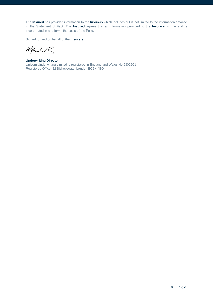The **Insured** has provided information to the **Insurers** which includes but is not limited to the information detailed in the Statement of Fact. The **Insured** agrees that all information provided to the **Insurers** is true and is incorporated in and forms the basis of the Policy

Signed for and on behalf of the **Insurers** 

Klfanh

**Underwriting Director** Unicorn Underwriting Limited is registered in England and Wales No 6302201 Registered Office: 22 Bishopsgate, London EC2N 4BQ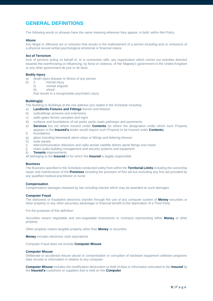# **GENERAL DEFINITIONS**

The following words or phrases have the same meaning wherever they appear, in bold, within this Policy.

### **Abuse**

Any illegal or offensive act or omission that results in the maltreatment of a person including acts or omissions of a physical sexual verbal psychological emotional or financial nature

### **Act of Terrorism**

Acts of persons acting on behalf of, or in connection with, any organisation which carries out activities directed towards the overthrowing or influencing, by force or violence, of Her Majesty's government in the United Kingdom or any other government de jure or de facto

### **Bodily Injury**

- a) death injury disease or illness of any person
- b) i) mental injury
	- ii) mental anguish
		- iii) shock

that results in a recognisable psychiatric injury

### **Building(s)**

The Building or Buildings at the risk address (es) stated in the Schedule including

- a) **Landlords Fixtures and Fittings** therein and thereon
- b) outbuildings annexes and extensions
- c) walls gates fences canopies and signs
- d) surfaces and foundations of car parks yards roads pathways and pavements
- e) **Services** but not where insured under **Contents** (or where the designation under which such Property appears in the **Insured's** books would require such Property to be insured under **Contents**)
- f) foundations
- g) glass including framework alarm strips or fittings and lettering thereon
- h) solar panels
- i) telecommunication television and radio aerials satellite dishes aerial fittings and masts
- j) video audio building management and security systems and equipment
- k) **Tenants** improvements

all belonging to the **Insured** or for which the **Insured** is legally responsible

### **Business**

The Business specified in the Schedule conducted solely from within the **Territorial Limits** including the ownership repair and maintenance of the **Premises** including the provision of first aid but excluding any first aid provided by any qualified medical practitioner or nurse

#### **Compensation**

Compensatory damages imposed by law including interest which may be awarded on such damages

#### **Computer Fraud**

The dishonest or fraudulent electronic transfer through the use of any computer system of **Money** securities or other property or any other pecuniary advantage or financial benefit to the deprivation of a Third Party

For the purposes of this definition

Securities means negotiable and non-negotiable instruments or contracts representing either **Money** or other property

Other property means tangible property other than **Money** or securities

**Money** includes electronic cash equivalents

Computer Fraud does not include **Computer Misuse**

### **Computer Misuse**

Deliberate or accidental misuse abuse or contamination or corruption of hardware equipment software programs data records or information in relation to any computer

**Computer Misuse** includes the modification destruction or theft of data or information entrusted to the **Insured** by the **Insured's** customers or suppliers that is held on the **Computer**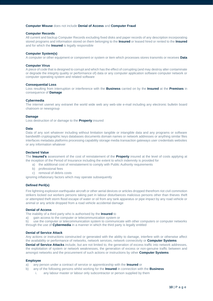### **Computer Misuse** does not include **Denial of Access** and **Computer Fraud**

### **Computer Records**

All current and backup Computer Records excluding fixed disks and paper records of any description incorporating stored programs and information stored on them belonging to the **Insured** or leased hired or rented to the **Insured** and for which the **Insured** is legally responsible

### **Computer System(s)**

A computer or other equipment or component or system or item which processes stores transmits or receives **Data**

#### **Computer Virus**

A piece of code that is designed to corrupt and which has the effect of corrupting (and may destroy alter contaminate or degrade the integrity quality or performance of) data or any computer application software computer network or computer operating system and related software

### **Consequential Loss**

Loss resulting from interruption or interference with the **Business** carried on by the **Insured** at the **Premises** in consequence of **Damage**

### **Cybermedia**

The internet usenet any extranet the world wide web any web-site e-mail including any electronic bulletin board chatroom or newsgroup

### **Damage**

Loss destruction of or damage to the **Property** insured

#### **Data**

Data of any sort whatever including without limitation tangible or intangible data and any programs or software bandwidth cryptographic keys databases documents domain names or network addresses or anything similar files interfaces metadata platforms processing capability storage media transaction gateways user credentials websites or any information whatever

### **Declared Value**

The **Insured's** assessment of the cost of reinstatement of the **Property** insured at the level of costs applying at the inception of the Period of Insurance including the extent to which indemnity is provided for

- a) the additional cost of reinstatement to comply with Public Authority requirements
- b) professional fees
- c) removal of debris costs

ignoring inflationary factors which may operate subsequently

#### **Defined Peril(s)**

Fire lightning explosion earthquake aircraft or other aerial devices or articles dropped therefrom riot civil commotion strikers locked out workers persons taking part in labour disturbances malicious persons other than thieves theft or attempted theft storm flood escape of water or oil from any tank apparatus or pipe impact by any road vehicle or animal or any article dropped from a road vehicle accidental damage

### **Denial of Access**

The inability of a third party who is authorised by the **Insured** to

a) gain access to the computer or telecommunication system or

b) use the computer or telecommunication system to communicate with other computers or computer networks through the use of **Cybermedia** in a manner in which the third party is legally entitled

#### **Denial of Service Attack**

Any actions or instructions constructed or generated with the ability to damage, interfere with or otherwise affect the availability or performance of networks, network services, network connectivity or **Computer Systems**

**Denial of Service Attacks** include, but are not limited to, the generation of excess traffic into network addresses, the exploitation of system or network weaknesses, the generation of excess or non-genuine traffic between and amongst networks and the procurement of such actions or instructions by other **Computer Systems**

### **Employee**

- a) any person under a contract of service or apprenticeship with the **Insured** or
- b) any of the following persons whilst working for the **Insured** in connection with the **Business**
	- i. any labour master or labour only subcontractor or person supplied by them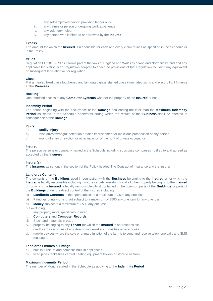- ii. any self-employed person providing labour only
- iii. any trainee or person undergoing work experience
- iv. any voluntary helper
- v. any person who is hired to or borrowed by the **Insured**

### **Excess**

The amount for which the **Insured** is responsible for each and every claim or loss as specified in the Schedule or in the Policy

### **GDPR**

Regulation EU 2016/679 as it forms part of the laws of England and Wales Scotland and Northern Ireland and any applicable legislation act or regulation adopted to enact the provisions of that Regulation including any equivalent or subsequent legislation act or regulation

### **Glass**

Flat annealed fixed glass toughened and laminated glass stained glass illuminated signs and electric light fitments at the **Premises**

### **Hacking**

Unauthorised access to any **Computer Systems** whether the property of the **Insured** or not

### **Indemnity Period**

The period beginning with the occurrence of the **Damage** and ending not later than the **Maximum Indemnity Period** as stated in the Schedule afterwards during which the results of the **Business** shall be affected in consequence of the **Damage**

### **Injury**

### a) **Bodily Injury**

- b) false arrest wrongful detention or false imprisonment or malicious prosecution of any person
- c) wrongful entry or eviction or other invasion of the right of private occupancy

### **Insured**

The person persons or company named in the Schedule including subsidiary companies notified to and agreed as accepted by the **Insurers**

### **Insurer(s)**

The **Insurers** as set out in the section of the Policy headed The Contract of Insurance and the Insurer

### **Landlords Contents**

The contents of the **Buildings** used in connection with the **Business** belonging to the **Insured** or for which the **Insured** is legally responsible including furniture carpets furnishings and all other property belonging to the **Insured** or for which the **Insured** is legally responsible whilst contained in the common parts of the **Buildings** or parts of the **Buildings** under the direct control of the Insured including

- a) **Landlords Contents** in the open subject to a maximum of £500 any one loss
- b) Paintings prints works of art subject to a maximum of £500 any one item for any one loss
- c) **Money** subject to a maximum of £500 any one loss

but excluding

- i. any property more specifically insured
- ii. **Computers** and **Computer Records**
- iii. Stock and materials in trade
- iv. property belonging to any **Tenant** for which the **Insured** is not responsible
- v. credit cards securities of any description jewellery curiosities or rare books
- vi. mobile devices where the sole or primary function of the item is to send and receive telephone calls and SMS messages

### **Landlords Fixtures & Fittings**

- a) built in furniture and domestic built-in appliances
- b) fixed pipes tanks fires central heating equipment boilers or storage heaters

### **Maximum Indemnity Period**

The number of Months stated in the Schedule as applying to the **Indemnity Period**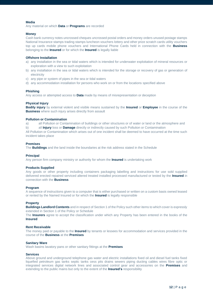### **Media**

Any material on which **Data** or **Programs** are recorded

### **Money**

Cash bank currency notes uncrossed cheques uncrossed postal orders and money orders unused postage stamps National Insurance stamps trading stamps luncheon vouchers lottery and other prize scratch cards utility vouchers top up cards mobile phone vouchers and International Phone Cards held in connection with the **Business** belonging to the **Insured** or for which the **Insured** is legally liable

#### **Offshore Installation**

- a) any installation in the sea or tidal waters which is intended for underwater exploitation of mineral resources or exploration with a view to such exploitation
- b) any installation in the sea or tidal waters which is intended for the storage or recovery of gas or generation of electricity
- c) any pipe or system of pipes in the sea or tidal waters
- d) any accommodation installation for persons who work on or from the locations specified above

### **Phishing**

Any access or attempted access to **Data** made by means of misrepresentation or deception

### **Physical Injury**

**Bodily injury** by external violent and visible means sustained by the **Insured** or **Employee** in the course of the **Business** where such injury arises directly from assault

#### **Pollution or Contamination**

a) all Pollution or Contamination of buildings or other structures or of water or land or the atmosphere and

b) all **Injury** loss or **Damage** directly or indirectly caused by such Pollution or Contamination

All Pollution or Contamination which arises out of one incident shall be deemed to have occurred at the time such incident takes place

### **Premises**

The **Buildings** and the land inside the boundaries at the risk address stated in the Schedule

### **Principal**

Any person firm company ministry or authority for whom the **Insured** is undertaking work

#### **Products Supplied**

Any goods or other property including containers packaging labelling and instructions for use sold supplied delivered erected repaired serviced altered treated installed processed manufactured or tested by the **Insured** in connection with the **Business**

#### **Program**

A sequence of instructions given to a computer that is either purchased or written on a custom basis owned leased or rented by the Named Insured or for which the **Insured** is legally responsible

### **Property**

**Buildings Landlord Contents** and in respect of Section 1 of the Policy such other items to which cover is expressly extended in Section 1 of the Policy or Schedule

The **Insurers** agree to accept the classification under which any Property has been entered in the books of the **Insured**

### **Rent Receivable**

The money paid or payable to the **Insured** by tenants or lessees for accommodation and services provided in the course of the **Business** at the **Premises**

### **Sanitary Ware**

Wash basins lavatory pans or other sanitary fittings at the **Premises**

#### **Services**

Above ground and underground telephone gas water and electric installations fixed oil and diesel fuel tanks fixed liquefied petroleum gas tanks septic tanks cess pits drains sewers piping ducting cables wires fibre optic or integrated services digital network lines and associated control gear and accessories on the **Premises** and extending to the public mains but only to the extent of the **Insured's** responsibility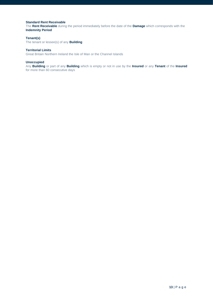### **Standard Rent Receivable**

The **Rent Receivable** during the period immediately before the date of the **Damage** which corresponds with the **Indemnity Period**

### **Tenant(s)**

The tenant or lessee(s) of any **Building**

### **Territorial Limits**

Great Britain Northern Ireland the Isle of Man or the Channel Islands

### **Unoccupied**

Any **Building** or part of any **Building** which is empty or not in use by the **Insured** or any **Tenant** of the **Insured**  for more than 60 consecutive days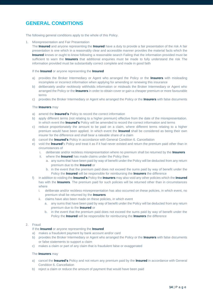# **GENERAL CONDITIONS**

The following general conditions apply to the whole of this Policy.

1. Misrepresentation and Fair Presentation

The **Insured** and anyone representing the **Insured** have a duty to provide a fair presentation of the risk A fair presentation is one which in a reasonably clear and accessible manner provides the material facts which the **Insured** knows or ought to know following a reasonable search Failing that the information provided must be sufficient to warn the **Insurers** that additional enquiries must be made to fully understand the risk The information provided must be substantially correct complete and made in good faith

### If the **Insured** or anyone representing the **Insured**

- a) provides the Broker Intermediary or Agent who arranged the Policy or the **Insurers** with misleading incomplete or incorrect information when applying for amending or renewing this insurance
- b) deliberately and/or recklessly withholds information or misleads the Broker Intermediary or Agent who arranged the Policy or the **Insurers** in order to obtain cover or gain a cheaper premium or more favourable terms
- c) provides the Broker Intermediary or Agent who arranged the Policy or the **Insurers** with false documents

### The **Insurers** may

- a) amend the **Insured's** Policy to record the correct information
- b) apply different terms (not relating to a higher premium) effective from the date of the misrepresentation. In which event the **Insured's** Policy will be amended to record the correct information and terms
- c) reduce proportionately the amount to be paid on a claim, where different terms relating to a higher premium would have been applied. In which event the **Insured** shall be considered as being their own insurer for the difference and shall bear a rateable share of a claim
- d) cancel the **Insured's** Policy in accordance with General Condition 6. Cancellation
- e) void the **Insured'**s Policy and treat it as if it had never existed and return the premium paid other than in circumstances of
	- i. deliberate and/or reckless misrepresentation where no premium shall be returned by the **Insurers**
	- ii. where the **Insured** has made claims under the Policy then
		- a. any sums that have been paid by way of benefit under the Policy will be deducted from any return premium due to the **Insured** or
		- b. in the event that the premium paid does not exceed the sums paid by way of benefit under the Policy the **Insured** will be responsible for reimbursing the **Insurers** the difference
- f) in addition to voiding the **Insured's** Policy the **Insurers** may also void any other policies which the **Insured** has with the **Insurers**. The premium paid for such policies will be returned other than in circumstances where
	- i. deliberate and/or reckless misrepresentation has also occurred on these policies, in which event, no premium shall be returned by the **Insurers**
	- ii. claims have also been made on these policies, in which event
		- a. any sums that have been paid by way of benefit under the Policy will be deducted from any return premium due to the **Insured** or
		- b. in the event that the premium paid does not exceed the sums paid by way of benefit under the Policy the **Insured** will be responsible for reimbursing the **Insurers** the difference

### 2. Fraud

### If the **Insured** or anyone representing the **Insured**

- a) makes a fraudulent payment by bank account and/or card
- b) provides the Broker Intermediary or Agent who arranged the Policy or the **Insurers** with false documents or false statements to support a claim
- c) makes a claim or part of any claim that is fraudulent false or exaggerated

#### The **Insurers** may

- a) cancel the **Insured's** Policy and not return any premium paid by the **Insured** in accordance with General Condition 6. Cancellation
- b) reject a claim or reduce the amount of payment that would have been paid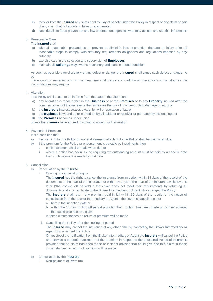- c) recover from the **Insured** any sums paid by way of benefit under the Policy in respect of any claim or part of any claim that is fraudulent, false or exaggerated
- d) pass details to fraud prevention and law enforcement agencies who may access and use this information

### 3. Reasonable Care

### The **Insured** shall

- a) take all reasonable precautions to prevent or diminish loss destruction damage or injury take all reasonable steps to comply with statutory requirements obligations and regulations imposed by any authority
- b) exercise care in the selection and supervision of **Employees**
- c) maintain all **Buildings** ways works machinery and plant in sound condition

As soon as possible after discovery of any defect or danger the **Insured** shall cause such defect or danger to be

made good or remedied and in the meantime shall cause such additional precautions to be taken as the circumstances may require

### 4. Alteration

This Policy shall cease to be in force from the date of the alteration if

- a) any alteration is made either in the **Business** or at the **Premises** or to any **Property** insured after the commencement of the insurance that increases the risk of loss destruction damage or injury or
- b) the **Insured's** interest ceases except by will or operation of law or
- c) the **Business** is wound up or carried on by a liquidator or receiver or permanently discontinued or
- d) the **Premises** becomes unoccupied

unless the **Insurers** have agreed in writing to accept such alteration

### 5. Payment of Premium

It is a condition that

- a) the premium for the Policy or any endorsement attaching to the Policy shall be paid when due
- b) if the premium for the Policy or endorsement is payable by instalments then
	- i. each instalment shall be paid when due or
		- ii. where a notice has been issued requiring the outstanding amount must be paid by a specific date then such payment is made by that date

### 6. Cancellation

- a) Cancellation by the **Insured**
	- i. Cooling off cancellation rights

The **Insured** has the right to cancel the insurance from inception within 14 days of the receipt of the documents at the start of the insurance or within 14 days of the start of the insurance whichever is later ("the cooling off period") if the cover does not meet their requirements by returning all documents and any certificate to the Broker Intermediary or Agent who arranged the Policy

The **Insurers** shall return any premium paid in full within 30 days of the receipt of the notice of cancellation from the Broker Intermediary or Agent if the cover is cancelled either

- a. before the inception date or
- b. within the 14 day cooling off period provided that no claim has been made or incident advised that could give rise to a claim

in these circumstances no return of premium will be made

ii. Cancelling the Policy after the cooling off period

The **Insured** may cancel the insurance at any other time by contacting the Broker Intermediary or Agent who arranged the Policy

On receipt of the notification from the Broker Intermediary or Agent the **Insurers** will cancel the Policy and provide a proportionate return of the premium in respect of the unexpired Period of Insurance provided that no claim has been made or incident advised that could give rise to a claim in these circumstances no return of premium will be made

### b) Cancellation by the **Insurers**

i. Non-payment of Premium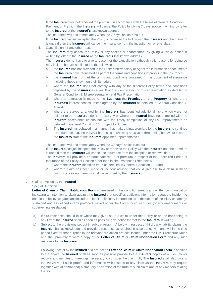If the **Insurers** have not received the premium in accordance with the terms of General Condition 5. Payment of Premium the **Insurers** will cancel the Policy by giving 7 days' notice in writing by letter to the **Insured** at the **Insured's** last known address

The insurance will end immediately when the 7 days' notice runs out

If the **Insured** has just incepted the Policy or renewed the Policy with the **Insurers** and the premium is unpaid then the **Insurers** will cancel the insurance from the inception or renewal date

ii. Cancellation for any other reason

The **Insurers** may cancel the Policy or any section or endorsement by giving 30 days' notice in writing by letter to the **Insured** at the **Insured's** last known address

The **Insurers** do not have to give a reason for the cancellation although valid reasons for doing so may include but are not limited to the following

- a. the **Insured** has not provided to the Broker Intermediary or Agent the information or documents the **Insurers** have requested as part of the terms and conditions in providing the insurance
- b. the **Insured** has not met the terms and conditions contained in this document of insurance including those shown on their Schedule
- c. where the **Insured** does not comply with any of the different Policy terms and conditions imposed by the **Insurers** as a result of the identification of misrepresentation as detailed in General Condition 1. Misrepresentation and Fair Presentation
- d. where an alteration is made to the **Business** the **Premises** or the **Property** or where the **Insured's** interest ceases unless agreed by the **Insurers** as detailed in General Condition 4. Alteration
- e. where the survey arranged by the **Insurers** has identified additional risks which were not evident to the **Insurers** prior to the survey or where the **Insured** have not complied with the **Insurers** acceptance criteria nor with the timely completion of any risk improvements as detailed in General Condition 16. Subject to Survey
- f. The **Insured** has behaved in a manner that makes it inappropriate for the **Insurers** to continue the insurance, e.g. the **Insured** harassing or showing abusive or threatening behaviour towards the **Insurers** staff or the **Insurers** appointed representatives

The insurance will end immediately when the 30 days' notice runs out

If the **Insured** has just incepted the Policy or renewed the Policy with the **Insurers** and the premium is unpaid then the **Insurers** will cancel the insurance from the inception or renewal date

The **Insurers** will provide a proportionate return of premium in respect of the unexpired Period of Insurance of the Policy or Section other than in circumstances listed below

- 1. where the **Insurers** identifies fraud as detailed in General Condition 2. Fraud
- 2. where a claim has been made or incident advised that could give rise to a claim in these circumstances no premium shall be returned by the **Insurers**

### 7. Claims - Action by the **Insured**

### Special Definition

**Letter of Claim** or **Claim Notification Form** where used in this condition means any written communication indicating an intention to claim against the **Insured** that specifies sufficient information about the incident to enable it to be investigated and includes at least preliminary information as to the nature of the injury or damage sustained and as defined in any protocols issued under the Civil Procedure Rules (or any amendments or supervening legislation)

- a) If circumstances should exist which may give rise to a claim under this Policy or on the happening of any Event the **Insured** shall as soon as possible give notice thereof to the **Insurers** in writing
- b) Subject to the provisions set out in sub paragraph (g) below in respect of third party liability claims the **Insured** shall acknowledge and provide a response as required in accordance with and within the time period fixed for that purpose in the relevant pre-action protocol issued under the Civil Procedure Rules and shall promptly forward a copy of the **Letter of Claim** or **Claim Notification Form** and any such response to the **Insurers**

Following receipt by the **Insured** of a pre-action **Letter of Claim** or **Claim Notification Form** in addition to the above the **Insured** shall as soon as possible provide to the **Insurers** copies of all documents records and minutes of meetings necessary to consider the claim fully The **Insured** shall also give to the **Insurers** all such proofs and information with respect to any claim as the **Insurers** may require together with (if demanded) a statutory declaration of the truth of such claim and of any matters relating thereto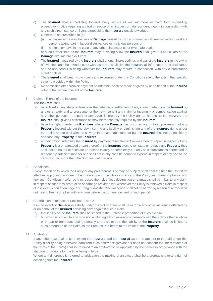- c) The **Insured** shall immediately forward every service of writ summons or claim form impending prosecution notice requiring arbitration notice of an inquest or fatal accident inquiry in connection with any such circumstance or Event aforesaid to the **Insurers** unacknowledged
- d) Other than as prescribed in (b)
	- (i) within seven days in the case of **Damage** caused by riot civil commotion strikers locked-out workers persons taking part in labour disturbances or malicious persons or

(ii) within thirty days in the case of any other circumstance or Event aforesaid

or such further time as the **Insurers** may in writing allow the **Insured** shall give full particulars of the **Damage** circumstance or Event

- e) The **Insured** if required by the **Insurers** shall attend all proceedings and assist the **Insurers** in the giving of evidence and the attendance of witnesses and shall give the **Insurers** all information and assistance and do and concur in doing whatever the **Insurers** may require in connection with any circumstance event or claim
- f) The **Insured** shall bear its own costs and expenses under this Condition save to the extent that specific cover is provided within the Policy
- g) No admission offer promise payment or indemnity shall be made or given by or on behalf of the **Insured** without the written consent of the **Insurers**

### 8. Claims - Rights of the Insurers

### The **Insurers** shall

- a) be entitled at any stage to take over the defence or settlement of any claim made upon the **Insured** by any other party and to prosecute for their own benefit any claim for indemnity or compensation against any other persons in respect of any event insured by the Policy and at no cost to the **Insurers** the **Insured** shall give all assistance as may be reasonably required by the **Insurers**
- b) have the right to enter the **Premises** where the **Damage** has occurred and to keep possession of any **Property** insured without thereby incurring any liability or diminishing any of the **Insurers** rights under the Policy and to deal with the salvage in a reasonable manner but the **Insured** shall not be entitled to abandon any **Property** to the **Insurers**
- c) at their option indemnify the **Insured** by payment reinstatement replacement or repair in respect of any **Property** lost or damaged or part thereof. If the **Insurers** elect to reinstate or replace any **Property** they shall not be bound to reinstate or replace exactly or completely but only as circumstances permit and in reasonably sufficient manner and shall not in any case be bound to expend in respect of any one of the items insured more than the Sum Insured thereon
- 9. Conditions

Every Condition to which the Policy or any part thereof is or may be subject shall from the time the Condition attaches apply and continue to be in force during the whole currency of the Policy and non-compliance with any such Condition insofar as it increases the risk of loss destruction or damage shall be a bar to any claim in respect of such loss destruction or damage provided that whenever the Policy is renewed a claim in respect of loss destruction or damage occurring during the renewal period shall not be barred by reason of a Condition not having been complied with any time before the commencement of such period

### 10. Contribution in respect of Sections 1 and 2

If in the event of **Damage** or liability under the Policy there shall be in force any other insurance effected by or on behalf of the **Insured** providing cover against such a claim

- a) the liability of the **Insurers** shall be limited to their rateable proportion of such a claim
- b) but which is subject to any provision excluding it from ranking concurrently with the Policy either in whole or in part or from contributing rateably to the claim then the liability of the **Insurers** shall be limited to such proportion of the claim as the Sum Insured bears to the value of the **Property**

### 11. Arbitration

If any difference shall arise between the **Insurers** and the **Insured** as to the amount to be paid under this Policy (liability being otherwise admitted) such difference (provided it does not concern the interpretation of the terms of the Policy) shall be referred to an arbitrator to be appointed by the parties in accordance with the statutory provisions for the time being in force

Where any difference is referred to arbitration the making of an award shall be a prerequisite to any right of action against the **Insurers**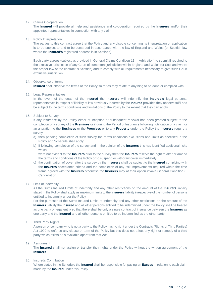### 12. Claims Co-operation

The **Insured** will provide all help and assistance and co-operation required by the **Insurers** and/or their appointed representatives in connection with any claim

### 13. Policy Interpretation

The parties to this contract agree that the Policy and any dispute concerning its interpretation or application is to be subject to and to be construed in accordance with the law of England and Wales (or Scottish law where the **Insured's** registered address is in Scotland)

Each party agrees (subject as provided in General Claims Condition 11 – Arbitration) to submit if required to the exclusive jurisdiction of any Court of competent jurisdiction within England and Wales (or Scotland where the proper law of the contract is Scottish) and to comply with all requirements necessary to give such Court exclusive jurisdiction

### 14 Observance of terms

**Insured** shall observe the terms of the Policy so far as they relate to anything to be done or complied with

### 15. Legal Representatives

In the event of the death of the **Insured** the **Insurers** will indemnify the **Insured's** legal personal representatives in respect of liability at law previously incurred by the **Insured** provided they observe fulfil and be subject to the terms conditions and limitations of the Policy to the extent that they can apply

### 16. Subject to Survey

If any insurance by the Policy either at inception or subsequent renewal has been granted subject to the completion of a survey of the **Premises** or if during the Period of Insurance following notification of a claim or an alteration to the **Business** or the **Premises** or to any **Property** under the Policy the **Insurers** require a survey

- a) then pending completion of such survey the terms conditions exclusions and limits as specified in the Policy and Schedule shall apply
- b) if following completion of the survey and in the opinion of the **Insurers** this has identified additional risks which

were not evident to the **Insurers** prior to the survey then the **Insurers** reserve the right to alter or amend the terms and conditions of the Policy or to suspend or withdraw cover immediately

c) the continuation of cover after the survey by the **Insurers** shall be subject to the **Insured** complying with the **Insurers** acceptance criteria and the completion of any risk improvements required within the time frame agreed with the **Insurers** otherwise the **Insurers** may at their option invoke General Condition 6. Cancellation

### 17. Limit of Indemnity

All the Sums Insured Limits of Indemnity and any other restrictions on the amount of the **Insurers** liability stated in the Policy shall apply as maximum limits to the **Insurers** liability irrespective of the number of persons entitled to indemnity under the Policy

For the purposes of the Sums Insured Limits of Indemnity and any other restrictions on the amount of the **Insurers** liability the **Insured** and all other persons entitled to be indemnified under the Policy shall be treated as one party or legal entity so that there shall be only a single contract of insurance between the **Insurers** as one party and the **Insured** and all other persons entitled to be indemnified as the other party

18. Third Party Rights

A person or company who is not a party to the Policy has no right under the Contracts (Rights of Third Parties) Act 1999 to enforce any clause or term of the Policy but this does not affect any right or remedy of a third party which exists or is available apart from that Act

### 19. Assignment

The **Insured** shall not assign or transfer their rights under the Policy without the written agreement of the **Insurers**

### 20. Insureds Contribution

Where stated in the Schedule the **Insured** shall be responsible for paying an **Excess** in relation to each claim made by the **Insured** under this Policy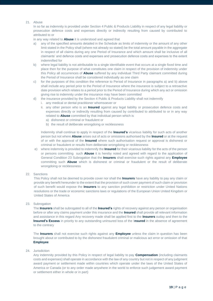### 21. Abuse

In so far as indemnity is provided under Section 4 Public & Products Liability in respect of any legal liability or prosecution defence costs and expenses directly or indirectly resulting from caused by contributed to attributed to or

in any way related to **Abuse** it is understood and agreed that

- a) any of the specified amounts detailed in the Schedule as limits of indemnity or the amount of any other limit stated in the Policy shall (where not already so stated) be the total amount payable in the aggregate in respect of all claims during any one Period of Insurance and which amount shall be inclusive of all claimants' and defence costs and expenses and prosecution defence costs and expenses to the extent indemnified for
- b) where legal liability is not attributable to a single identifiable event that occurs at a single fixed time and place then for the purpose of what constitutes one claim in respect of the provision of indemnity under this Policy all occurrences of **Abuse** suffered by any individual Third Party claimant committed during the Period of Insurance shall be considered individually as one claim
- c) for the purposes of this condition the reference to Period of Insurance in paragraphs a) and b) above shall include any period prior to the Period of Insurance where the insurance is subject to a retroactive date provision which relates to a period prior to the Period of Insurance during which any act or omission giving rise to indemnity under the insurance may have been committed
- d) the insurance provided by the Section 4 Public & Products Liability shall not indemnify
	- i. any medical or dental practitioner whomsoever or
	- ii. any other person who is an **Insured** against any legal liability or prosecution defence costs and expenses directly or indirectly resulting from caused by contributed to attributed to or in any way related to **Abuse** committed by that individual person which is
		- a) dishonest or criminal or fraudulent or
		- b) the result of deliberate wrongdoing or recklessness

Indemnity shall continue to apply in respect of the **Insured's** vicarious liability for such acts of another person but not where **Abuse** arises out of acts or omissions authorised by the **Insured** or at the request of or with the approval of the **Insured** where such authorisation request or approval is dishonest or criminal or fraudulent or results from deliberate wrongdoing or recklessness

- e) where indemnity is provided to indemnify the **Insured** for their vicarious liability for the acts of the person or persons committing such **Abuse** it is hereby noted and agreed with regard to the application of General Condition 23 Subrogation that the **Insurers** shall exercise such rights against any **Employee** committing such **Abuse** which is dishonest or criminal or fraudulent or the result of deliberate wrongdoing or recklessness
- 22. Sanctions

This Policy shall not be deemed to provide cover nor shall the **Insurers** have any liability to pay any claim or provide any benefit hereunder to the extent that the provision of such cover payment of such claim or provision of such benefit would expose the **Insurers** to any sanction prohibition or restriction under United Nations resolutions or the trade or economic sanctions laws or regulations of the European Union United Kingdom or United States of America

23. Subrogation

The **Insurers** shall be subrogated to all of the **Insured's** rights of recovery against any person or organisation before or after any claims payment under this insurance and the **Insured** shall provide all relevant information and assistance in this regard Any recovery made shall be applied first to the **Insurers** outlay and then to the **Insured's Excess** in priority to any outstanding uninsured loss of the I**nsured** in the absence of agreement to the contrary

The **Insurers** shall not exercise such rights against any **Employee** unless the claim in question has been brought about or contributed to by the dishonest fraudulent criminal or malicious act error or omission of that **Employee**

24. Jurisdiction

Any indemnity provided by this Policy in respect of legal liability to pay **Compensation** (including claimants costs and expenses) shall operate in accordance with the law of any country but not in respect of any judgment award payment or settlement made within countries which operate under the laws of the United States of America or Canada (or to any order made anywhere in the world to enforce such judgement award payment or settlement either in whole or in part)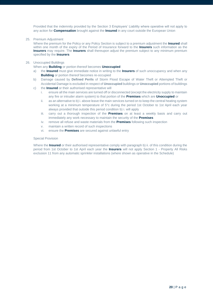Provided that the indemnity provided by the Section 3 Employers' Liability where operative will not apply to any action for **Compensation** brought against the **Insured** in any court outside the European Union

25. Premium Adjustment

Where the premium for the Policy or any Policy Section is subject to a premium adjustment the **Insured** shall within one month of the expiry of the Period of Insurance forward to the **Insurers** such information as the **Insurers** may require. The **Insurers** shall thereupon adjust the premium subject to any minimum premium specified by the **Insurers**

26. Unoccupied Buildings

When any **Building** or portion thereof becomes **Unoccupied**

- a) the **Insured** must give immediate notice in writing to the **Insurers** of such unoccupancy and when any **Building** or portion thereof becomes re-occupied
- b) Damage caused by **Defined Perils** of Storm Flood Escape of Water Theft or Attempted Theft or Accidental Damage is excluded in respect of **Unoccupied** buildings or **Unoccupied** portions of buildings
- c) the **Insured** or their authorised representative will
	- i. ensure all the main services are turned off or disconnected (except the electricity supply to maintain any fire or intruder alarm system) to that portion of the **Premises** which are **Unoccupied** or
	- ii. as an alternative to b) i. above leave the main services turned on to keep the central heating system working at a minimum temperature of 5°c during the period 1st October to 1st April each year always provided that outside this period condition b) i. will apply
	- iii. carry out a thorough inspection of the **Premises** on at least a weekly basis and carry out immediately any work necessary to maintain the security of the **Premises**
	- iv. remove all refuse and waste materials from the **Premises** following such inspection
	- v. maintain a written record of such inspections
	- vi. ensure the **Premises** are secured against unlawful entry

### Special Provision

Where the **Insured** or their authorised representative comply with paragraph b) ii. of this condition during the period from 1st October to 1st April each year the **Insurers** will not apply Section 1 - Property All Risks exclusion 11 from any automatic sprinkler installations (where shown as operative in the Schedule)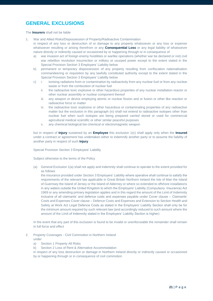# **GENERAL EXCLUSIONS**

### The **Insurers** shall not be liable

- 1. War and Allied Risks/Dispossession of Property/Radioactive Contamination in respect of any loss or destruction of or damage to any property whatsoever or any loss or expense whatsoever resulting or arising therefrom or any **Consequential Loss** or any legal liability of whatsoever nature directly or indirectly caused or occasioned by or happening through or in consequence of
	- a) war invasion act of foreign enemy hostilities or warlike operations (whether war be declared or not) civil war rebellion revolution insurrection or military or usurped power except to the extent stated in the Special Provision Section 3 Employers' Liability below
	- b) permanent or temporary dispossession of any property resulting from confiscation nationalisation commandeering or requisition by any lawfully constituted authority except to the extent stated in the Special Provision Section 3 Employers' Liability below
	- c) i. ionising radiations from or contamination by radioactivity from any nuclear fuel or from any nuclear waste or from the combustion of nuclear fuel
		- ii. the radioactive toxic explosive or other hazardous properties of any nuclear installation reactor or other nuclear assembly or nuclear component thereof
		- iii. any weapon or device employing atomic or nuclear fission and or fusion or other like reaction or radioactive force or matter
		- iv. the radioactive toxic explosive or other hazardous or contaminating properties of any radioactive matter but the exclusion in this paragraph (iv) shall not extend to radioactive isotopes other than nuclear fuel when such isotopes are being prepared carried stored or used for commercial agricultural medical scientific or other similar peaceful purposes
		- v. any chemical biological bio-chemical or electromagnetic weapon

but in respect of **Injury** sustained by an **Employee** this exclusion 1(c) shall apply only when the **Insured** under a contract or agreement has undertaken either to indemnify another party or to assume the liability of another party in respect of such **Injury**

Special Provision Section 3 Employers' Liability

Subject otherwise to the terms of the Policy

(a) General Exclusion 1(a) shall not apply and indemnity shall continue to operate to the extent provided for as follows

the insurance provided under Section 3 Employers' Liability where operative shall continue to satisfy the requirements of the relevant law applicable in Great Britain Northern Ireland the Isle of Man the Island of Guernsey the Island of Jersey or the Island of Alderney or where so extended to offshore installations in any waters outside the United Kingdom to which the Employers' Liability (Compulsory Insurance) Act 1969 or any amending primary legislation applies and in this regard the amount of the Limit of Indemnity inclusive of all claimants' and defence costs and expenses payable under Cover clause – Claimants' Costs and Expenses Cover clause – Defence Costs and Expenses and Extension to Section Health and Safety at Work Act Legal Defence Costs as stated in the Employers' Liability Section shall only be for the minimum amount required by such relevant law (and accordingly reduced to such amount where the amount of the Limit of Indemnity stated in the Employers' Liability Section is higher)

In the event that any part of this exclusion is found to be invalid or unenforceable the remainder shall remain in full force and effect

### 2. Property Coverages - Civil Commotion in Northern Ireland under

- a) Section 1 Property All Risks
- b) Section 2 Loss of Rent & Alternative Accommodation

in respect of any loss destruction or damage in Northern Ireland directly or indirectly caused or occasioned by or happening through or in consequence of civil commotion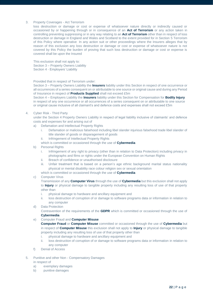### 3. Property Coverages - Act Terrorism

loss destruction or damage or cost or expense of whatsoever nature directly or indirectly caused or occasioned by or happening through or in consequence of an **Act of Terrorism** or any action taken in controlling preventing suppressing or in any way relating to an **Act of Terrorism** other than in respect of loss destruction or damage in England and Wales and Scotland to the extent provided for in Section 5 Terrorism of this Policy where operative In any action suit or other proceedings where the Insurers alleges that by reason of this exclusion any loss destruction or damage or cost or expense of whatsoever nature is not covered by this Policy the burden of proving that such loss destruction or damage or cost or expense is covered shall be upon the Insured

This exclusion shall not apply to: Section 3 – Property Owners Liability Section 4 - Employers' Liability

### Provided that in respect of Terrorism under:

Section 3 – Property Owners Liability the **Insurers** liability under this Section in respect of one occurrence or all occurrences of a series consequent on or attributable to one source or original cause and during any Period of Insurance in respect of **Products Supplied** shall not exceed £5m

Section 4 – Employers Liability the **Insurers** liability under this Section for Compensation for **Bodily Injury** in respect of any one occurrence or all occurrences of a series consequent on or attributable to one source or original cause inclusive of all claimant's and defence costs and expenses shall not exceed £5m

### 4. Cyber Risk - Third Party

under the Section 4 Property Owners Liability in respect of legal liability inclusive of claimants' and defence costs and expenses for and arising out of

- a) Defamation and Intellectual Property Rights
	- i. Defamation or malicious falsehood including libel slander injurious falsehood trade libel slander of title slander of goods or disparagement of goods
	- ii. Infringement of Intellectual Property Rights
	- which is committed or occasioned through the use of **Cybermedia**
- b) Personal Rights
	- i. Infringement of any right to privacy (other than in relation to Data Protection) including privacy in photographs and films or rights under the European Convention on Human Rights
	- ii. Breach of confidence or unauthorised disclosure
	- iii. Unfair treatment that is based on a person's age ethnic background marital status nationality physical or mental disability race colour religion sex or sexual orientation

which is committed or occasioned through the use of **Cybermedia**

c) Computer Virus

Transmission of any **Computer Virus** through the use of **Cybermedia** but this exclusion shall not apply to **Injury** or physical damage to tangible property including any resulting loss of use of that property other than

- i. physical damage to hardware and ancillary equipment and
- ii. loss destruction of corruption of or damage to software programs data or information in relation to any computer
- d) Data Protection

Contravention of the requirements of the **GDPR** which is committed or occasioned through the use of **Cybermedia**

e) Computer Fraud and **Computer Misuse**

**Computer Fraud** or **Computer Misuse** committed or occasioned through the use of **Cybermedia** but in respect of **Computer Misuse** this exclusion shall not apply to **Injury** or physical damage to tangible property including any resulting loss of use of that property other than

- i. physical damage to hardware and ancillary equipment and
- ii. loss destruction of corruption of or damage to software programs data or information in relation to any computer
- f) Denial of Access
- 5. Punitive and other Non Compensatory Damages
	- in respect of
	- a) exemplary damages
	- b) punitive damages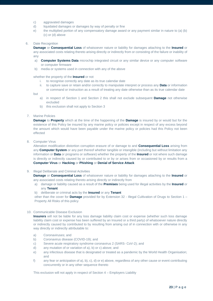- c) aggravated damages
- d) liquidated damages or damages by way of penalty or fine
- e) the multiplied portion of any compensatory damage award or any payment similar in nature to (a) (b) (c) or (d) above

### 6. Date Recognition

**Damage** or **Consequential Loss** of whatsoever nature or liability for damages attaching to the **Insured** or any associated costs relating thereto arising directly or indirectly from or consisting of the failure or inability of any

- a) **Computer Systems Data** microchip integrated circuit or any similar device or any computer software or computer firmware
- b) media or systems used in connection with any of the above

### whether the property of the **Insured** or not

- i. to recognise correctly any date as its true calendar date
- ii. to capture save or retain and/or correctly to manipulate interpret or process any **Data** or information or command or instruction as a result of treating any date otherwise than as its true calendar date

but

- a) in respect of Section 1 and Section 2 this shall not exclude subsequent **Damage** not otherwise excluded
- b) this exclusion shall not apply to Section 3
- 7. Marine Policies

**Damage** to **Property** which at the time of the happening of the **Damage** is insured by or would but for the existence of this Policy be insured by any marine policy or policies except in respect of any excess beyond the amount which would have been payable under the marine policy or policies had this Policy not been effected

8. Computer Virus

Alteration modification distortion corruption erasure of or damage to and **Consequential Loss** arising from any **Computer System** or any part thereof whether tangible or intangible (including but without limitation any information or **Data** or programs or software) whether the property of the **Insured** or not where such damage is directly or indirectly caused by or contributed to or by or arises from or occasioned by or results from a **Computer Virus** or **Hacking** or **Phishing** or **Denial of Service Attack**

### 9. Illegal Deliberate and Criminal Activities

**Damage** or **Consequential Loss** of whatsoever nature or liability for damages attaching to the **Insured** or any associated costs relating thereto arising directly or indirectly from

a) damage or liability caused as a result of the **Premises** being used for illegal activities by the **Insured** or any **Tenant**

b) deliberate or criminal acts by the **Insured** or any **Tenant**

other than the cover for **Damage** provided for by Extension 32 - Illegal Cultivation of Drugs to Section 1 – Property All Risks of this policy

### 10. Communicable Disease Exclusion

**Insurers** will not be liable for any loss damage liability claim cost or expense (whether such loss damage liability claim cost or expense has been suffered by an Insured or a third party) of whatsoever nature directly or indirectly caused by contributed to by resulting from arising out of in connection with or otherwise in any way directly or indirectly attributable to:

- a) Coronaviruses; and
- b) Coronavirus disease (COVID-19); and
- c) Severe acute respiratory syndrome coronavirus 2 (SARS- CoV-2); and
- d) any mutation of or variation of a), b) or c) above; and
- e) any infectious disease that is designated or treated as a pandemic by the World Health Organisation; and
- f) any fear or anticipation of a), b), c), d) or e) above, regardless of any other cause or event contributing concurrently or in any other sequence thereto

This exclusion will not apply in respect of Section 4 – Employers Liability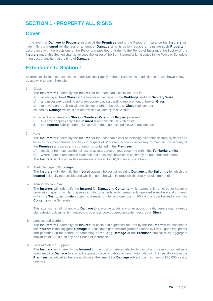# **SECTION 1 - PROPERTY ALL RISKS**

### **Cover**

In the event of **Damage** to **Property** insured at the **Premises** during the Period of Insurance the **Insurers** will indemnify the **Insured** for the loss or amount of **Damage** or at its option replace or reinstate such **Property** in accordance with the provisions of the Policy and provided that during the Period of Insurance the liability of the **Insurers** under this Section shall not exceed the lesser of the Sum Insured or Limit stated in the Policy or Schedule in respect of any item at the time of **Damage**

### **Extensions to Section 1**

All terms exclusions and conditions under Section 1 apply to these Extensions in addition to those shown below as applying to each Extension

### 1. Glass

- The **Insurers** will indemnify the **Insured** for the reasonable costs incurred in
- a) replacing all fixed **Glass** on the interior and exterior of the **Buildings** and any **Sanitary Ware**
- b) any necessary boarding up or temporary glazing pending replacement of broken **Glass**
- c) removing and re-fixing window fittings or other obstacles to **Glass** replacement

caused by **Damage** which is not otherwise excluded by this Section

Provided that where such **Glass** or **Sanitary Ware** is not **Property** insured

- i. this cover applies only if the **Insured** is responsible for such costs ii. the **Insurers** liability under this extension does not exceed £10,000
- the **Insurers** liability under this extension does not exceed £10,000 any one loss

### 2. Keys

The **Insurers** will indemnify the **Insured** for the reasonable cost of replacing electronic security systems and locks or lock mechanisms and keys in respect of doors and windows necessary to maintain the security of the **Premises** and safes and strongrooms contained in the **Premises** 

- a) resulting from any accidental loss of access cards or keys occurring within the **Territorial Limits**
- b) where there is reasonable evidence that such keys have been copied by an unauthorised person

The **Insurers** liability under this extension is limited to £10,000 for any one loss

### 3. Theft Damage to **Buildings**

The **Insurers** will indemnify the **Insured** against the cost of repairing **Damage** to the **Buildings** for which the **Insured** is legally responsible and which is not otherwise insured which directly results from theft

### 4. Temporary Removal

The **Insurers** will indemnify the **Insured** for **Damage** to **Contents** whilst temporarily removed for cleaning renovation repair or similar purposes and to documents whilst temporarily removed elsewhere and in transit within the **Territorial Limits** subject to a maximum for any one loss of 10% of the Sum Insured shown for **Contents** in the Schedule

This extension shall not apply to **Damage** to explosive goods any other goods of a dangerous nature deeds plans designs documents manuscripts business books computer system records or **Stock** 

5. Landscaped Gardens

The **Insurers** will indemnify the **Insured** for costs and expenses incurred by the **Insured** with the consent of the **Insurers** in making good **Damage** to landscaped gardens and grounds caused by Fire Brigade equipment and personnel in the course of combating or reducing **Damage** at the **Premises** subject to an aggregate maximum of £25,000 in any one Period of Insurance

### 6. Loss of Metered Supplies

The **Insurers** will indemnify the **Insured** for the cost of metered electricity gas oil and water consumed as a direct result of **Damage** to any tank apparatus pipe or cable not being automatic sprinkler installations at the **Premises** calculated at the rate applying at the time of the **Damage** subject to a maximum of £25,000 for any one loss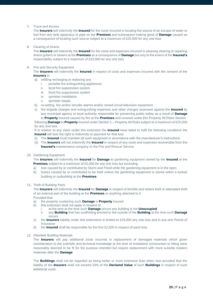7. Trace and Access

The **Insurers** will indemnify the **Insured** for the costs incurred in locating the source of an escape of water or fuel from any tank apparatus or pipe on the **Premises** and subsequent making good of **Damage** caused as a consequence of locating such source subject to a maximum of £25,000 for any one loss

8. Clearing of Drains

The **Insurers** will indemnify the **Insured** for the costs and expenses incurred in cleaning clearing or repairing drains gutters or sewers at the **Premises** as a consequence of **Damage** but only to the extent of the **Insured's**  responsibility subject to a maximum of £25,000 for any one loss

### 9. Fire and Security Equipment

The **Insurers** will indemnify the **Insured** in respect of costs and expenses incurred with the consent of the **Insurers** in

- a) refilling recharging or replacing any
	- i. portable fire extinguishing appliances
	- ii. local fire suppression system
	- iii. fixed fire suppression system
	- iv. sprinkler installation
	- v. sprinkler heads
- b) re-setting fire and/or intruder alarms and/or closed circuit television equipment
- c) fire brigade charges and extinguishing expenses and other charges assessed against the **Insured** by any municipal agency or local authority responsible for preserving public safety as a result of **Damage** to **Property** insured caused by fire at the **Premises** and covered under this Property All Risks Section

following **Damage** to **Property** insured under Section 1 – Property All Risks subject to a maximum of £25,000 for any one loss

If in relation to any claim under this extension the **Insured** have failed to fulfil the following conditions the **Insured** will lose the right to indemnity or payment for that loss

- (i) The **Insured** must maintain all such equipment in accordance with the manufacturer's instructions
- (ii) The **Insurers** will not indemnify the **Insured** in respect of any costs and expenses recoverable from the **Insured's** maintenance company or the Fire and Rescue Service
- 10. Gardening Equipment

The **Insurers** will indemnify the **Insured** for **Damage** to gardening equipment owned by the **Insured** at the **Premises** subject to a maximum of £5,000 for any one loss but excluding

- a) loss caused by or contributed by Storm and Flood while the gardening equipment is in the open
- b) losses caused by or contributed to be theft unless the gardening equipment is stored within a locked building or outbuilding at the **Premises**
- 11. Theft of Building Parts

The **Insurers** will indemnify the **Insured** for **Damage** in respect of forcible and violent theft or attempted theft of an external part of the building at the **Premises** or anything attached to it Provided that

- a) the property sustaining such **Damage** is **Property** insured
- b) this extension shall not apply in respect of
	- i. at the time at the time such **Damage** occurs any building is not **Unoccupied**
	- ii. any **Building** that has scaffolding erected to the outside of the **Building** at the time such **Damage**  occurs
- c) the **Insurers** liability under this extensions is limited to £25,000 any one loss and in any one Period of **Insurance**
- d) the **Insured** shall be responsible for the first £2,500 in respect of each loss
- 12. Obsolete Building Materials

The **Insurers** will pay additional costs incurred in replacement of damaged materials which given consideration to the scientific and technical knowledge at the time of installation construction or fitting were reasonably deemed to be fit for the purpose intended but require replacement with more suitable modern materials after the **Damage**

The **Buildings** shall not be regarded as being better or more extensive than when new provided that the liability of the **Insurers** shall not exceed 10% of the **Declared Value** of such **Buildings** in respect of such additional costs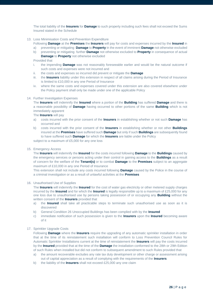The total liability of the **Insurers** for **Damage** to such property including such fees shall not exceed the Sums Insured stated in the Schedule

13. Loss Minimisation Costs and Prevention Expenditure

Following **Damage** at the **Premises** the **Insurers** will pay for costs and expenses incurred by the **Insured** in

- a) preventing or mitigating **Damage** to **Property** in the event of imminent **Damage** not otherwise excluded
- b) preventing or mitigating further **Damage** not otherwise excluded to **Property** in consequence of actual **Damage** to **Property** not otherwise excluded

Provided that

- i. the impending **Damage** was not reasonably foreseeable earlier and would be the natural outcome if such costs and expenses were not incurred and
- ii. the costs and expenses so incurred did prevent or mitigate the **Damage**
- iii. the **Insurers** liability under this extension in respect of all claims arising during the Period of Insurance is limited to £10,000 in any one Period of Insurance
- iv. where the same costs and expenses covered under this extension are also covered elsewhere under the Policy payment shall only be made under one of the applicable Policy

#### 14. Further Investigation Expenses

The **Insurers** will indemnify the **Insured** where a portion of the **Building** has suffered **Damage** and there is a reasonable possibility of **Damage** having occurred to other portions of the same **Building** which is not immediately apparent

The **Insurers** will pay

- a) costs incurred with the prior consent of the **Insurers** in establishing whether or not such **Damage** has occurred and
- b) costs incurred with the prior consent of the **Insurers** in establishing whether or not other **Buildings**  insured at the **Premises** have suffered such **Damage** but only if such **Buildings** are subsequently found to have suffered such **Damage** for which the **Insurers** are liable under the Policy

subject to a maximum of £5,000 for any one loss

### 15. Emergency Access

The **Insurers** will indemnify the **Insured** for the costs incurred following **Damage** to the **Buildings** caused by the emergency services or persons acting under their control in gaining access to the **Buildings** as a result of concern for the welfare of the **Tenant(s)** or to combat **Damage** to the **Premises** subject to an aggregate maximum of £10,000 in any one Period of Insurance

This extension shall not include any costs incurred following **Damage** caused by the Police in the course of a criminal investigation or as a result of unlawful activities at the **Premises**

### 16. Unauthorised Use of Supplies

The **Insurers** will indemnify the **Insured** for the cost of water gas electricity or other metered supply charges incurred by the **Insured** and for which the **Insured** is legally responsible up to a maximum of £25,000 for any one loss due to unauthorised use by persons taking possession of or occupying any **Building** without the written consent of the **Insurers** provided that

- a) the **Insured** shall take all practicable steps to terminate such unauthorised use as soon as it is discovered
- b) General Condition 26 Unoccupied Buildings has been complied with by the **Insured**
- c) immediate notification of such possession is given to the **Insurers** upon the **Insured** becoming aware of it

### 17. Sprinkler Upgrade Costs

Following **Damage** where the **Insurers** require the upgrading of any automatic sprinkler installation in order that at the time of its reinstatement such installation will conform to Loss Prevention Council Rules for Automatic Sprinkler Installations current at the time of reinstatement the **Insurers** will pay the costs incurred by the **Insured** provided that at the time of the **Damage** the installation conformed to the 28th or 29th Edition of such Rules when installed but did not conform to subsequent amendment to such Rules provided that

- a) the amount recoverable excludes any rate tax duty development or other charge or assessment arising out of capital appreciation as a result of complying with the requirements of the **Insurers**
- b) the liability of the **Insurers** shall not exceed £25,000 any one claim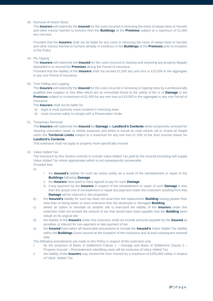### 18. Removal of Insect Nests

The **Insurers** will indemnify the **Insured** for the costs incurred in removing the nests of wasps bees or hornets and other insects harmful to humans from the **Buildings** at the **Premises** subject to a maximum of £1,000 any one loss

Provided that the **Insurers** shall not be liable for any costs or removing the nests of wasps bees or hornets and other insects harmful to humans already in existence in the **Buildings** at the **Premises** prior to inception of the Policy

### 19. Fly Tipping

The **Insurers** will indemnify the **Insured** for the costs incurred in clearing and removing any property illegally deposited in or around the **Premises** during the Period of Insurance

Provided that the liability of the **Insurers** shall not exceed £2,500 any one loss or £15,000 in the aggregate in any one Period of Insurance

### 20. Tree Felling and Lopping

The **Insurers** will indemnify the **Insured** for the costs incurred in removing or lopping trees by a professionally qualified tree surgeon or tree feller which are an immediate threat to the safety of life or of **Damage** to the **Premises** subject to a maximum of £1,000 for any one loss or £10,000 in the aggregate in any one Period of Insurance

The **Insurers** shall not be liable for

- a) legal or local authority costs involved in removing trees
- b) costs incurred solely to comply with a Preservation Order

### 21. Temporary Removal

The **Insurers** will indemnify the **Insured** for **Damage** to **Landlord's Contents** whilst temporarily removed for cleaning renovation repair or similar purposes and whilst in transit by road vehicle rail or inland air freight within the **Territorial Limits** subject to a maximum for any one loss of 10% of the Sum Insured shown for **Landlord's Contents**

This extension shall not apply to property more specifically insured

22. Value Added Tax

The insurance by this Section extends to include Value Added Tax paid by the Insured (including self-supply Value Added Tax where appropriate) which is not subsequently recoverable Provided that

a)

- i. the **Insured's** liability for such tax arises solely as a result of the reinstatement or repair of the **Buildings** following **Damage**
- ii. the **Insurers** have paid or have agreed to pay for such **Damage**
- iii. if any payment by the **Insurers** in respect of the reinstatement or repair of such **Damage** is less than the actual cost of reinstatement or repair any payment under this extension resulting from that **Damage** will be reduced in like proportion
- b) the **Insured's** liability for such tax does not arise from the replacement **Building** having greater floor area than or being better or more extensive than the destroyed or damaged **Building**
- c) where an option to reinstate on another site is exercised the liability of the **Insurers** under this extension shall not exceed the amount of tax that would have been payable had the **Building** been rebuilt on its original site
- d) the liability of the **Insurers** under this extension shall not include amounts payable by the **Insured** as penalties or interest for non-payment or late payment of tax
- e) the **Insured** have taken all reasonable precautions to include the **Insured's** Value Added Tax liability within the **Buildings** Sums Insured at the inception of this insurance and at each subsequent renewal date

The following amendments are made to this Policy in respect of this extension only

- i. for the purposes of Basis of Settlement Clause 1 Average and Basis of Settlement Clause 2 Property Insured – Reinstatement rebuilding costs will be exclusive of Value Added Tax
- ii. the liability of the **Insurers** may exceed the Sum Insured by a maximum of £250,000 solely in respect of Value Added Tax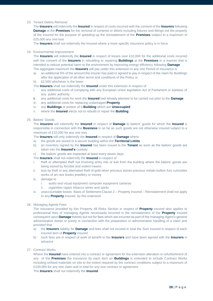### 23. Tenant Debris Removal

The **Insurers** will indemnify the **Insured** in respect of costs incurred with the consent of the **Insurers** following **Damage** at the **Premises** for the removal of contents or debris including fixtures and fittings not the property of the Insured for the purpose of speeding up the reinstatement of the **Premises** subject to a maximum of £25,000 any one loss

The **Insurers** shall not indemnify the Insured where a more specific insurance policy is in force

### 24. Environmental Improvement

The **Insurers** will indemnify the **Insured** in respect of losses over £10,000 for the additional costs incurred with the consent of the **Insurers** in rebuilding or repairing **Buildings** at the **Premises** in a manner that is intended to reduce potential harm to the environment by improving energy efficiency following **Damage** The aggregate maximum the **Insurers** will pay under this extension in any one Period of Insurance is

- a) an additional 5% of the amount the Insurer has paid or agreed to pay in respect of the claim for Buildings after the application of all other terms and conditions of the Policy or
- b) £2,500 whichever is the lower

The **Insurers** shall not indemnify the **Insured** under this extension in respect of

- i. any additional costs of complying with any European Union legislation Act of Parliament or byelaws of any public authority
- ii. any additional costs for work the **Insured** had already planned to be carried out prior to the **Damage**
- iii. any additional costs for replacing undamaged **Property**
- iv. any **Buildings** or portion of a **Building** which are **Unoccupied**
- v. where the **Insured** elects not to rebuild or repair the **Building**

### 25. Bailors' Goods

The **Insurers** will indemnify the **Insured** in respect of **Damage** to bailors' goods for which the **Insured** is responsible in connection with the **Business** in so far as such goods are not otherwise insured subject to a maximum of £10,000 for any one loss

The **Insurers** will only indemnify the **Insured** in respect of **Damage** where

- a) the goods are stored in a secure building within the **Territorial Limits**
- b) an inventory signed by the **Insured** has been issued to the **Tenant** as soon as the bailors' goods are taken into the **Insured's** custody
- c) the bailors' goods are inspected at least every seven days
- The **Insurers** shall not indemnify the **Insured** in respect of
- i. theft or attempted theft not involving entry into or exit from the building where the bailors' goods are being stored by forcible and violent means
- ii. loss by theft or any attempted theft of gold silver precious stones precious metals bullion furs curiosities works of art rare books jewellery or money
- iii. damage to
	- i. audio and visual equipment computer equipment cameras
	- ii. cigarettes cigars tobacco wines and spirits
- iv. unaccountable losses Basis of Settlement Clause 2 Property Insured Reinstatement shall not apply to any **Property** insured by this extension
- 26. Managing Agents Fees

The insurance provided by this Property All Risks Section in respect of **Property** insured also applies to professional fees of managing Agents necessarily incurred in the reinstatement of the **Property** insured consequent upon **Damage** thereto but not for fees which are incurred as part of the managing Agent's general administrative duties or purely in connection with the preparation or administrative handling of a claim and provided that

- a) the **Insurers** liability for **Damage** and fees shall not exceed in total the Sum Insured in respect of each insured item of **Property** insured
- b) such fees are in respect of work of benefit to the **Insurers** and have been agreed with the **Insurers** in advance
- 27. Contract Works

Where the **Insured** have entered into a contract or agreement for the extension alteration or refurbishment of any of the **Premises** the insurance by each item on **Buildings** is extended to include Contract Works including unfixed materials on site to the extent required by the contract conditions subject to a maximum of £100,000 for any one claim and in total for any one contract or agreement

The **Insurers** shall not indemnify the **Insured**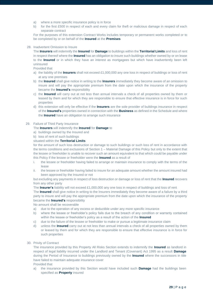- a) where a more specific insurance policy is in force
- b) for the first £500 in respect of each and every claim for theft or malicious damage in respect of each separate contract

For the purposes of this extension Contract Works includes temporary or permanent works completed or to be completed by or on behalf of the **Insured** at the **Premises**

### 28. Inadvertent Omission to Insure

The **Insurers** will indemnify the **Insured** for **Damage** to buildings within the **Territorial Limits** and loss of rent in respect thereof where the **Insured** has an obligation to insure such buildings whether owned by or on lease to the **Insured** or in which they have an interest as mortgagees but which have inadvertently been left uninsured

Provided that

- a) the liability of the **Insurers** shall not exceed £1,000,000 any one loss in respect of buildings or loss of rent at any one premises
- b) the **Insured** shall give notice in writing to the **Insurers** immediately they become aware of an omission to insure and will pay the appropriate premium from the date upon which the insurance of the property became the **Insured's** responsibility
- c) the **Insured** will carry out at not less than annual intervals a check of all properties owned by them or leased by them and for which they are responsible to ensure that effective insurance is in force for such properties
- d) this extension will only be effective if the **Insurers** are the sole provider of buildings insurance in respect of the **Insured's** properties owned in connection with the **Business** as defined in the Schedule and where the **Insured** have an obligation to arrange such insurance

### 29. Failure of Third Party Insurance

The **Insurers** will indemnify the **Insured** for **Damage** to

- a) buildings owned by the Insured and
- b) loss of rent of such buildings

### situated within the **Territorial Limits**

for the amount of such loss destruction or damage to such buildings or such loss of rent in accordance with the terms conditions and exclusions of Section 1 – Material Damage of this Policy but only to the extent that the lessee or freeholder is unable to recover such an amount equivalent to that which could be payable under this Policy if the lessee or freeholder were the **Insured** as a result of

- i. the lessee or freeholder having failed to arrange or maintain insurance to comply with the terms of the lease
- ii. the lessee or freeholder having failed to insure for an adequate amount whether the amount insured had been approved by the Insured or not

### but excluding any payments in respect of loss destruction or damage or loss of rent that the **Insured** recovers from any other party

The **Insurer's** liability will not exceed £1,000,000 any one loss in respect of buildings and loss of rent

The **Insured** shall give notice in writing to the Insurers immediately they become aware of a failure by a third party to insure and will pay the appropriate premium from the date upon which the insurance of the property became the **Insured's** responsibility

No amount shall be recoverable

- a) due to the operation of any excess or deductible under any more specific insurance
- b) where the lessee or freeholder's policy fails due to the breach of any condition or warranty contained within the lessee or freeholder's policy as a result of the action of the **lnsured**
- c) due to the failure of the lessee or freeholder to make or pursue a legitimate insurance claim
- d) unless the **Insured** carry out at not less than annual intervals a check of all properties owned by them or leased by them and for which they are responsible to ensure that effective insurance is in force for such properties

#### 30. Privity of Contract

The insurance provided by this Property All Risks Section extends to indemnify the **Insured** as landlord in respect of legal liability incurred under the Landlord and Tenant (Covenant) Act 1995 as a result **Damage** during the Period of Insurance to buildings previously owned by the **Insured** where the successors in title have failed to maintain adequate insurance cover

### Provided that

a) the insurance provided by this Section would have included such **Damage** had the buildings been specified as **Property** insured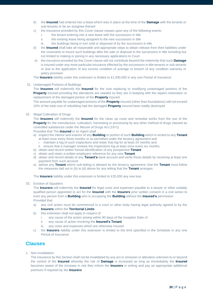- b) the **Insured** had entered into a lease which was in place at the time of the **Damage** with the tenants or sub-tenants or be an assignee thereof
- c) the insurance provided by this Cover clause ceases upon any of the following events
	- i. the tenant entering into a new lease with the successors in title
	- ii. the existing lease being assigned to the new successors in title
	- iii. the buildings being in turn sold or disposed of by the successors in title
- d) the **Insured** shall take all reasonable and appropriate steps to obtain release from their liabilities under the covenants to insure such buildings after the sale or disposal to the successors in title including but not limited to making or joining in any necessary applications to Court
- e) the insurance provided by this Cover clause will not contribute beyond the indemnity that such **Damage** is insured under any more particular insurance effected by the successors in title tenants or sub-tenants or due to the application of any excess condition of average or breach of any condition warranty or policy provision

The **Insurers** liability under this extension is limited to £1,000,000 in any one Period of Insurance

31. Undamaged Portions of Buildings

The **Insurers** will indemnify the **Insured** for the cost replacing or modifying undamaged portions of the **Property** insured providing the alterations are needed so they are in keeping with the repairs restoration or replacement of the damaged portion of the **Property** insured

The amount payable for undamaged portions of the **Property** insured (other than foundations) will not exceed 10% of the total cost of rebuilding had the damaged **Property** insured been totally destroyed

### 32. Illegal Cultivation of Drugs

The **Insurers** will indemnify the **Insured** for the clean up costs and remedial works from the use of the **Property** for the manufacture, cultivation, harvesting or processing by any other method of drugs classed as controlled substances under the Misuse of Drugs Act (1971)

Provided that The **Insured** or its Agent shall

- a) inspect the interior and exterior of any **Building** or portion of such **Building** which is rented to any **Tenant** at least once every three months or as permitted under the tenancy agreement and
	- i. maintain a log of such inspections and retain that log for at least 24 months and
	- ii. ensure that a manager reviews the inspections log at least once every six months
- b) obtain and record written formal identification of any prospective **Tenant**
- c) obtain and retain a written employers reference for any new **Tenant**
- d) obtain and record details of any **Tenant's** bank account and verify those details by receiving at least one payment from such account
- e) advise any **Tenant** where sub-letting is allowed by the tenancy agreement, that the **Tenant** must follow the measures laid out in (b) to (d) above for any letting that the **Tenant** arranges.

The **Insurers** liability under this extension is limited to £25,000 any one loss

### 33. Eviction of Squatters

The **Insurers** will indemnity the **Insured** for legal costs and expenses payable to a lawyer or other suitably qualified person appointed to act for the **Insured** with the **Insurers** prior written consent in a civil action to evict any person from a **Building** who is occupying the **Building** without the **Insured's** permission Provided that

- a) any civil action must be commenced in a court or other body having legal authority agreed to by the **Insurers** within the **Territorial Limits**
- b) this extension shall not apply in respect of
	- i. any cause of the action arising within 90 days of the Inception Date of
	- ii. any cause of action involving the **Insured's Tenant**
	- iii. any costs and expenses which are otherwise insured
- c) the **Insurers** liability under this extension is limited to the limit specified in the Schedule in any one Period of Insurance

### **Clauses**

1. Non-invalidation

The insurance by this Section shall not be invalidated by any act or omission or alteration unknown to or beyond the control of the **Insured** whereby the risk of **Damage** is increased as long as immediately the **Insured** becomes aware of the increase in risk they inform the **Insurers** in writing and pay an appropriate additional premium if required by the **Insurers**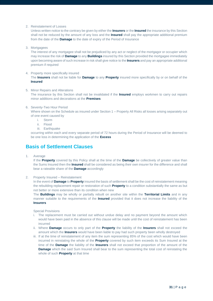2. Reinstatement of Losses

Unless written notice to the contrary be given by either the **Insurers** or the **Insured** the insurance by this Section shall not be reduced by the amount of any loss and the **Insured** shall pay the appropriate additional premium from the date of the **Damage** to the date of expiry of the Period of Insurance

3. Mortgagees

The interest of any mortgagee shall not be prejudiced by any act or neglect of the mortgagor or occupier which may increase the risk of **Damage** to any **Buildings** insured by this Section provided the mortgagee immediately upon becoming aware of such increase in risk shall give notice to the **Insurers** and pay an appropriate additional premium if required

4. Property more specifically insured

The **Insurers** shall not be liable for **Damage** to any **Property** insured more specifically by or on behalf of the **Insured**

5. Minor Repairs and Alterations The insurance by this Section shall not be invalidated if the **Insured** employs workmen to carry out repairs minor additions and decorations at the **Premises**

### 6. Seventy-Two Hour Period

Where shown on the Schedule as insured under Section 1 – Property All Risks all losses arising separately out of one event caused by

- i. Storm
- ii. Flood
- iii. Earthquake

occurring within each and every separate period of 72 hours during the Period of Insurance will be deemed to be one loss in determining the application of the **Excess** 

### **Basis of Settlement Clauses**

1. Average

If the **Property** covered by this Policy shall at the time of the **Damage** be collectively of greater value than the Sums Insured then the **Insured** shall be considered as being their own insurer for the difference and shall bear a rateable share of the **Damage** accordingly

### 2. Property Insured – Reinstatement

In the event of **Damage** to **Property** insured the basis of settlement shall be the cost of reinstatement meaning the rebuilding replacement repair or restoration of such **Property** to a condition substantially the same as but not better or more extensive than its condition when new

The **Buildings** may be wholly or partially rebuilt on another site within the **Territorial Limits** and in any manner suitable to the requirements of the **Insured** provided that it does not increase the liability of the **Insurers**

Special Provisions

- i. The replacement must be carried out without undue delay and no payment beyond the amount which would have been paid in the absence of this clause will be made until the cost of reinstatement has been incurred
- ii. Where **Damage** occurs to only part of the **Property** the liability of the **Insurers** shall not exceed the amount which the **Insurers** would have been liable to pay had such property been wholly destroyed
- iii. If at the time of reinstatement of any item the sum representing 85% of the cost which would have been incurred in reinstating the whole of the **Property** covered by such item exceeds its Sum Insured at the time of the **Damage** the liability of the **Insurers** shall not exceed that proportion of the amount of the **Damage** which the said Sum Insured shall bear to the sum representing the total cost of reinstating the whole of such **Property** at that time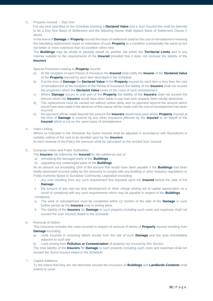### 3. Property Insured – Day One

For any item specified on the Schedule showing a **Declared Value** and a Sum Insured this shall be deemed to be a Day One Basis of Settlement and the following clause shall replace Basis of Settlement Clause 2 above

In the event of **Damage** to **Property** insured the basis of settlement shall be the cost of reinstatement meaning the rebuilding replacement repair or restoration of such **Property** to a condition substantially the same as but not better or more extensive than its condition when new

The **Buildings** may be wholly or partially rebuilt on another site within the **Territorial Limits** and in any manner suitable to the requirements of the **Insured** provided that it does not increase the liability of the **Insurers**

Special Provisions relating to **Property** insured

- a) At the inception of each Period of Insurance the **Insured** shall notify the **Insurer** of the **Declared Value** of the **Property** insured by each item described in the Schedule
- b) If at the time of **Damage** the **Declared Value** of the **Property** insured by each item is less than the cost of reinstatement at the inception of the Period of Insurance the liability of the **Insurers** shall not exceed the proportion which the **Declared Value** bears to the costs of such reinstatement
- c) Where **Damage** occurs to only part of the **Property** the liability of the **Insurers** shall not exceed the amount which the **Insurers** would have been liable to pay had such property been wholly destroyed
- d) The replacement must be carried out without undue delay and no payment beyond the amount which would have been paid in the absence of this clause will be made until the cost of reinstatement has been incurred
- e) No payment will be made beyond the amount the **Insurers** would have paid where **Property** insured at the time of **Damage** is covered by any other insurance effected by the **Insured** or on behalf of the **Insured** which is not on the same basis of reinstatement

### 4. Index Linking

Where so indicated in the Schedule the Sums Insured shall be adjusted in accordance with fluctuations in suitable indices of the cost to be decided upon by the **Insurers**

At each renewal of the Policy the premium shall be calculated on the revised Sum Insured

5. European Union and Public Authorities

The **Insurers** will indemnify the **Insured** for the additional cost of

- a) reinstating the damaged parts of the **Buildings**
- b) upgrading any undamaged parts of the **Buildings**

for an amount not exceeding 15% of the amount that would have been payable if the **Buildings** had been totally destroyed incurred solely by the necessity to comply with any building or other statutory regulations or Public Authority Bylaw or European Community Legislation excluding

i. any cost resulting from any such requirement first imposed upon the **Insured** before the date of the **Damage**

ii. the amount of any rate tax duty development or other charge arising out of capital appreciation as a result of complying with any such requirements which may be payable in respect of the **Buildings Conditions** 

- a. The work of reinstatement must be completed within 12 months of the date of the **Damage** or such further period as the **Insurers** may in writing allow
- b. The liability of the **Insurers** for **Damage** to such property including such costs and expenses shall not exceed the Sum Insured stated in the Schedule

### 6. Removal of Debris

This insurance includes the costs incurred in respect of removal of debris of **Property** insured resulting from **Damage** excluding

- a) costs incurred in removing debris except from the site of such **Damage** and the area immediately adjacent to such site
- b) costs arising from **Pollution or Contamination** of property not insured by this Section

The total liability of the **Insurers** for **Damage** to such property including such costs and expenses shall not exceed the Sums Insured stated in the Schedule

### 7. Capital Additions

To the extent that they are not otherwise insured the insurance of **Buildings** and **Landlords Contents** shall extend to cover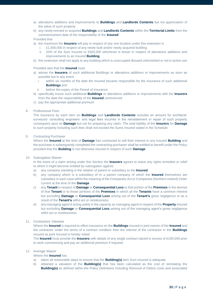- a) alterations additions and improvements to **Buildings** and **Landlords Contents** but not appreciation of the value of such property
- b) any newly erected or acquired **Buildings** and **Landlords Contents** within the **Territorial Limits** from the commencement date of the responsibility of the **Insured**

### Provided that

a) the maximum the **Insurers** will pay in respect of any one location under this extension is

- i. £1,000,000 in respect of any newly built and/or newly acquired building
	- ii. 20% of the Sum Insured or £500,000 whichever is lesser in respect of alterations additions and improvements to an insured **Building**
- b) this extension shall not apply to any building which is unoccupied disused unfurnished or not in active use

Provided also that the **Insured** must

- a) advise the **Insurers** of such additional Buildings or alterations additions or improvements as soon as possible but in any event
	- i. within six months of the date the Insured became responsible for the insurance of such additional **Buildings** and
	- ii. before the expiry of the Period of Insurance
- b) specifically insure such additional **Buildings** or alterations additions or improvements with the **Insurers** from the date the responsibility of the **Insured** commenced
- c) pay the appropriate additional premium
- 8. Professional Fees

The insurance by each item on **Buildings** and **Landlords Contents** includes an amount for architects' surveyors' consulting engineers' and legal fees incurred in the reinstatement or repair of such property consequent upon its **Damage** but not for preparing any claim. The total liability of the **Insurers** for **Damage** to such property including such fees shall not exceed the Sums Insured stated in the Schedule

9. Contracting Purchaser

Where the **Insured** at the time of **Damage** has contracted to sell their interest in any insured **Building** and the purchase is subsequently completed the contracting purchaser shall be entitled to benefit under the Policy provided that the **Building** is not otherwise insured in respect of such **Damage** 

10. Subrogation Waiver

In the event of a claim arising under this Section the **Insurers** agrees to waive any rights remedies or relief to which it might become entitled by subrogation against

- a) any company standing in the relation of parent or subsidiary to the **Insured**
- b) any company which is a subsidiary of or a parent company of which the **Insured** themselves are subsidiary in each case within the meaning of the Companies Act or Companies (Northern Ireland) Order current at the time of the **Damage**
- c) any **Tenant** in respect of **Damage** or **Consequential Loss** to that portion of the **Premises** in the demise of that **Tenant** or to those portions of the **Premises** in which all the **Tenants** have a common interest but excluding **Damage** or **Consequential Loss** arising out of the **Tenant's** gross negligence or as a result of the **Tenant's** wilful act or recklessness
- d) any managing agent if acting solely in the capacity as managing agent in respect of the **Property** insured but excluding **Damage** or **Consequential Loss** arising out of the managing agent's gross negligence wilful act or recklessness
- 11. Contractors' Interests

Where the **Insured** is required to effect insurance on the **Buildings** insured in joint names of the **Insured** and the contractor under the terms of a contract condition then the interest of the contractor in the **Buildings** insured as joint Insured is hereby noted

The **Insured** must provide the **Insurers** with details of any single contract valued in excess of £100,000 prior to work commencing and pay an additional premium if required

- 12. Average Waiver
	- Where the **Insured** has
	- a) taken all reasonable steps to ensure that the **Building(s)** item Sum Insured is adequate
	- b) obtained a valuation of the **Building(s)** that has been calculated as the cost of reinstating the **Building(s)** as defined within the Policy Definitions including Removal of Debris costs and associated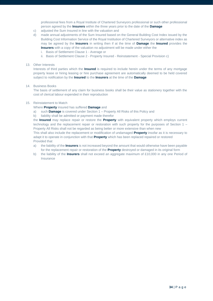professional fees from a Royal Institute of Chartered Surveyors professional or such other professional person agreed by the **Insurers** within the three years prior to the date of the **Damage**

- c) adjusted the Sum Insured in line with the valuation and
- d) made annual adjustments of the Sum Insured based on the General Building Cost Index issued by the Building Cost Information Service of the Royal Institution of Chartered Surveyors or alternative index as may be agreed by the **Insurers** in writing then if at the time of **Damage** the **Insured** provides the **Insurers** with a copy of the valuation no adjustment will be made under either the
	- i. Basis of Settlement Clause 1 Average or
	- ii. Basis of Settlement Clause 2 Property Insured Reinstatement Special Provision c)

### 13. Other Interests

Interests of third parties which the **Insured** is required to include herein under the terms of any mortgage property lease or hiring leasing or hire purchase agreement are automatically deemed to be held covered subject to notification by the **Insured** to the **Insurers** at the time of the **Damage** 

### 14. Business Books

The basis of settlement of any claim for business books shall be their value as stationery together with the cost of clerical labour expended in their reproduction

### 15. Reinstatement to Match

Where **Property** insured has suffered **Damage** and

- a) such **Damage** is covered under Section 1 Property All Risks of this Policy and
- b) liability shall be admitted or payment made therefor

the **Insured** may replace repair or restore the **Property** with equivalent property which employs current technology and the replacement repair or restoration with such property for the purposes of Section 1 – Property All Risks shall not be regarded as being better or more extensive than when new

This shall also include the replacement or modification of undamaged **Property** insofar as it is necessary to adapt it to operate in conjunction with that **Property** which has been replaced repaired or restored Provided that

- a) the liability of the **Insurers** is not increased beyond the amount that would otherwise have been payable for the replacement repair or restoration of the **Property** destroyed or damaged in its original form
- b) the liability of the **Insurers** shall not exceed an aggregate maximum of £10,000 in any one Period of Insurance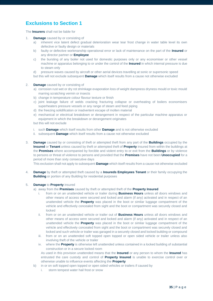# **Exclusions to Section 1**

The **Insurers** shall not be liable for

- 1. **Damage** caused by or consisting of
	- a) inherent vice latent defect gradual deterioration wear tear frost change in water table level its own defective or faulty design or materials
	- b) faulty or defective workmanship operational error or lack of maintenance on the part of the **Insured** or any director partner or **Employee**
	- c) the bursting of any boiler not used for domestic purposes only or any economiser or other vessel machine or apparatus belonging to or under the control of the **Insured** in which internal pressure is due to steam only
	- d) pressure waves caused by aircraft or other aerial devices travelling at sonic or supersonic speed
	- but this will not exclude subsequent **Damage** which itself results from a cause not otherwise excluded
- 2. **Damage** caused by or consisting of
	- a) corrosion rust wet or dry rot shrinkage evaporation loss of weight dampness dryness mould or toxic mould marring scratching vermin or insects
	- b) change in temperature colour flavour texture or finish
	- c) joint leakage failure of welds cracking fracturing collapse or overheating of boilers economisers superheaters pressure vessels or any range of steam and feed piping
	- d) the freezing solidification or inadvertent escape of molten material
	- e) mechanical or electrical breakdown or derangement in respect of the particular machine apparatus or equipment in which the breakdown or derangement originates
	- but this will not exclude
	- i. such **Damage** which itself results from other **Damage** and is not otherwise excluded
	- ii. subsequent **Damage** which itself results from a cause not otherwise excluded
- 3. **Damage** caused by or consisting of theft or attempted theft from any part of the **Buildings** occupied by the **Insured** or **Tenant** unless caused by theft or attempted theft of **Property** insured from within the buildings at the **Premises** where accompanied by forcible and violent entry to or exit from the **Buildings** or by violence to persons or threat of violence to persons and provided that the **Premises** have not been **Unoccupied** for a period of more than sixty consecutive days

This exclusion shall not apply to subsequent **Damage** which itself results from a cause not otherwise excluded

4. **Damage** by theft or attempted theft caused by a **Insureds Employees Tenant** or their family occupying the **Building** or portion of any Building for residential purposes

### 5. **Damage** to **Property** insured

- a) away from the **Premises** caused by theft or attempted theft of the **Property Insured**
	- i. from or on an unattended vehicle or trailer during **Business Hours** unless all doors windows and other means of access were secured and locked and alarm (if any) activated and in respect of an unattended vehicle the **Property** was placed in the boot or similar luggage compartment of the vehicle and effectively concealed from sight and the boot or compartment was securely closed and locked
	- ii. from or on an unattended vehicle or trailer out of **Business Hours** unless all doors windows and other means of access were secured and locked and alarm (if any) activated and in respect of an unattended vehicle the **Property** was placed in the boot or similar luggage compartment of the vehicle and effectively concealed from sight and the boot or compartment was securely closed and locked and such vehicle or trailer was garaged in a securely closed and locked building or compound
	- iii. from or on an unattended soft topped open topped or open sided vehicle or trailer unless also involving theft of the vehicle or trailer
	- iv. where the **Property** is otherwise left unattended unless contained in a locked building of substantial construction or in a secure locked room
		- As used in this provision unattended means that the **Insured** or any person to whom the **Insured** has entrusted the care custody and control of **Property Insured** is unable to exercise control over or otherwise unable to influence events affecting the **Property**
- b) in or on soft topped open topped or open sided vehicles or trailers if caused by
	- i. storm tempest water hail frost or snow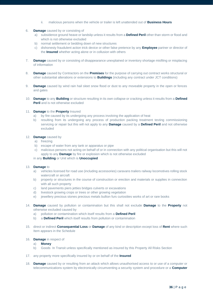- ii. malicious persons when the vehicle or trailer is left unattended out of **Business Hours**
- 6. **Damage** caused by or consisting of
	- a) subsidence ground heave or landslip unless it results from a **Defined Peril** other than storm or flood and which is not otherwise excluded
	- b) normal settlement or bedding down of new structures
	- c) dishonesty fraudulent action trick device or other false pretence by any **Employee** partner or director of the **Insured** whether acting alone or in collusion with others
- 7. **Damage** caused by or consisting of disappearance unexplained or inventory shortage misfiling or misplacing of information
- 8. **Damage** caused by Contractors on the **Premises** for the purpose of carrying out contract works structural or other substantial alterations or extensions to **Buildings** (including any contract under JCT conditions)
- 9. **Damage** caused by wind rain hail sleet snow flood or dust to any moveable property in the open or fences and gates
- 10. **Damage** to any **Building** or structure resulting in its own collapse or cracking unless it results from a **Defined Peril** and is not otherwise excluded
- 11. **Damage** to the **Property** Insured
	- a) by fire caused by its undergoing any process involving the application of heat
	- b) resulting from its undergoing any process of production packing treatment testing commissioning servicing or repair but this will not apply to any **Damage** caused by a **Defined Peril** and not otherwise excluded

### 12. **Damage** caused by

- a) freezing
- b) escape of water from any tank or apparatus or pipe
- c) malicious persons not acting on behalf of or in connection with any political organisation but this will not apply to any **Damage** by fire or explosion which is not otherwise excluded

### in any **Building** or Unit which is **Unoccupied**

- 13. **Damage** to
	- a) vehicles licensed for road use (including accessories) caravans trailers railway locomotives rolling stock watercraft or aircraft
	- b) property or structures in the course of construction or erection and materials or supplies in connection with all such property
	- c) land pavements piers jetties bridges culverts or excavations
	- d) livestock growing crops or trees or other growing vegetation
	- e) jewellery precious stones precious metals bullion furs curiosities works of art or rare books
- 14. **Damage** caused by pollution or contamination but this shall not exclude **Damage** to the **Property** not otherwise excluded caused by
	- a) pollution or contamination which itself results from a **Defined Peril**
	- b) a **Defined Peril** which itself results from pollution or contamination
- 15. direct or indirect **Consequential Loss** or **Damage** of any kind or description except loss of **Rent** where such Item appears in the Schedule
- 16. **Damage** in respect of
	- a) **Money**
	- b) Goods In Transit unless specifically mentioned as insured by this Property All Risks Section
- 17. any property more specifically insured by or on behalf of the **Insured**
- 18. **Damage** caused by or resulting from an attack which allows unauthorised access to or use of a computer or telecommunications system by electronically circumventing a security system and procedure or a **Computer**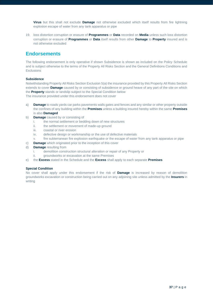**Virus** but this shall not exclude **Damage** not otherwise excluded which itself results from fire lightning explosion escape of water from any tank apparatus or pipe

19. loss distortion corruption or erasure of **Programmes** or **Data** recorded on **Media** unless such loss distortion corruption or erasure of **Programmes** or **Data** itself results from other **Damage** to **Property** insured and is not otherwise excluded

### **Endorsements**

The following endorsement is only operative if shown Subsidence is shown as included on the Policy Schedule and is subject otherwise to the terms of the Property All Risks Section and the General Definitions Conditions and **Exclusions** 

### **Subsidence**

Notwithstanding Property All Risks Section Exclusion 5(a) the insurance provided by this Property All Risks Section extends to cover **Damage** caused by or consisting of subsidence or ground heave of any part of the site on which the **Property** stands or landslip subject to the Special Condition below The insurance provided under this endorsement does not cover

a) **Damage** to roads yards car parks pavements walls gates and fences and any similar or other property outside the confines of any building within the **Premises** unless a building insured hereby within the same **Premises** is also **Damaged**

- b) **Damage** caused by or consisting of
	- i. the normal settlement or bedding down of new structures
	- ii. the settlement or movement of made-up ground
	- iii. coastal or river erosion
	- iv. defective design or workmanship or the use of defective materials
	- v. fire subterranean fire explosion earthquake or the escape of water from any tank apparatus or pipe
- c) **Damage** which originated prior to the inception of this cover
- d) **Damage** resulting from
	- i. demolition construction structural alteration or repair of any Property or
	- ii. groundworks or excavation at the same Premises
- e) the **Excess** stated in the Schedule and the **Excess** shall apply to each separate **Premises**

### **Special Condition**

No cover shall apply under this endorsement if the risk of **Damage** is increased by reason of demolition groundworks excavation or construction being carried out on any adjoining site unless admitted by the **Insurers** in writing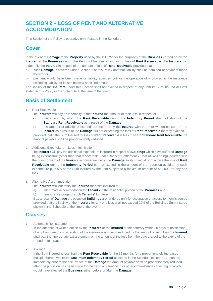# **SECTION 2 – LOSS OF RENT AND ALTERNATIVE ACCOMMODATION**

This Section of the Policy is operative only if stated in the Schedule

### **Cover**

In the event of **Damage** to the **Property** used by the **Insured** for the purposes of the **Business** carried on by the **Insured** at the **Premises** during the Period of Insurance resulting in loss of **Rent Receivable** the **Insurers** will indemnify the **Insured** in respect of the amount of loss of **Rent Receivable** provided that

- a) such **Damage** is covered under Section 1 of this Policy and that liability shall be admitted or payment made therefor or
- b) payment would have been made or liability admitted but for the operation of a proviso in the insurance excluding liability for losses below a specified amount

The liability of the **Insurers** under this Section shall not exceed in respect of any item its Sum Insured or Limit stated in this Policy or the Schedule at the time of the event

# **Basis of Settlement**

1. Rent Receivable

The **Insurers** will pay as indemnity to the **Insured** the amount of their loss in respect of

- a) the amount by which the **Rent Receivable** during the **Indemnity Period** shall fall short of the **Standard Rent Receivable** as a result of the **Damage**
- b) the amount of additional expenditure incurred by the **Insured** with the prior written consent of the **Insurer** as a result of the **Damage** but not exceeding the loss of **Rent Receivable** thereby avoided provided that if the Sum Insured for loss of **Rent Receivable** is less than the **Standard Rent Receivable** the amount payable shall be proportionately reduced

### 2. Additional Expenditure – Loss minimisation

The **Insurers** will pay the additional expenditure incurred in respect of **Buildings** which have suffered **Damage** being expenditure (other than that recoverable under Basis of Settlement 2 Cost of Re-Letting) incurred with the prior consent of the **Insu**rers in consequence of the **Damage** solely to avoid or minimise the loss of **Rent Receivable** during the **Indemnity Period** but not exceeding the amount of the reduction avoided by such expenditure plus 5% of the Sum Insured by the item subject to a maximum amount of £50,000 for any one loss

### 3. Alternative Accommodation

- The **Insurers** will indemnify the **Insured** for costs incurred for
- a) alternative accommodation for **Tenants** in the residential portion of the **Premises** and
- b) temporary storage of such **Tenants'** furniture

if as a result of **Damage** the occupied **Buildings** are rendered unfit for occupation or access to them is denied provided that the liability of the **Insurers** for any one loss shall not exceed 20% of the Buildings Sum Insured shown in the Schedule at the time of the event

### **Clauses**

1. Automatic Reinstatement

In the absence of written notice by the **Insurers** or the **Insured** to the contrary within 30 days of notification of any loss then in consideration of the insurance not being reduced by the amount of such loss the **Insured** shall pay the appropriate extra premium on the amount of the loss from the date thereof to the expiry of the Period of Insurance

2. Average

If the Sum Insured is less than the **Rent Receivable** for the 12 months (or a proportionately increased multiple thereof where the **Maximum Indemnity Period** as stated in the Schedule exceeds 12 months) immediately prior to the occurrence of the **Damage** the amount payable shall be proportionately reduced after due provision has been made for the trend or variation in or other circumstances affecting or which would have affected the **Business** either before or after the **Damage**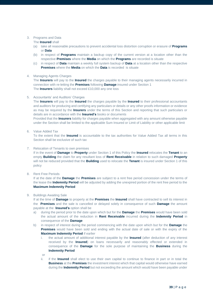### 3. Programs and Data

The **Insured** shall

- (a) take all reasonable precautions to prevent accidental loss distortion corruption or erasure of **Programs** or **Data**
- (b) in respect of **Programs** maintain a backup copy of the current version at a location other than the respective **Premises** where the **Media** on which the **Programs** are recorded is situate
- (c) in respect of **Data** maintain a weekly full system backup of **Data** at a location other than the respective **Premises** where the **Media** on which the **Data** is recorded is situate

### 4. Managing Agents Charges

The **Insurers** will pay to the **Insured** the charges payable to their managing agents necessarily incurred in connection with re-letting the **Premises** following **Damage** insured under Section 1 The **Insurers** liability shall not exceed £10,000 any one loss

### 5. Accountants' and Auditors' Charges

The **Insurers** will pay to the **Insured** the charges payable by the **Insured** to their professional accountants and auditors for producing and certifying any particulars or details or any other proofs information or evidence as may be required by the **Insurers** under the terms of this Section and reporting that such particulars or details are in accordance with the **Insured's** books or documents

Provided that the **Insurers** liability for charges payable when aggregated with any amount otherwise payable under the Section shall be limited to the applicable Sum Insured or Limit of Liability or other applicable limit

### 6. Value Added Tax

To the extent that the **Insured** is accountable to the tax authorities for Value Added Tax all terms in this Section shall be exclusive of such tax

### 7. Relocation of Tenants to own premises

If in the event of **Damage** to **Property** under Section 1 of this Policy the **Insured** relocates the **Tenant** to an empty **Building** the claim for any resultant loss of **Rent Receivable** in relation to such damaged **Property** will not be reduced provided that the **Building** used to relocate the **Tenant** is insured under Section 1 of this policy

8. Rent Free Periods

If at the date of the **Damage** the **Premises** are subject to a rent free period concession under the terms of the lease the **Indemnity Period** will be adjusted by adding the unexpired portion of the rent free period to the **Maximum Indemnity Period** 

### 9. Buildings Awaiting Sale

If at the time of **Damage** to property at the **Premises** the **Insured** shall have contracted to sell its interest in the **Premises** and the sale is cancelled or delayed solely in consequence of such **Damage** the amount payable at the **Insured's** option shall be

- a) during the period prior to the date upon which but for the **Damage** the **Premises** would have been sold the actual amount of the reduction in **Rent Receivable** incurred during the **Indemnity Period** in consequence of the **Damage**
- b) in respect of interest during the period commencing with the date upon which but for the **Damage** the **Premises** would have been sold and ending with the actual date of sale or with the expiry of the **Maximum Indemnity Period** if earlier
	- i. the actual amount of additional interest payable by the **Insured** (after deduction of any interest received by the **Insured**) on loans necessarily and reasonably effected or extended in consequence of the **Damage** for the sole purpose of maintaining the **Business** during the **Indemnity Period**
	- or
	- ii. if the **Insured** shall elect to use their own capital to continue to finance in part or in total the **Business** at the **Premises** the investment interest which that capital would otherwise have earned during the **Indemnity Period** but not exceeding the amount which would have been payable under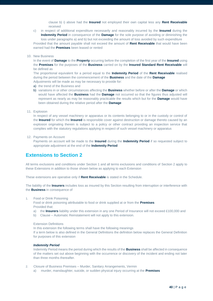clause b) i) above had the **Insured** not employed their own capital less any **Rent Receivable** received

c) in respect of additional expenditure necessarily and reasonably incurred by the **Insured** during the **Indemnity Period** in consequence of the **Damage** for the sole purpose of avoiding or diminishing the loss under paragraphs a) and b) but not exceeding the amount of loss avoided by such expenditure Provided that the amount payable shall not exceed the amount of **Rent Receivable** that would have been earned had the **Premises** been leased or rented

#### 10. New Business

In the event of **Damage** to the **Property** occurring before the completion of the first year of the **Insured** using the **Premises** for the purposes of the **Business** carried on by the **Insured Standard Rent Receivable** will be defined as

The proportional equivalent for a period equal to the **Indemnity Period** of the **Rent Receivable** realised during the period between the commencement of the **Business** and the date of the **Damage**

- Adjustments will be made as may be necessary to provide for:
- a) the trend of the Business and
- b) variations in or other circumstances affecting the **Business** whether before or after the **Damage** or which would have affected the **Business** had the **Damage** not occurred so that the figures thus adjusted will represent as nearly as may be reasonably practicable the results which but for the **Damage** would have been obtained during the relative period after the **Damage**
- 11. Explosion

In respect of any vessel machinery or apparatus or its contents belonging to or in the custody or control of the **Insured** for which the **Insured** is responsible cover against destruction or damage thereto caused by an explosion originating therein is subject to a policy or other contract providing an inspection service that complies with the statutory regulations applying in respect of such vessel machinery or apparatus

12. Payments on Account

Payments on account will be made to the **Insured** during the **Indemnity Period** if so requested subject to appropriate adjustment at the end of the **Indemnity Period**

### **Extensions to Section 2**

All terms exclusions and conditions under Section 1 and all terms exclusions and conditions of Section 2 apply to these Extensions in addition to those shown below as applying to each Extension

These extensions are operative only if **Rent Receivable** is stated in the Schedule.

The liability of the **Insurers** includes loss as insured by this Section resulting from interruption or interference with the **Business** in consequence of

1. Food or Drink Poisoning

Food or drink poisoning attributable to food or drink supplied at or from the **Premises** Provided that:

- a) the **Insurers** liability under this extension in any one Period of Insurance will not exceed £100,000 and
- b) Clause Automatic Reinstatement will not apply to this extension.

### Extension Definitions

In this extension the following terms shall have the following meanings

If a term below is also defined in the General Definitions the definition below replaces the General Definition for purposes of this extension

### *Indemnity Period*

Indemnity Period means the period during which the results of the **Business** shall be affected in consequence of the matters set out above beginning with the occurrence or discovery of the incident and ending not later than three months thereafter.

- 2. Closure of Business Premises Murder, Sanitary Arrangements, Vermin
	- a) murder, manslaughter, suicide, or sudden physical injury occurring at the **Premises**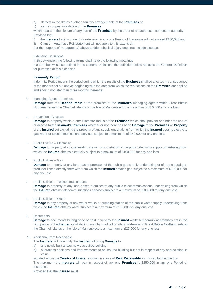- b) defects in the drains or other sanitary arrangements at the **Premises** or
- c) vermin or pest infestation of the **Premises**

which results in the closure of any part of the **Premises** by the order of an authorised competent authority. Provided that:

i) the **Insurers** liability under this extension in any one Period of Insurance will not exceed £100,000 and ii) Clause – Automatic Reinstatement will not apply to this extension.

For the purpose of Paragraph a) above sudden physical injury does not include disease.

### Extension Definitions

In this extension the following terms shall have the following meanings

If a term below is also defined in the General Definitions the definition below replaces the General Definition for purposes of this extension

### *Indemnity Period*

Indemnity Period means the period during which the results of the **Business** shall be affected in consequence of the matters set out above, beginning with the date from which the restrictions on the **Premises** are applied and ending not later than three months thereafter.

### 3. Managing Agents Premises

**Damage** from the **Defined Perils** at the premises of the **Insured's** managing agents within Great Britain Northern Ireland the Channel Islands or the Isle of Man subject to a maximum of £10,000 any one loss

### 4. Prevention of Access

**Damage** to property within a one kilometre radius of the **Premises** which shall prevent or hinder the use of or access to the **Insured's Premises** whether or not there has been **Damage** to the **Premises** or **Property** of the **Insured** but excluding the property of any supply undertaking from which the **Insured** obtains electricity gas water or telecommunications services subject to a maximum of £50,000 for any one loss

### 5. Public Utilities – Electricity

**Damage** to property at any generating station or sub-station of the public electricity supply undertaking from which the **Insured** obtains electricity subject to a maximum of £100,000 for any one loss

### 6. Public Utilities – Gas

**Damage** to property at any land based premises of the public gas supply undertaking or of any natural gas producer linked directly therewith from which the **Insured** obtains gas subject to a maximum of £100,000 for any one loss

### 7. Public Utilities – Telecommunications

**Damage** to property at any land based premises of any public telecommunications undertaking from which the **Insured** obtains telecommunications services subject to a maximum of £100,000 for any one loss

#### 8. Public Utilities – Water

**Damage** to any property at any water works or pumping station of the public water supply undertaking from which the **Insured** obtains water subject to a maximum of £100,000 for any one loss

#### 9. Documents

**Damage** to documents belonging to or held in trust by the **Insured** whilst temporarily at premises not in the occupation of the **Insured** or whilst in transit by road rail or inland waterway in Great Britain Northern Ireland the Channel Islands or the Isle of Man subject to a maximum of £25,000 for any one loss

### 10. Additional Rent Receivable

The **Insurers** will indemnify the **Insured** following **Damage** to

- a) any newly built and/or newly acquired building
- b) alterations additions and improvements to an insured building but not in respect of any appreciation in value

situated within the **Territorial Limits** resulting in a loss of **Rent Receivable** as insured by this Section The maximum the **Insurers** will pay in respect of any one **Premises** is £250,000 in any one Period of Insurance

Provided that the **Insured** must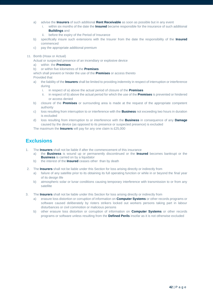- a) advise the **Insurers** of such additional **Rent Receivable** as soon as possible but in any event
	- i. within six months of the date the **Insured** became responsible for the insurance of such additional **Buildings** and
	- ii. before the expiry of the Period of Insurance
- b) specifically insure such extensions with the Insurer from the date the responsibility of the **Insured** commenced
- c) pay the appropriate additional premium
- 11. Bomb (Hoax or Actual)

Actual or suspected presence of an incendiary or explosive device

a) within the **Premises**

b) or within five kilometres of the **Premises**

which shall prevent or hinder the use of the **Premises** or access thereto

Provided that

- a) the liability of the **Insurers** shall be limited to providing indemnity in respect of interruption or interference during
	- i. in respect of a) above the actual period of closure of the **Premises**
	- ii. in respect of b) above the actual period for which the use of the **Premises** is prevented or hindered or access denied
- b) closure of the **Premises** or surrounding area is made at the request of the appropriate competent authority
- c) loss resulting from interruption to or interference with the **Business** not exceeding two hours in duration is excluded
- d) loss resulting from interruption to or interference with the **Business** in consequence of any **Damage** caused by the device (as opposed to its presence or suspected presence) is excluded

The maximum the **Insurers** will pay for any one claim is £25,000

# **Exclusions**

- 1. The **Insurers** shall not be liable if after the commencement of this insurance
	- a) the **Business** is wound up or permanently discontinued or the **Insured** becomes bankrupt or the **Business** is carried on by a liquidator
	- b) the interest of the **Insured** ceases other than by death
- 2. The **Insurers** shall not be liable under this Section for loss arising directly or indirectly from
	- a) failure of any satellite prior to its obtaining its full operating function or while in or beyond the final year of its design life
	- b) atmospheric solar or lunar conditions causing temporary interference with transmission to or from any satellite
- 3. The **Insurers** shall not be liable under this Section for loss arising directly or indirectly from
	- a) erasure loss distortion or corruption of information on **Computer Systems** or other records programs or software caused deliberately by rioters strikers locked out workers persons taking part in labour disturbances or civil commotion or malicious persons
	- b) other erasure loss distortion or corruption of information on **Computer Systems** or other records programs or software unless resulting from the **Defined Perils** insofar as it is not otherwise excluded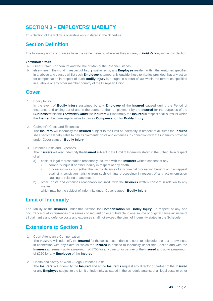# **SECTION 3 – EMPLOYERS' LIABILITY**

This Section of the Policy is operative only if stated in the Schedule

### **Section Definition**

The following words or phrases have the same meaning wherever they appear, in *bold italics*, within this Section.

### *Territorial Limits*

- a. Great Britain Northern Ireland the Isle of Man or the Channel Islands
- b. elsewhere in the world in respect of **Injury** sustained by any **Employee** resident within the territories specified in a. above and caused whilst such **Employee** is temporarily outside these territories provided that any action for compensation in respect of such **Bodily Injury** is brought in a court of law within the territories specified in a. above or any other member country of the European Union

### **Cover**

1. Bodily Injury

In the event of **Bodily Injury** sustained by any **Employee** of the **Insured** caused during the Period of Insurance and arising out of and in the course of their employment by the **Insured** for the purposes of the **Business** within the *Territorial Limits* the **Insurers** will indemnify the **Insured** in respect of all sums for which the **Insured** become legally liable to pay as **Compensation** for **Bodily Injury**

2. Claimant's Costs and Expenses

The **Insurers** will indemnify the **Insured** subject to the Limit of Indemnity in respect of all sums the **Insured** shall become legally liable to pay as claimants' costs and expenses in connection with the indemnity provided under Cover clause - **Bodily Injury**

3. Defence Costs and Expenses

The **Insurers** will also indemnify the **Insured** subject to the Limit of Indemnity stated in the Schedule in respect of all

- a) costs of legal representation reasonably incurred with the **Insurers** written consent at any
	- i. coroner's inquest or other inquiry in respect of any death
	- ii. proceeding in a court (other than in the defence of any criminal proceeding brought or in an appeal against a conviction arising from such criminal proceeding) in respect of any act or omission causing or relating to any matter
- b) other costs and expenses reasonably incurred with the **Insurers** written consent in relation to any matter

which may be the subject of indemnity under Cover clause - **Bodily Injury**

### **Limit of Indemnity**

The liability of the **Insurers** under this Section for **Compensation** for **Bodily Injury** in respect of any one occurrence or all occurrences of a series consequent on or attributable to one source or original cause inclusive of all claimant's and defence costs and expenses shall not exceed the Limit of Indemnity stated in the Schedule

### **Extensions to Section 3**

1. Court Attendance Compensation

The **Insurers** will indemnify the **Insured** for the costs of attendance at court to help defend or act as a witness in connection with any claim for which the **Insured** is entitled to indemnity under this Section and with the **Insurers** agreement up to a maximum of £750 for any director or partner of the **Insured** and up to a maximum of £250 for any **Employee** of the **Insured**

2. Health and Safety at Work – Legal Defence Costs The **Insurers** will indemnify the **Insured** and at the **Insured's** request any director or partner of the **Insured**  or any **Employee** subject to the Limit of Indemnity as stated in the schedule against of all legal costs or other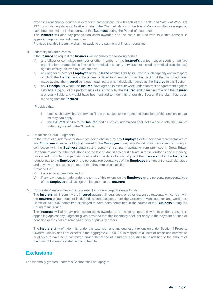expenses reasonably incurred in defending prosecutions for a breach of the Health and Safety at Work Act 1974 or similar legislation in Northern Ireland the Channel Islands or the Isle of Man committed or alleged to have been committed in the course of the **Business** during the Period of Insurance

The **Insurers** will also pay prosecution costs awarded and the costs incurred with its written consent in appealing against any judgment given

Provided that this indemnity shall not apply to the payment of fines or penalties

### 3. Indemnity to Other Parties

If the **Insured** so request the **Insurers** will indemnify the following parties

- a) any officer or committee member or other member of the **Insured's** canteen social sports or welfare organisations or ambulance first aid fire medical or security services (but excluding medical practitioners) against liability incurred in such capacity
- b) any partner director or **Employee** of the **Insured** against liability incurred in such capacity and in respect of which the **Insured** would have been entitled to indemnity under this Section if the claim had been made against the **Insured** as though each party was individually named as the **Insured** in this Section
- c) any **Principal** for whom the **Insured** have agreed to execute work under contract or agreement against liability arising out of the performance of such work by the **Insured** and in respect of which the **Insured** are legally liable and would have been entitled to indemnity under this Section if the claim had been made against the **Insured**

### Provided that

- i. each such party shall observe fulfil and be subject to the terms and conditions of this Section insofar as they can apply
- ii. the **Insurers** liability to the **Insured** and all parties indemnified shall not exceed in total the Limit of Indemnity stated in the Schedule
- 4. Unsatisfied Court Judgments

In the event of a judgment for damages being obtained by any **Employee** or the personal representatives of any **Employee** in respect of **Injury** caused to the **Employee** during any Period of Insurance and occurring in connection with the **Business** against any person or company operating from premises in Great Britain Northern Ireland the Channel Islands or the Isle of Man in any court situate in these territories and remaining unsatisfied in whole or in part six months after the date of such judgment the **Insurers** will at the **Insured's** request pay to the **Employee** or the personal representatives of the **Employee** the amount of such damages and any awarded costs to the extent that they remain unsatisfied Provided that

- a) there is no appeal outstanding
- b) if any payment is made under the terms of this extension the **Employee** or the personal representatives of the **Employee** shall assign the judgment to the **Insurers**

### 5. Corporate Manslaughter and Corporate Homicide – Legal Defence Costs

The **Insurers** will indemnify the **Insured** against all legal costs or other expenses reasonably incurred with the **Insurers** written consent in defending prosecutions under the Corporate Manslaughter and Corporate Homicide Act 2007 committed or alleged to have been committed in the course of the **Business** during the Period of Insurance

The **Insurers** will also pay prosecution costs awarded and the costs incurred with its written consent in appealing against any judgment given provided that this indemnity shall not apply to the payment of fines or penalties or the costs of remedial orders or publicity orders.

The **Insurers** Limit of Indemnity under this extension and any equivalent extension under Section 4 Property Owners Liability shall not exceed in the aggregate £1,000,000 in respect of all acts or omissions committed or alleged to have been committed during the Period of Insurance and shall be in addition to the amount of the Limit of Indemnity stated in the Schedule

### **Exclusions**

The indemnity granted under this Section shall not apply to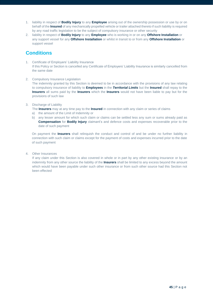- 1. liability in respect of **Bodily Injury** to any **Employee** arising out of the ownership possession or use by or on behalf of the **Insured** of any mechanically propelled vehicle or trailer attached thereto if such liability is required by any road traffic legislation to be the subject of compulsory insurance or other security
- 2. liability in respect of **Bodily Injury** to any **Employee** who is working in or on any **Offshore Installation** or any support vessel for any **Offshore Installation** or whilst in transit to or from any **Offshore Installation** or support vessel

# **Conditions**

- 1. Certificate of Employers' Liability Insurance If this Policy or Section is cancelled any Certificate of Employers' Liability Insurance is similarly cancelled from the same date
- 2. Compulsory Insurance Legislation

The indemnity granted by this Section is deemed to be in accordance with the provisions of any law relating to compulsory insurance of liability to **Employees** in the *Territorial Limits* but the **Insured** shall repay to the **Insurers** all sums paid by the **Insurers** which the **Insurers** would not have been liable to pay but for the provisions of such law

3. Discharge of Liability

The **Insurers** may at any time pay to the **Insured** in connection with any claim or series of claims

- a) the amount of the Limit of Indemnity or
- b) any lesser amount for which such claim or claims can be settled less any sum or sums already paid as **Compensation** for **Bodily Injury** claimant's and defence costs and expenses recoverable prior to the date of such payment

On payment the **Insurers** shall relinquish the conduct and control of and be under no further liability in connection with such claim or claims except for the payment of costs and expenses incurred prior to the date of such payment

4. Other Insurances

If any claim under this Section is also covered in whole or in part by any other existing insurance or by an indemnity from any other source the liability of the **Insurers** shall be limited to any excess beyond the amount which would have been payable under such other insurance or from such other source had this Section not been effected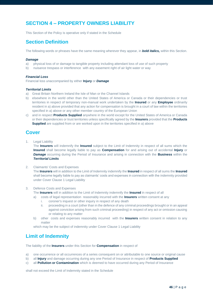# **SECTION 4 – PROPERTY OWNERS LIABILITY**

This Section of the Policy is operative only if stated in the Schedule

### **Section Definition**

The following words or phrases have the same meaning wherever they appear, in *bold italics,* within this Section.

### *Damage*

- a) physical loss of or damage to tangible property including attendant loss of use of such property
- b) nuisance trespass or interference with any easement right of air light water or way

### *Financial Loss*

Financial loss unaccompanied by either **Injury** or *Damage*

### *Territorial Limits*

- a) Great Britain Northern Ireland the Isle of Man or the Channel Islands
- b) elsewhere in the world other than the United States of America or Canada or their dependencies or trust territories in respect of temporary non-manual work undertaken by the **Insured** or any **Employee** ordinarily resident in a) above provided that any action for compensation is brought in a court of law within the territories specified in a) above or any other member country of the European Union
- c) and in respect **Products Supplied** anywhere in the world except for the United States of America or Canada or their dependencies or trust territories unless specifically agreed by the **Insurers** provided that the **Products Supplied** are supplied from or are worked upon in the territories specified in a) above

### **Cover**

1. Legal Liability

The **Insurers** will indemnify the **Insured** subject to the Limit of Indemnity in respect of all sums which the **Insured** shall become legally liable to pay as **Compensation** for and arising out of accidental **Injury** or *Damage* occurring during the Period of Insurance and arising in connection with the **Business** within the *Territorial Limits*

2. Claimants' Costs and Expenses

The **Insurers** will in addition to the Limit of Indemnity indemnify the **Insured** in respect of all sums the **Insured** shall become legally liable to pay as claimants' costs and expenses in connection with the indemnity provided under Cover Clause 1 Legal Liability

- 3. Defence Costs and Expenses
	- The **Insurers** will in addition to the Limit of Indemnity indemnify the **Insured** in respect of all
	- a) costs of legal representation reasonably incurred with the **Insurers** written consent at any
		- i. coroner's inquest or other inquiry in respect of any death
		- ii. proceeding in a court (other than in the defence of any criminal proceedings brought or in an appeal against conviction arising from such criminal proceeding) in respect of any act or omission causing or relating to any matter
	- b) other costs and expenses reasonably incurred with the **Insurers** written consent in relation to any matter

which may be the subject of indemnity under Cover Clause 1 Legal Liability

# **Limit of Indemnity**

The liability of the **Insurers** under this Section for **Compensation** in respect of

- a) one occurrence or all occurrences of a series consequent on or attributable to one source or original cause
- b) all **Injury** and damage occurring during any one Period of Insurance in respect of **Products Supplied**
- c) all **Pollution or Contamination** which is deemed to have occurred during any Period of Insurance

shall not exceed the Limit of Indemnity stated in the Schedule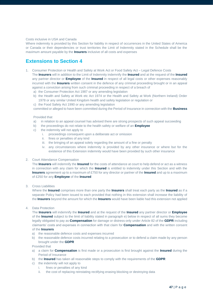### Costs inclusive in USA and Canada

Where indemnity is provided by this Section for liability in respect of occurrences in the United States of America or Canada or their dependencies or trust territories the Limit of Indemnity stated in the Schedule shall be the maximum amount payable by the **Insurers** inclusive of all costs and expenses

### **Extensions to Section 4**

- 1. Consumer Protection or Health and Safety at Work Act or Food Safety Act Legal Defence Costs The **Insurers** will in addition to the Limit of Indemnity indemnify the **Insured** and at the request of the **Insured** any partner director or **Employee** of the **Insured** in respect of all legal costs or other expenses reasonably incurred with the **Insurers** written consent in the defence of any criminal proceeding brought or in an appeal against a conviction arising from such criminal proceeding in respect of a breach of
	- a) the Consumer Protection Act 1987 or any amending legislation
	- b) the Health and Safety at Work etc Act 1974 or the Health and Safety at Work (Northern Ireland) Order 1978 or any similar United Kingdom health and safety legislation or regulation or
	- c) the Food Safety Act 1990 or any amending legislation

committed or alleged to have been committed during the Period of Insurance in connection with the **Business**

#### Provided that

- a) in relation to an appeal counsel has advised there are strong prospects of such appeal succeeding
- b) the proceedings do not relate to the health safety or welfare of an **Employee**
- c) the indemnity will not apply to
	- i. proceedings consequent upon a deliberate act or omission
	- ii. fines or penalties of any kind
	- iii. the bringing of an appeal solely regarding the amount of a fine or penalty
	- iv. any circumstances where indemnity is provided by any other insurance or where but for the existence of this Extension indemnity would have been provided by such other insurance

#### 2. Court Attendance Compensation

The **Insurers** will indemnify the **Insured** for the costs of attendance at court to help defend or act as a witness in connection with any claim for which the **Insured** is entitled to indemnity under this Section and with the **Insurers** agreement up to a maximum of £750 for any director or partner of the **Insured** and up to a maximum of £250 for any **Employee** of the **Insured**

### 3. Cross Liabilities

Where the **Insured** comprises more than one party the **Insurers** shall treat each party as the **Insured** as if a separate Policy had been issued to each provided that nothing in this extension shall increase the liability of the **Insurers** beyond the amount for which the **Insurers** would have been liable had this extension not applied

4. Data Protection

The **Insurers** will indemnify the **Insured** and at the request of the **Insured** any partner director or **Employee** of the **Insured** subject to the limit of liability stated in paragraph e) below in respect of all sums they become legally obligated to pay as **Compensation** for damage or distress only under Article 82 of the **GDPR** including claimants' costs and expenses in connection with that claim for **Compensation** and with the written consent of the **Insurers**

- a) the reasonable defence costs and expenses incurred
- b) the reasonable defence costs incurred relating to a prosecution or to defend a claim made by any person brought under the **GDPR**

Provided that

- a) a claim for **Compensation** is first made or a prosecution is first brought against the **Insured** during the Period of Insurance
- b) the **Insured** has taken all reasonable steps to comply with the requirements of the **GDPR**
- c) the indemnity will not apply to
	- i. fines or penalties of any kind
	- ii. the cost of replacing reinstating rectifying erasing blocking or destroying data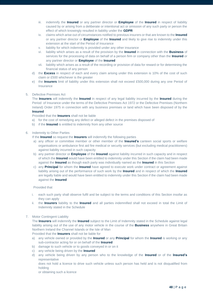- iii. indemnify the **Insured** or any partner director or **Employee** of the **Insured** in respect of liability caused by or arising from a deliberate or intentional act or omission of any such party or person the effect of which knowingly resulted in liability under the **GDPR**
- iv. claims which arise out of circumstances notified to previous insurers or that are known to the **Insured** or any partner director or **Employee** of the **Insured** and likely to give rise to indemnity under this extension at the start of the Period of Insurance
- v. liability for which indemnity is provided under any other insurance
- vi. liability which arises as a result of the provision by the **Insured** in connection with the **Business** of services for the processing of data on behalf of a person firm or company other than the **Insured** or any partner director or **Employee** of the **Insured**
- vii. liability which arises as a result of the recording or provision of data for reward or for determining the financial status of any person
- d) the **Excess** in respect of each and every claim arising under this extension is 10% of the cost of such claim or £500 whichever is the greater
- e) the **Insurers** limit of liability under this extension shall not exceed £500,000 during any one Period of Insurance

### 5. Defective Premises Act

The **Insurers** will indemnify the **Insured** in respect of any legal liability incurred by the **Insured** during the Period of Insurance under the terms of the Defective Premises Act 1972 or the Defective Premises (Northern Ireland) Order 1975 in connection with any business premises or land which have been disposed of by the **Insured**

Provided that the **Insurers** shall not be liable

- a) for the cost of remedying any defect or alleged defect in the premises disposed of
- b) if the **Insured** is entitled to indemnity from any other source

### 6. Indemnity to Other Parties

- If the **Insured** so request the **Insurers** will indemnify the following parties
- a) any officer or committee member or other member of the **Insured's** canteen social sports or welfare organisations or ambulance first aid fire medical or security services (but excluding medical practitioners) against liability incurred in such capacity
- b) any partner director or **Employee** of the **Insured** against liability incurred in such capacity and in respect of which the **Insured** would have been entitled to indemnity under this Section if the claim had been made against the **Insured** as though each party was individually named as the **Insured** in this Section
- c) any **Principal** for whom the **Insured** have agreed to execute work under contract or agreement against liability arising out of the performance of such work by the **Insured** and in respect of which the **Insured** are legally liable and would have been entitled to indemnity under this Section if the claim had been made against the **Insured**

### Provided that

- i. each such party shall observe fulfil and be subject to the terms and conditions of this Section insofar as they can apply
- ii. the **Insurers** liability to the **Insured** and all parties indemnified shall not exceed in total the Limit of Indemnity stated in the Schedule

### 7. Motor Contingent Liability

The **Insurers** will indemnify the **Insured** subject to the Limit of Indemnity stated in the Schedule against legal liability arising out of the use of any motor vehicle in the course of the **Business** anywhere in Great Britain Northern Ireland the Channel Islands or the Isle of Man

Provided that the **Insurers** shall not be liable for

- a) any vehicle owned or provided by the **Insured** or any **Principal** for whom the **Insured** is working or any sub-contractor acting for or on behalf of the **Insured**
- b) damage to such vehicle or to goods conveyed in or on it
- c) any vehicle being driven by the **Insured**
- d) any vehicle being driven by any person who to the knowledge of the **Insured** or of the **Insured's** representative

does not hold a licence to drive such vehicle unless such person has held and is not disqualified from holding

or obtaining such a licence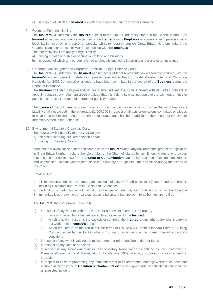- e) in respect of which the **Insured** is entitled to indemnity under any other insurance
- 8. Overseas Personal Liability

The **Insurers** will indemnify the **Insured** subject to the Limit of Indemnity stated in the Schedule and if the **Insured** so request any director or partner of the **Insured** or any **Employee** or spouse of such person against legal liability incurred in a personal capacity whilst temporarily outside Great Britain Northern Ireland the Channel Islands or the Isle of Man in connection with the **Business**

The indemnity shall not apply to legal liability

- a) arising out of ownership or occupation of land and buildings
- b) in respect of which any person referred to above is entitled to indemnity under any other insurance
- 9. Corporate Manslaughter and Corporate Homicide Legal Defence Costs

The **Insurers** will indemnify the **Insured** against costs of legal representation reasonably incurred with the **Insurer's** written consent In defending prosecutions under the Corporate Manslaughter and Corporate Homicide Act 2007 Committed or alleged to have been committed in the course of the **Business** during the Period of Insurance

The **Insurers** will also pay prosecution costs awarded and the costs incurred with its written consent in appealing against any judgment given provided that this indemnity shall not apply to the payment of fines or penalties or the costs of remedial orders or publicity orders

The **Insurers** Limit of Indemnity under this extension and any equivalent extension under Section 3 Employers Liability shall not exceed in the aggregate £1,000,000 in respect of all acts or omissions committed or alleged to have been committed during the Period of Insurance and shall be in addition to the amount of the Limit of Indemnity stated in the Schedule

### 10. Environmental Statutory Clean-Up Costs

- The **Insurers** will indemnify the **Insured** against
- a) the cost of carrying out Remediation and/or
- b) paying for Clean-Up Costs

pursuant to a lawful notice or demand served upon the **Insured** under any environmental protection legislation in Great Britain Northern Ireland the Isle of Man or the Channel Islands by any Enforcing Authority provided that such cost or costs arise from **Pollution or Contamination** caused by a sudden identifiable unintended and unexpected incident which takes place in its entirety at a specific time and place during the Period of Insurance

### Provided that

- i. this extension is subject to an aggregate maximum of £25,000 for all losses in any one Period of Insurance including Claimants and Defence Costs and Expeneses
- ii. this limit forms part of and is not in addition to the Limit of Indemnity for this Section shown in the Schedule
- iii. immediate loss prevention or salvage action is taken and the appropriate authorities are notified

### The **Insurers** shall not provide indemnity

- a) in respect of any work (whether preventive or otherwise) in respect of property
	- i. which is owned by or loaned leased hired or rented to the **Insured**
	- ii. which is held in trust or in the custody or control of the **Insured** or any other party who is carrying out work on the **Insured's** behalf
	- iii. which requires to be insured under the terms of Clause 6.5.1. of the Standard Form of Building Contract issued by the Joint Contracts Tribunal or a clause of similar intent under other contract conditions
- b) in respect of any work involving the reinstatement or reintroduction of flora or fauna
- c) in respect of any fines or penalties
- d) in respect of any Complementary or Compensatory Remediation as defined by the Environmental Damage (Prevention and Remediation) Regulations 2009 and any successor and/or amending **legislation**
- e) in respect of costs of preventing any imminent threat of environmental damage where such costs are incurred in the absence of **Pollution or Contamination** caused by a sudden identifiable unintended and unexpected incident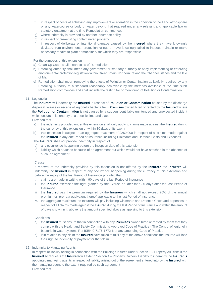- f) in respect of costs of achieving any improvement or alteration in the condition of the Land atmosphere or any watercourse or body of water beyond that required under any relevant and applicable law or statutory enactment at the time Remediation commences
- g) where indemnity is provided by another insurance policy
- h) in respect of pre-existing contaminated property
- i) in respect of deliberate or intentional damage caused by the **Insured** where they have knowingly deviated from environmental protection rulings or have knowingly failed to inspect maintain or make necessary repairs to plant or machinery for which they are responsible

For the purposes of this extension

- a) Clean-Up Costs shall mean costs of Remediation
- b) Enforcing Authority shall mean any government or statutory authority or body implementing or enforcing environmental protection legislation within Great Britain Northern Ireland the Channel Islands and the Isle of Man
- c) Remediation shall mean remedying the effects of Pollution or Contamination as lawfully required by any Enforcing Authority to a standard reasonably achievable by the methods available at the time such Remediation commences and shall include the testing for or monitoring of Pollution or Contamination

### 11. Legionella

The **Insurers** will indemnify the **Insured** in respect of **Pollution or Contamination** caused by the discharge dispersal release or escape of legionella bacteria from **Premises** owned hired or rented by the **Insured** where the **Pollution or Contamination** is not caused by a sudden identifiable unintended and unexpected incident which occurs in its entirety at a specific time and place

Provided that

- a) the indemnity provided under this extension shall only apply to claims made against the **Insured** during the currency of this extension or within 30 days of its expiry
- b) this extension is subject to an aggregate maximum of £250,000 in respect of all claims made against the **Insured** in any one Period of Insurance including Claimants and Defence Costs and Expenses

The **Insurers** shall not provide indemnity in respect of

- a) any occurrence happening before the inception date of this extension
- b) liability which attaches because of an agreement but which would not have attached in the absence of such an agreement

### Clause

If renewal of the indemnity provided by this extension is not offered by the **Insurers** the **Insurers** will indemnify the **Insured** in respect of any occurrence happening during the currency of this extension and before the expiry of the last Period of Insurance provided that

- i. claims are made in writing within 90 days of the last Period of Insurance
- ii. the **Insured** exercises the right granted by this Clause no later than 30 days after the last Period of Insurance
- iii. the **Insured** pay the premium required by the **Insurers** which shall not exceed 20% of the annual premium or pro rata equivalent thereof applicable to the last Period of Insurance
- iv. the aggregate maximum the Insurers will pay including Claimants and Defence Costs and Expenses in respect of all claims made against the **Insured** during the last Period of Insurance and within the amount of days shown in ii. above is the amount specified above as applying to this extension

### **Conditions**

- a) the **Insured** must ensure that in connection with any **Premises** owned hired or rented by them that they comply with the Health and Safety Commissions Approved Code of Practice - The Control of legionella bacteria in water systems Ref ISBN 0-7176-1772-6 or any amending Code of Practice
- b) if in relation to any claim the **Insured** have failed to fulfil any of the above conditions the Insured will lose their right to indemnity or payment for that claim

### 12. Indemnity to Managing Agents

In respect of liability arising in connection with the Buildings insured under Section 1 – Property All Risks if the **Insured** so requests the **Insurers** will extend Section 4 – Property Owners' Liability to indemnify the **Insured's** appointed managing agents in respect of liability arising out of the agreement entered into by the **Insured** with the managing agent to the extent required by such agreement Provided that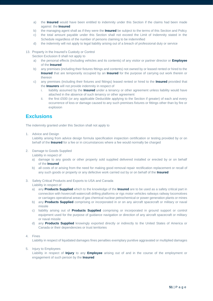- a) the **Insured** would have been entitled to indemnity under this Section if the claims had been made against the **Insured**
- b) the managing agent shall as if they were the **Insured** be subject to the terms of this Section and Policy
- c) the total amount payable under this Section shall not exceed the Limit of Indemnity stated in the Schedule regardless of the number of persons claiming to be indemnified
- d) the indemnity will not apply to legal liability arising out of a breach of professional duty or service
- 13. Property in the Insured's Custody or Control

Section Exclusion 8 shall not apply to

- a) the personal effects (including vehicles and its contents) of any visitor or partner director or **Employee** of the **Insured**
- b) any premises (including their fixtures fittings and contents) not owned by or leased rented or hired to the **Insured** that are temporarily occupied by an **Insured** for the purpose of carrying out work therein or thereon
- c) any premises (including their fixtures and fittings) leased rented or hired to the **Insured** provided that the **Insurers** will not provide indemnity in respect of
	- i. liability assumed by the **Insured** under a tenancy or other agreement unless liability would have attached in the absence of such tenancy or other agreement
	- ii. the first £500 (or any applicable Deductible applying to the Section if greater) of each and every occurrence of loss or damage caused to any such premises fixtures or fittings other than by fire or explosion

# **Exclusions**

The indemnity granted under this Section shall not apply to

1. Advice and Design

Liability arising from advice design formula specification inspection certification or testing provided by or on behalf of the **Insured** for a fee or in circumstances where a fee would normally be charged

2. Damage to Goods Supplied

Liability in respect of

- a) damage to any goods or other property sold supplied delivered installed or erected by or on behalf of the **Insured**
- b) all costs of or arising from the need for making good removal repair rectification replacement or recall of any such goods or property or any defective work carried out by or on behalf of the **Insured**
- 3. Safety Critical Products and Exports to USA and Canada Liability in respect of
	- a) any **Products Supplied** which to the knowledge of the **Insured** are to be used as a safety critical part in connection with hovercraft watercraft drilling platforms or rigs motor vehicles railways railway locomotives or carriages operational areas of gas chemical nuclear petrochemical or power generation plants or mines
	- b) any **Products Supplied** comprising or incorporated in or on any aircraft spacecraft or military or naval missile
	- c) liability arising out of **Products Supplied** comprising or incorporated in ground support or control equipment used for the purpose of guidance navigation or direction of any aircraft spacecraft or military or naval missile
	- d) any **Products Supplied** knowingly exported directly or indirectly to the United States of America or Canada or their dependencies or trust territories

### 4. Fines

Liability in respect of liquidated damages fines penalties exemplary punitive aggravated or multiplied damages

5. Injury to Employees

Liability in respect of **Injury** to any **Employee** arising out of and in the course of the employment or engagement of such person by the **Insured**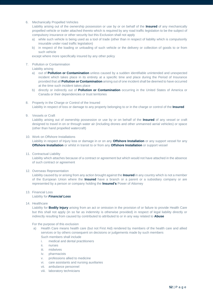### 6. Mechanically Propelled Vehicles

Liability arising out of the ownership possession or use by or on behalf of the **Insured** of any mechanically propelled vehicle or trailer attached thereto which is required by any road traffic legislation to be the subject of compulsory insurance or other security but this Exclusion shall not apply

- a) while such vehicle is being used as a tool of trade (other than in respect of liability which is compulsorily insurable under road traffic legislation)
- b) in respect of the loading or unloading of such vehicle or the delivery or collection of goods to or from such vehicle

except where more specifically insured by any other policy

### 7. Pollution or Contamination

Liability arising

- a) out of **Pollution or Contamination** unless caused by a sudden identifiable unintended and unexpected incident which takes place in its entirety at a specific time and place during the Period of Insurance provided that all **Pollution or Contamination** arising out of one incident shall be deemed to have occurred at the time such incident takes place
- b) directly or indirectly out of **Pollution or Contamination** occurring in the United States of America or Canada or their dependencies or trust territories
- 8. Property in the Charge or Control of the Insured Liability in respect of loss or damage to any property belonging to or in the charge or control of the **Insured**
- 9. Vessels or Craft

Liability arising out of ownership possession or use by or on behalf of the **Insured** of any vessel or craft designed to travel in on or through water air (including drones and other unmanned aerial vehicles) or space (other than hand propelled watercraft)

### 10. Work on Offshore Installations

Liability in respect of Injury loss or damage in or on any **Offshore Installation** or any support vessel for any **Offshore Installation** or whilst in transit to or from any **Offshore Installation** or support vessel

11. Contractual Liability

Liability which attaches because of a contract or agreement but which would not have attached in the absence of such contract or agreement

### 12. Overseas Representation

Liability caused by or arising from any action brought against the **Insured** in any country which is not a member of the European Union where the **Insured** have a branch or a parent or a subsidiary company or are represented by a person or company holding the **Insured's** Power of Attorney

- 13. Financial Loss Liability for *Financial Loss*
- 14. Healthcare

Liability for **Bodily Injury** arising from an act or omission in the provision of or failure to provide Health Care but this shall not apply (in so far as indemnity is otherwise provided) in respect of legal liability directly or indirectly resulting from caused by contributed to attributed to or in any way related to **Abuse**

For the purpose of this exclusion

- a) Health Care means health care (but not First Aid) rendered by members of the health care and allied services or by others consequent on decisions or judgements made by such members Such members shall include
	- i. medical and dental practitioners
	- ii. nurses
	- iii. midwives
	- iv. pharmacists
	- v. professions allied to medicine
	- vi. care assistants and nursing auxiliaries
	- vii. ambulance personnel
	- viii. laboratory technicians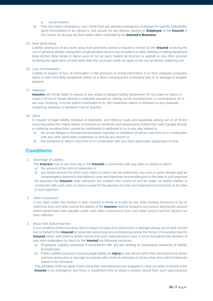- ix. social workers
- b) First Aid means emergency care (other than pre planned emergency treatment for specific individuals) given immediately to an injured or sick person by any director partner or **Employee** of the **Insured** in the course of carrying out their duties when undertaking the **Insured's Business**

### 15. Heat Work Away

Liability arising out of any work away from premises owned or leased or rented by the **Insured** involving the use of grinding wheels cutting discs angle grinders electric oxy-acetylene or other welding or cutting equipment blow torches blow lamps or flame guns or hot air guns heated tar bitumen or asphalt or any other process involving the application of heat other than this exclusion shall not apply to the use of electric soldering iron

### 16. Loss of Information

Liability in respect of loss of information or the provision of wrong information in or from computer programs tapes or data recording equipment unless as a direct consequence of physical loss of or damage to tangible property

### 17. Asbestos

**Insurers** will not be liable in respect of any actual or alleged liability whatsoever for any claim or claims in respect of loss or losses directly or indirectly caused by, arising out of, resulting from, in consequence of, in any way involving, or to the extent contributed to by, the hazardous nature of asbestos or any materials containing asbestos in whatever from or quantity

### 18. Silica

In respect of legal liability inclusive of claimants' and defence costs and expenses arising out of an Event occurring within the United States of America its territories and possessions Puerto Rico and Canada directly or indirectly resulting from caused by contributed to attributed to or in any way related to

- a) the actual alleged or threatened absorption ingestion or inhalation of silica in any form or in combination with any other particulate suspension or dust by any person or
- b) the existence of silica in any form or in combination with any other particulate suspension or dust

### **Conditions**

### 1. Discharge of Liability

The **Insurers** may at any time pay to the **Insured** in connection with any claim or series of claims

- a) the amount of the Limit of Indemnity or
- b) any lesser amount for which such claim or claims can be settled less any sum or sums already paid as compensation claimant's and defence costs and expenses recoverable prior to the date of such payment On payment the **Insurers** shall relinquish the conduct and control of and be under no further liability in connection with such claim or claims except for the payment of costs and expenses incurred prior to the date of such payment
- 2. Other Insurances

If any claim under this Section is also covered in whole or in part by any other existing insurance or by an indemnity from any other source the liability of the **Insurers** shall be limited to any excess beyond the amount which would have been payable under such other insurance or from such other source had this Section not been effected

### 3. Bona Fide Subcontractors

It is a condition of this insurance that in respect of injury loss destruction or damage arising out of work carried out on behalf of the **Insured** by bona fide subcontractors commencing during the Period of Insurance that the **Insured** obtain and retain a written record that such subcontractors have in force throughout the duration of any work undertaken by them for the **Insured** the following insurance

- a) Employers' Liability insurance in accordance with any law relating to compulsory insurance of liability to employees
- b) Public Liability insurance covering legal liability for **Injury** to any person other than described in a) above and loss destruction or damage to property with a limit of indemnity of not less than the Limit of Indemnity stated in the Schedule

This condition shall not apply where bona fide subcontractors are engaged to carry out work on behalf of the **Insured** in an emergency and there is insufficient time to obtain a written record from such subcontractor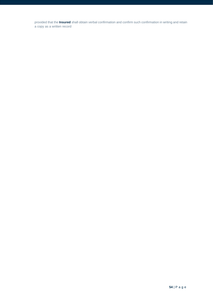provided that the **Insured** shall obtain verbal confirmation and confirm such confirmation in writing and retain a copy as a written record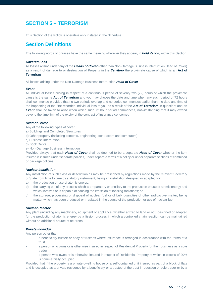# **SECTION 5 – TERRORISM**

This Section of the Policy is operative only if stated in the Schedule

### **Section Definitions**

The following words or phrases have the same meaning wherever they appear, in *bold italics*, within this Section.

### *Covered Loss*

All losses arising under any of the *Heads of Cover* (other than Non-Damage Business Interruption Head of Cover) as a result of damage to or destruction of Property in the *Territory* the proximate cause of which is an **Act of Terrorism**

All losses arising under the Non-Damage Business Interruption *Head of Cover*

### *Event*

All individual losses arising in respect of a continuous period of seventy two (72) hours of which the proximate cause is the same **Act of Terrorism** and you may choose the date and time when any such period of 72 hours shall commence provided that no two periods overlap and no period commences earlier than the date and time of the happening of the first recorded individual loss to you as a result of the **Act of Terrorism** in question; and an **Event** shall be taken to arise when which such 72 hour period commences, notwithstanding that it may extend beyond the time limit of the expiry of the contract of insurance concerned

### *Head of Cover*

Any of the following types of cover:

- a) Buildings and Completed Structures
- b) Other property (including contents, engineering, contractors and computers)
- c) Business Interruption
- d) Book Debts
- e) Non-Damage Business Interruption

Provided always that each *Head of Cover* shall be deemed to be a separate *Head of Cover* whether the item insured is insured under separate policies, under separate terms of a policy or under separate sections of combined or package policies

### *Nuclear Installation*

Any installation of such class or description as may be prescribed by regulations made by the relevant Secretary of State from time to time by statutory instrument, being an installation designed or adapted for:

- a) the production or use of atomic energy;
- b) the carrying out of any process which is preparatory or ancillary to the production or use of atomic energy and which involves or is capable of causing the emission of ionising radiations; or
- c) the storage, processing or disposal of nuclear fuel or of bulk quantities of other radioactive matter, being matter which has been produced or irradiated in the course of the production or use of nuclear fuel

### *Nuclear Reactor*

Any plant (including any machinery, equipment or appliance, whether affixed to land or not) designed or adapted for the production of atomic energy by a fission process in which a controlled chain reaction can be maintained without an additional source of neutrons

### *Private Individual*

Any person other than

- a beneficiary trustee or body of trustees where insurance is arranged in accordance with the terms of a trust
- a person who owns or is otherwise insured in respect of Residential Property for their business as a sole trader
- a person who owns or is otherwise insured in respect of Residential Property of which in excess of 20% is commercially occupied

Provided that if the property is a private dwelling house or a self-contained unit insured as part of a block of flats and is occupied as a private residence by a beneficiary or a trustee of the trust in question or sole trader or by a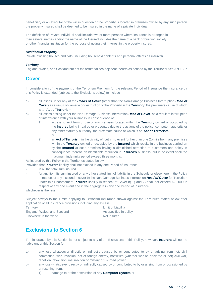beneficiary or an executor of the will in question or the property is located in premises owned by any such person the property insured shall be deemed to be insured in the name of a private Individual.

The definition of Private Individual shall include two or more persons where insurance is arranged in their several names and/or the name of the Insured includes the name of a bank or building society or other financial institution for the purpose of noting their interest in the property insured.

### *Residential Property*

Private dwelling houses and flats (including household contents and personal effects as insured)

### *Territory*

England, Wales, and Scotland but not the territorial sea adjacent thereto as defined by the Territorial Sea Act 1987

### **Cover**

In consideration of the payment of the Terrorism Premium for the relevant Period of Insurance the insurance by this Policy is extended (subject to the Exclusions below) to include

- a) all losses under any of the *Heads of Cover* (other than the Non-Damage Business Interruption *Head of*  **Cover**) as a result of damage or destruction of the Property in the **Territory**, the proximate cause of which is an **Act of Terrorism**
- b) all losses arising under the Non-Damage Business Interruption *Head of Cover*, as a result of interruption or interference with your business in consequence of:
	- 1) access to, exit from or use of any premises located within the *Territory* owned or occupied by the **Insured** being impaired or prevented due to the actions of the police, competent authority or any other statutory authority, the proximate cause of which is an **Act of Terrorism** or
	- 2) an **Act of Terrorism** in the vicinity of, but in no event further than one (1) mile from, any premises within the *Territory* owned or occupied by the **Insured** which results in the business carried on by the **Insured** at such premises having a diminished attraction to customers and solely in consequence thereof, an identifiable reduction in **Insured's** business, but in no event shall the maximum indemnity period exceed three months.

As insured by this Policy in the Territories stated below

Provided that **Insurers** liability shall not exceed in any one Period of Insurance

- in all the total sum insured
- for any item its sum insured or any other stated limit of liability in the Schedule or elsewhere in the Policy
- In respect of any loss under cover b) the Non-Damage Business Interruption *Head of Cover* for Terrorism under this Endorsement **Insurers** liability in respect of Cover b) 1) and 2) shall not exceed £25,000 in respect of any one event and in the aggregate in any one Period of Insurance.

whichever is the less

Subject always to the Limits applying to Terrorism insurance shown against the Territories stated below after application of all insurance provisions including any excess

**Territory Limit of Liability** England, Wales, and Scotland As specified in policy Elsewhere in the world Not insured

# **Exclusions to Section 6**

The insurance by this Section is not subject to any of the Exclusions of this Policy, however, **Insurers** will not be liable under this Section for:

- a) any loss whatsoever directly or indirectly caused by or contributed to by or arising from riot, civil commotion, war, invasion, act of foreign enemy, hostilities (whether war be declared or not) civil war, rebellion, revolution, insurrection or military or usurped power;
- b) any loss whatsoever directly or indirectly caused by or contributed to by or arising from or occasioned by or resulting from;
	- 1) damage to or the destruction of any **Computer System** or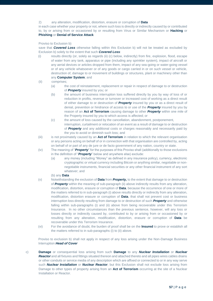### 2) any alteration, modification, distortion, erasure or corruption of **Data**

in each case whether your property or not, where such loss is directly or indirectly caused by or contributed to, by or arising from or occasioned by or resulting from Virus or Similar Mechanism or **Hacking** or **Phishing** or **Denial of Service Attack**

### Proviso to Exclusion b)

save that *Covered Loss* otherwise falling within this Exclusion b) will not be treated as excluded by Exclusion b) solely to the extent that such *Covered Loss*:

- (i) results directly (or, solely as regards (ii) (c) below, indirectly) from fire, explosion, flood, escape of water from any tank, apparatus or pipe (including any sprinkler system), impact of aircraft or any aerial devices or articles dropped from them, impact of any sea-going or water-going vessel or of any vehicle whatsoever or of any goods or cargo carried in or on such vessel or vehicle, destruction of, damage to or movement of buildings or structures, plant or machinery other than any **Computer System**; and
- (ii) comprises;
	- (a) the cost of reinstatement, replacement or repair in respect of damage to or destruction of *Property* insured by you; or
	- (b) the amount of business interruption loss suffered directly by you by way of loss of or reduction in profits, revenue or turnover or increased cost of working as a direct result of either damage to or destruction of *Property* insured by you or as a direct result of denial, prevention or hindrance of access to or use of the *Property* insured by you by reason of an **Act of Terrorism** causing damage to other *Property* within one mile of the Property insured by you to which access is affected; or
	- (c) the amount of loss caused by the cancellation, abandonment, postponement, interruption, curtailment or relocation of an event as a result of damage to or destruction of *Property* and any additional costs or charges reasonably and necessarily paid by the you to avoid or diminish such loss; and
- (iii) is not proximately caused by an **Act of Terrorism** in relation to which the relevant organisation or any persons acting on behalf of or in connection with that organisation are controlled by, acting on behalf of or part of any de jure or de facto government of any nation, country or state.
- (iv) The meaning of "*Property*" for the purposes of this Proviso shall (additionally to those exclusions in the definition of "*Property*" below and anywhere else) exclude:
	- (a) any money (including "Money" as defined in any insurance policy), currency, electronic cryptographic or virtual currency including Bitcoin or anything similar, negotiable or nonnegotiable instruments, financial securities or any other financial instrument of any sort whatever; and
	- (b) any **Data**
- (v) Notwithstanding the exclusion of **Data** from *Property,* to the extent that damage to or destruction of *Property* within the meaning of sub-paragraph (ii) above indirectly results from any alteration, modification, distortion, erasure or corruption of **Data**, because the occurrence of one or more of the matters referred to in sub-paragraph (i) above results directly or indirectly from any alteration, modification, distortion erasure or corruption of **Data**, that shall not prevent cost or business interruption loss directly resulting from damage to or destruction of such *Property* and otherwise falling within sub-paragraphs (i) and (ii) above from being recoverable under this Terrorism Insurance. In no other circumstances than the previous sentence, however, will any loss or losses directly or indirectly caused by, contributed to by or arising from or occasioned by or resulting from any alteration, modification, distortion, erasure or corruption of **Data** be recoverable under this Terrorism Insurance.
- (vi) For the avoidance of doubt, the burden of proof shall be on the **Insured** to prove or establish all the matters referred to in sub-paragraphs (i) to (ii) above.

Proviso to exclusion b) shall not apply in respect of any loss arising under the Non-Damage Business Interruption *Head of Cover*

c) **Damage** or consequential loss arising from such **Damage** to any *Nuclear Installation* or *Nuclear Reactor* and all fixtures and fittings situated thereon and attached thereto and all pipes wires cables drains or other conduits or service media of any description which are affixed or connected to or in any way serve such *Nuclear Installation* or *Nuclear Reactor*, but this Exclusion shall not exclude loss arising from Damage to other types of property arising from an **Act of Terrorism** occurring at the site of a Nuclear Installation or Reactor.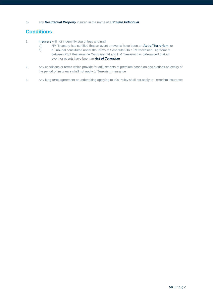# **Conditions**

- 1. **Insurers** will not indemnify you unless and until
	- a) HM Treasury has certified that an event or events have been an **Act of Terrorism**; or
	- b) a Tribunal constituted under the terms of Schedule 3 to a Retrocession Agreement between Pool Reinsurance Company Ltd and HM Treasury has determined that an event or events have been an *Act of Terrorism*
- 2. Any conditions or terms which provide for adjustments of premium based on declarations on expiry of the period of insurance shall not apply to Terrorism insurance
- 3. Any long-term agreement or undertaking applying to this Policy shall not apply to Terrorism insurance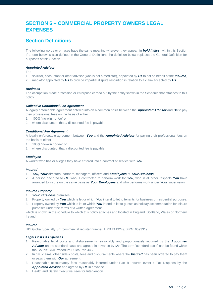# **SECTION 6 – COMMERCIAL PROPERTY OWNERS LEGAL EXPENSES**

# **Section Definitions**

The following words or phrases have the same meaning wherever they appear, in *bold italics*, within this Section If a term below is also defined in the General Definitions the definition below replaces the General Definition for purposes of this Section

### *Appointed Advisor*

The

- 1. solicitor, accountant or other advisor (who is not a mediator), appointed by *Us* to act on behalf of the *Insured;*
- 2. mediator appointed by *Us* to provide impartial dispute resolution in relation to a claim accepted by *Us.*

### *Business*

The occupation, trade profession or enterprise carried out by the entity shown in the Schedule that attaches to this policy.

### *Collective Conditional Fee Agreement*

A legally enforceable agreement entered into on a common basis between the *Appointed Advisor* and *Us* to pay their professional fees on the basis of either

- 1. 100% "no-win no-fee" or
- 2. where discounted, that a discounted fee is payable.

### *Conditional Fee Agreement*

A legally enforceable agreement between *You* and the *Appointed Advisor* for paying their professional fees on the basis of either

- 1. 100% "no-win no-fee" or
- 2. where discounted, that a discounted fee is payable.

#### *Employee*

A worker who has or alleges they have entered into a contract of service with *You.*

#### *Insured*

- 1. *You***,** *Your* directors, partners, managers, officers and *Employees* of *Your Business.*
- 2. A person declared to *Us*, who is contracted to perform work for *You*, who in all other respects *You* have arranged to insure on the same basis as *Your Employees* and who performs work under *Your* supervision.

#### *Insured Property*

- 1. *Your Business* premises.
- 2. Property owned by *You* which is let or which *You* intend to let to tenants for business or residential purposes.
- 3. Property owned by *You* which is let or which *You* intend to let to guests as holiday accommodation for leisure purposes under the terms of a written agreement

which is shown in the schedule to which this policy attaches and located in England, Scotland, Wales or Northern Ireland.

### *Insurer*

HDI Global Specialty SE (commercial register number: HRB 211924), (FRN: 659331).

### *Legal Costs & Expenses*

- 1. Reasonable legal costs and disbursements reasonably and proportionately incurred by the *Appointed Advisor* on the standard basis and agreed in advance by *Us*. The term "standard basis" can be found within the Courts' Civil Procedure Rules Part 44.2.
- 2. In civil claims, other side's costs, fees and disbursements where the *Insured* has been ordered to pay them or pays them with *Our* agreement.
- 3. Reasonable accountancy fees reasonably incurred under Part B Insured event 4 Tax Disputes by the *Appointed Advisor* and agreed by *Us* in advance.
- 4. Health and Safety Executive Fees for Intervention.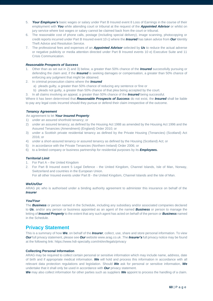- 5. *Your Employee's* basic wages or salary under Part B Insured event 8 Loss of Earnings in the course of their employment with *You* while attending court or tribunal at the request of the *Appointed Advisor* or whilst on jury service where lost wages or salary cannot be claimed back from the court or tribunal.
- 6. The reasonable cost of phone calls, postage (including special delivery), image scanning, photocopying or credit reports incurred under Part B Insured event 10 c) where the *Insured* has taken advice from *Our* Identity Theft Advice and Resolution Service.
- 7. The professional fees and expenses of an *Appointed Advisor* selected by *Us* to reduce the actual adverse or negative publicity or media attention directed under Part B Insured events 10 e) Executive Suite and 11 Crisis Communication.

### *Reasonable Prospects of Success*

- 1. Other than as set out in 2) and 3) below, a greater than 50% chance of the *Insured* successfully pursuing or defending the claim and, if the *Insured* is seeking damages or compensation, a greater than 50% chance of enforcing any judgment that might be obtained.
- 2. In criminal prosecution claims where the *Insured*
	- a) pleads guilty, a greater than 50% chance of reducing any sentence or fine or
	- b) pleads not guilty, a greater than 50% chance of that plea being accepted by the court.
	- 3. In all claims involving an appeal, a greater than 50% chance of the *Insured* being successful.

Where it has been determined that *Reasonable Prospects of Success* do not exist, the *Insured* shall be liable to pay any legal costs incurred should they pursue or defend their claim irrespective of the outcome.

### *Tenancy Agreement*

An agreement to let *Your Insured Property*:

- 1) under an assured shorthold tenancy; or
- 2) under an assured tenancy; as defined by the Housing Act 1988 as amended by the Housing Act 1996 and the Assured Tenancies (Amendment) (England) Order 2010; or
- 3) under a Scottish private residential tenancy as defined by the Private Housing (Tenancies) (Scotland) Act 2016; or
- 4) under a short-assured tenancy or assured tenancy as defined by the Housing (Scotland) Act; or
- 5) in accordance with the Private Tenancies (Northern Ireland) Order 2006; or
- 6) to a limited company or business partnership for residential purposes by its *Employees.*

### *Territorial Limit*

- 1. For Part A the United Kingdom
- 2. For Part B Insured event 5 Legal Defence the United Kingdom, Channel Islands, Isle of Man, Norway, Switzerland and countries in the European Union.
	- For all other Insured events under Part B the United Kingdom, Channel Islands and the Isle of Man.

### *We/Us/Our*

ARAG plc who is authorised under a binding authority agreement to administer this insurance on behalf of the *Insurer*

### *You/Your*

The *Business* or person named in the Schedule, including any subsidiary and/or associated companies declared to *Us*, and/or any person or business appointed as an agent of the named *Business* or person to manage the letting of *Insured Property* to the extent that any such agent has acted on behalf of the person or *Business* named in the Schedule.

### **Privacy Statement**

This is a summary of how *We*, on behalf of the *Insurer*, collect, use, share and store personal information. To view *Our* full privacy statement, please see *Our* websit[e www.arag.co.uk](http://www.arag.co.uk/) .The *Insurer's* full privacy notice may be found at the following link: https://www.hdi-specialty.com/int/en/legals/privacy

### **Collecting Personal Information**

ARAG may be required to collect certain personal or sensitive information which may include name, address, date of birth and if appropriate medical information. *We* will hold and process this information in accordance with all relevant data protection regulations and legislation. Should *We* ask for personal or sensitive information, *We*  undertake that it shall only be used in accordance with *Our* privacy statement.

*We* may also collect information for other parties such as suppliers *We* appoint to process the handling of a claim.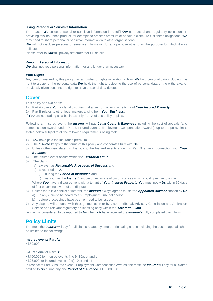### **Using Personal or Sensitive Information**

The reason *We* collect personal or sensitive information is to fulfil *Our* contractual and regulatory obligations in providing this insurance product, for example to process premium or handle a claim. To fulfil these obligations, *We* may need to share personal or sensitive information with other organisations.

*We* will not disclose personal or sensitive information for any purpose other than the purpose for which it was collected.

Please refer to *Our* full privacy statement for full details.

#### **Keeping Personal Information**

*We* shall not keep personal information for any longer than necessary.

### **Your Rights**

Any person insured by this policy has a number of rights in relation to how *We* hold personal data including; the right to a copy of the personal data *We* hold; the right to object to the use of personal data or the withdrawal of previously given consent; the right to have personal data deleted.

### **Cover**

This policy has two parts:

- 1) Part A covers *You* for legal disputes that arise from owning or letting out *Your Insured Property*,
- 2) Part B relates to other legal matters arising from *Your Business*.

If *You* are not trading as a business only Part A of this policy applies.

Following an Insured event, the *Insurer* will pay *Legal Costs & Expenses* including the cost of appeals (and compensation awards under Part B Insured event 2 Employment Compensation Awards), up to the policy limits stated below subject to all the following requirements being met:

- 1) *You* have paid the insurance premium.
- 2) The *Insured* keeps to the terms of this policy and cooperates fully with *Us.*
- 3) Unless otherwise stated in this policy, the Insured events shown in Part B arise in connection with *Your Business.*
- 4) The Insured event occurs within the *Territorial Limit.*
- 5) The claim
	- a) always has *Reasonable Prospects of Success* and
	- b) is reported to *Us* 
		- i) during the *Period of Insurance* and
		- ii) as soon as the *Insured* first becomes aware of circumstances which could give rise to a claim.

Where *You* have a disagreement with a tenant of *Your Insured Property You* must notify *Us* within 60 days of first becoming aware of the dispute.

- 6) Unless there is a conflict of interest, the *Insured* always agrees to use the *Appointed Advisor* chosen by *Us*
	- a) in any claim to be heard by an Employment Tribunal and/or
	- b) before proceedings have been or need to be issued.
- 7) Any dispute will be dealt with through mediation or by a court, tribunal, Advisory Conciliation and Arbitration Service or a relevant regulatory or licensing body within the *Territorial Limit.*

A claim is considered to be reported to *Us* when *We* have received the *Insured's* fully completed claim form.

### **Policy Limits**

The most the *Insurer* will pay for all claims related by time or originating cause including the cost of appeals shall be limited to the following:

#### **Insured events Part A:**

• £50,000.

### **Insured events Part B:**

• £100,000 for Insured events 1 to 9, 10a, b, and c

• £25,000 for Insured events 10 d) 10e) and 11

In respect of Part B Insured event 2 Employment Compensation Awards, the most the *Insurer* will pay for all claims notified to *Us* during any one *Period of Insurance* is £1,000,000.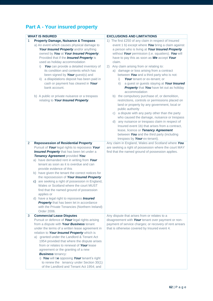# **Part A - Your insured property**

|                | <b>WHAT IS INSURED</b>                                                                                                                                                                                                                                                                                                                                                                                                                                                                                                                             | <b>EXCLUSIONS AND LIMITATIONS</b>                                                                                                                                                                                                                                                                                                                                                                                                                                                                                                                                                                                                                                                                                                                                                                                                                                                                                                                                                          |
|----------------|----------------------------------------------------------------------------------------------------------------------------------------------------------------------------------------------------------------------------------------------------------------------------------------------------------------------------------------------------------------------------------------------------------------------------------------------------------------------------------------------------------------------------------------------------|--------------------------------------------------------------------------------------------------------------------------------------------------------------------------------------------------------------------------------------------------------------------------------------------------------------------------------------------------------------------------------------------------------------------------------------------------------------------------------------------------------------------------------------------------------------------------------------------------------------------------------------------------------------------------------------------------------------------------------------------------------------------------------------------------------------------------------------------------------------------------------------------------------------------------------------------------------------------------------------------|
| 1              | <b>Property Damage, Nuisance &amp; Trespass</b>                                                                                                                                                                                                                                                                                                                                                                                                                                                                                                    | 1) The first £250 of any claim in respect of Insured                                                                                                                                                                                                                                                                                                                                                                                                                                                                                                                                                                                                                                                                                                                                                                                                                                                                                                                                       |
|                | a) An event which causes physical damage to<br>Your Insured Property and/or anything<br>owned by You at Your Insured Property;<br>Provided that if the <i>Insured Property</i> is<br>used as holiday accommodation<br>You can provide a detailed inventory of<br>i).<br>its condition and contents which has<br>been signed by Your guest(s) and<br>a dilapidations deposit has been paid in<br>ii)<br>cash or payment has cleared in Your<br>bank account.<br>b) A public or private nuisance or a trespass<br>relating to Your Insured Property. | event 1 b) except where You bring a claim against<br>a person who is living at Your Insured Property<br>without Your permission (i.e. squatters). You will<br>have to pay this as soon as We accept Your<br>claim.<br>Any claim arising from or relating to:<br>(2)<br>a) damage or loss arising from a contract<br>between You and a third party who is not:<br>Your tenant or ex-tenant; or<br>i)<br>a guest or guests staying at Your Insured<br>ii)<br>Property that You have let out as holiday<br>accommodation<br>b) the compulsory purchase of, or demolition,<br>restrictions, controls or permissions placed on<br>land or property by any government, local or<br>public authority<br>c) a dispute with any party other than the party<br>who caused the damage, nuisance or trespass<br>d) any nuisance or trespass claim in respect of<br>Insured event 1b) that arises from a contract,<br>lease, licence or Tenancy Agreement<br>between You and the third party (including |
|                |                                                                                                                                                                                                                                                                                                                                                                                                                                                                                                                                                    | trespass by Your ex-tenant).                                                                                                                                                                                                                                                                                                                                                                                                                                                                                                                                                                                                                                                                                                                                                                                                                                                                                                                                                               |
| $\overline{2}$ | <b>Repossession of Residential Property</b>                                                                                                                                                                                                                                                                                                                                                                                                                                                                                                        | Any claim in England, Wales and Scotland where You                                                                                                                                                                                                                                                                                                                                                                                                                                                                                                                                                                                                                                                                                                                                                                                                                                                                                                                                         |
|                | Pursuit of Your legal rights to repossess Your<br><b>Insured Property</b> that has been let under a                                                                                                                                                                                                                                                                                                                                                                                                                                                | are seeking a right of possession where the court MAY<br>find that the named ground of possession applies.                                                                                                                                                                                                                                                                                                                                                                                                                                                                                                                                                                                                                                                                                                                                                                                                                                                                                 |
|                | Tenancy Agreement provided You:                                                                                                                                                                                                                                                                                                                                                                                                                                                                                                                    |                                                                                                                                                                                                                                                                                                                                                                                                                                                                                                                                                                                                                                                                                                                                                                                                                                                                                                                                                                                            |
|                | a) have demanded rent in writing from Your                                                                                                                                                                                                                                                                                                                                                                                                                                                                                                         |                                                                                                                                                                                                                                                                                                                                                                                                                                                                                                                                                                                                                                                                                                                                                                                                                                                                                                                                                                                            |
|                | tenant as soon as it is overdue and can                                                                                                                                                                                                                                                                                                                                                                                                                                                                                                            |                                                                                                                                                                                                                                                                                                                                                                                                                                                                                                                                                                                                                                                                                                                                                                                                                                                                                                                                                                                            |
|                | provide evidence of this                                                                                                                                                                                                                                                                                                                                                                                                                                                                                                                           |                                                                                                                                                                                                                                                                                                                                                                                                                                                                                                                                                                                                                                                                                                                                                                                                                                                                                                                                                                                            |
|                | b) have given the tenant the correct notices for<br>the repossession of Your Insured Property                                                                                                                                                                                                                                                                                                                                                                                                                                                      |                                                                                                                                                                                                                                                                                                                                                                                                                                                                                                                                                                                                                                                                                                                                                                                                                                                                                                                                                                                            |
|                | c) are seeking a right of possession in England,                                                                                                                                                                                                                                                                                                                                                                                                                                                                                                   |                                                                                                                                                                                                                                                                                                                                                                                                                                                                                                                                                                                                                                                                                                                                                                                                                                                                                                                                                                                            |
|                | Wales or Scotland where the court MUST                                                                                                                                                                                                                                                                                                                                                                                                                                                                                                             |                                                                                                                                                                                                                                                                                                                                                                                                                                                                                                                                                                                                                                                                                                                                                                                                                                                                                                                                                                                            |
|                | find that the named ground of possession                                                                                                                                                                                                                                                                                                                                                                                                                                                                                                           |                                                                                                                                                                                                                                                                                                                                                                                                                                                                                                                                                                                                                                                                                                                                                                                                                                                                                                                                                                                            |
|                | applies or                                                                                                                                                                                                                                                                                                                                                                                                                                                                                                                                         |                                                                                                                                                                                                                                                                                                                                                                                                                                                                                                                                                                                                                                                                                                                                                                                                                                                                                                                                                                                            |
|                | d) have a legal right to repossess <b>Insured</b>                                                                                                                                                                                                                                                                                                                                                                                                                                                                                                  |                                                                                                                                                                                                                                                                                                                                                                                                                                                                                                                                                                                                                                                                                                                                                                                                                                                                                                                                                                                            |
|                | Property that has been let in accordance                                                                                                                                                                                                                                                                                                                                                                                                                                                                                                           |                                                                                                                                                                                                                                                                                                                                                                                                                                                                                                                                                                                                                                                                                                                                                                                                                                                                                                                                                                                            |
|                | with the Private Tenancies (Northern Ireland)                                                                                                                                                                                                                                                                                                                                                                                                                                                                                                      |                                                                                                                                                                                                                                                                                                                                                                                                                                                                                                                                                                                                                                                                                                                                                                                                                                                                                                                                                                                            |
|                | Order 2006.                                                                                                                                                                                                                                                                                                                                                                                                                                                                                                                                        |                                                                                                                                                                                                                                                                                                                                                                                                                                                                                                                                                                                                                                                                                                                                                                                                                                                                                                                                                                                            |
| 3              | <b>Commercial Lease Disputes</b>                                                                                                                                                                                                                                                                                                                                                                                                                                                                                                                   | Any dispute that arises from or relates to a                                                                                                                                                                                                                                                                                                                                                                                                                                                                                                                                                                                                                                                                                                                                                                                                                                                                                                                                               |
|                | Pursuit or defence of Your legal rights arising                                                                                                                                                                                                                                                                                                                                                                                                                                                                                                    | disagreement with Your tenant over payment or non-                                                                                                                                                                                                                                                                                                                                                                                                                                                                                                                                                                                                                                                                                                                                                                                                                                                                                                                                         |
|                | from a dispute with Your Business tenant<br>under the terms of a written lease agreement in                                                                                                                                                                                                                                                                                                                                                                                                                                                        | payment of service charges; or recovery of rent arrears<br>that is otherwise covered by Insured event 4.                                                                                                                                                                                                                                                                                                                                                                                                                                                                                                                                                                                                                                                                                                                                                                                                                                                                                   |
|                | relation to Your Insured Property which is                                                                                                                                                                                                                                                                                                                                                                                                                                                                                                         |                                                                                                                                                                                                                                                                                                                                                                                                                                                                                                                                                                                                                                                                                                                                                                                                                                                                                                                                                                                            |
|                | a) granted under the Landlord & Tenant Act                                                                                                                                                                                                                                                                                                                                                                                                                                                                                                         |                                                                                                                                                                                                                                                                                                                                                                                                                                                                                                                                                                                                                                                                                                                                                                                                                                                                                                                                                                                            |
|                | 1954 provided that where the dispute arises                                                                                                                                                                                                                                                                                                                                                                                                                                                                                                        |                                                                                                                                                                                                                                                                                                                                                                                                                                                                                                                                                                                                                                                                                                                                                                                                                                                                                                                                                                                            |
|                | from or relates to renewal of Your lease                                                                                                                                                                                                                                                                                                                                                                                                                                                                                                           |                                                                                                                                                                                                                                                                                                                                                                                                                                                                                                                                                                                                                                                                                                                                                                                                                                                                                                                                                                                            |
|                | agreement or the granting of a new                                                                                                                                                                                                                                                                                                                                                                                                                                                                                                                 |                                                                                                                                                                                                                                                                                                                                                                                                                                                                                                                                                                                                                                                                                                                                                                                                                                                                                                                                                                                            |
|                | <b>Business tenancy:</b>                                                                                                                                                                                                                                                                                                                                                                                                                                                                                                                           |                                                                                                                                                                                                                                                                                                                                                                                                                                                                                                                                                                                                                                                                                                                                                                                                                                                                                                                                                                                            |
|                | i) You will be opposing Your tenant's right                                                                                                                                                                                                                                                                                                                                                                                                                                                                                                        |                                                                                                                                                                                                                                                                                                                                                                                                                                                                                                                                                                                                                                                                                                                                                                                                                                                                                                                                                                                            |
|                | to renew the tenancy under Section 30(1)                                                                                                                                                                                                                                                                                                                                                                                                                                                                                                           |                                                                                                                                                                                                                                                                                                                                                                                                                                                                                                                                                                                                                                                                                                                                                                                                                                                                                                                                                                                            |
|                | of the Landlord and Tenant Act 1954; and                                                                                                                                                                                                                                                                                                                                                                                                                                                                                                           |                                                                                                                                                                                                                                                                                                                                                                                                                                                                                                                                                                                                                                                                                                                                                                                                                                                                                                                                                                                            |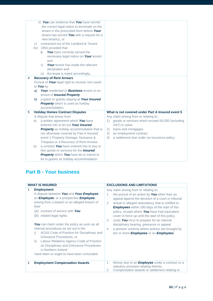|   | $\mathsf{C}$ | ii) You can evidence that You have served<br>the correct legal notice to terminate on the<br>tenant in the prescribed form before Your<br>tenant has served You with a request for a<br>new tenancy, or<br>contracted out of the Landlord & Tenant<br>Act 1954 provided that:<br>You have correctly served the<br>i)<br>necessary legal notice on Your tenant<br>and<br><b>Your</b> tenant has made the relevant<br>ii)<br>declaration and<br>the lease is noted accordingly.<br>iii) |                                                        |
|---|--------------|---------------------------------------------------------------------------------------------------------------------------------------------------------------------------------------------------------------------------------------------------------------------------------------------------------------------------------------------------------------------------------------------------------------------------------------------------------------------------------------|--------------------------------------------------------|
| 4 |              | <b>Recovery of Rent Arrears</b>                                                                                                                                                                                                                                                                                                                                                                                                                                                       |                                                        |
|   |              | Pursuit of Your legal right to recover rent owed                                                                                                                                                                                                                                                                                                                                                                                                                                      |                                                        |
|   |              | to You by                                                                                                                                                                                                                                                                                                                                                                                                                                                                             |                                                        |
|   | a)           | <b>Your</b> residential or <b>Business</b> tenant or ex-                                                                                                                                                                                                                                                                                                                                                                                                                              |                                                        |
|   |              | tenant of <i>Insured Property</i>                                                                                                                                                                                                                                                                                                                                                                                                                                                     |                                                        |
|   | b)           | a guest or guests staying at Your Insured                                                                                                                                                                                                                                                                                                                                                                                                                                             |                                                        |
|   |              | <b>Property</b> which is used as holiday                                                                                                                                                                                                                                                                                                                                                                                                                                              |                                                        |
|   |              | accommodation.                                                                                                                                                                                                                                                                                                                                                                                                                                                                        |                                                        |
| 5 |              | <b>Holiday Homes Contract Disputes</b>                                                                                                                                                                                                                                                                                                                                                                                                                                                | What is not covered under Part A Insured event 5       |
|   |              | A dispute that arises from                                                                                                                                                                                                                                                                                                                                                                                                                                                            | Any claim arising from or relating to:                 |
|   | a)           | a written agreement which You have                                                                                                                                                                                                                                                                                                                                                                                                                                                    | goods or services which exceed £6,000 (including<br>1) |
|   |              | entered into to let out Your Insured                                                                                                                                                                                                                                                                                                                                                                                                                                                  | VAT) in value                                          |
|   |              | <b>Property</b> as holiday accommodation that is                                                                                                                                                                                                                                                                                                                                                                                                                                      | loans and mortgages<br>(2)                             |
|   |              | not otherwise covered by Part A Insured                                                                                                                                                                                                                                                                                                                                                                                                                                               | 3)<br>an employment contract                           |
|   |              | event 1 Property Damage, Nuisance &                                                                                                                                                                                                                                                                                                                                                                                                                                                   | a settlement due under an insurance policy.<br>4)      |
|   |              | Trespass or 4 Recovery of Rent Arrears                                                                                                                                                                                                                                                                                                                                                                                                                                                |                                                        |
|   | b)           | a contract You have entered into to buy or                                                                                                                                                                                                                                                                                                                                                                                                                                            |                                                        |
|   |              | hire goods or services for the <b>Insured</b>                                                                                                                                                                                                                                                                                                                                                                                                                                         |                                                        |
|   |              | Property which You have let or intend to                                                                                                                                                                                                                                                                                                                                                                                                                                              |                                                        |
|   |              | let to guests as holiday accommodation.                                                                                                                                                                                                                                                                                                                                                                                                                                               |                                                        |

# **Part B - Your business**

| <b>WHAT IS INSURED</b>                                                                                                                                                                                                                                                                                                                                                                                                                                                                                                                                                                    | <b>EXCLUSIONS AND LIMITATIONS</b>                                                                                                                                                                                                                                                                                                                                                                                                                                                                                                                                                                                  |
|-------------------------------------------------------------------------------------------------------------------------------------------------------------------------------------------------------------------------------------------------------------------------------------------------------------------------------------------------------------------------------------------------------------------------------------------------------------------------------------------------------------------------------------------------------------------------------------------|--------------------------------------------------------------------------------------------------------------------------------------------------------------------------------------------------------------------------------------------------------------------------------------------------------------------------------------------------------------------------------------------------------------------------------------------------------------------------------------------------------------------------------------------------------------------------------------------------------------------|
| <b>Employment</b><br>1<br>A dispute between You and Your Employee,<br>ex-Employee, or a prospective Employee,<br>arising from a breach or an alleged breach of<br>their<br>contract of service with You<br>(a)<br>(b) related legal rights.<br>You can claim under the policy as soon as all<br>internal procedures as set out in the<br>ACAS Code of Practice for Disciplinary and<br>i)<br>Grievance Procedures, or<br>Labour Relations Agency Code of Practice<br>ii)<br>on Disciplinary and Grievance Procedures<br>in Northern Ireland<br>have been or ought to have been concluded. | Any claim arising from or relating to:<br>the pursuit of an action by You other than an<br>1<br>appeal against the decision of a court or tribunal<br>actual or alleged redundancy that is notified to<br>$\overline{2}$<br><b>Employees</b> within 180 days of the start of this<br>policy, except where You have had equivalent<br>cover in force up until the start of this policy<br>3<br>costs You incur to prepare for an internal<br>disciplinary hearing, grievance or appeal<br>a pension scheme where actions are brought by<br>$\overline{4}$<br>ten or more <i>Employees</i> or ex- <i>Employees</i> . |
| <b>Employment Compensation Awards</b><br>2                                                                                                                                                                                                                                                                                                                                                                                                                                                                                                                                                | Money due to an <b>Employee</b> under a contract or a<br>1<br>statutory provision relating thereto.<br>Compensation awards or settlement relating to<br>2                                                                                                                                                                                                                                                                                                                                                                                                                                                          |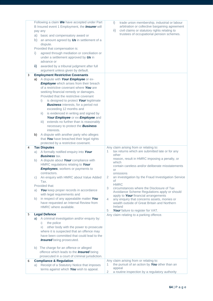| <b>Employee</b> which arises from their breach<br>of a restrictive covenant where You are<br>seeking financial remedy or damages.<br>Provided that the restrictive covenant<br>is designed to protect Your legitimate<br>i)<br><b>Business</b> interests, for a period not<br>exceeding 12 months and<br>is evidenced in writing and signed by<br>$\overline{ii}$ )<br>Your Employee or ex-Employee and<br>extends no further than is reasonably<br>iii)<br>necessary to protect the <b>Business</b><br>interests.<br>A dispute with another party who alleges<br>b)<br>that You have breached their legal rights<br>protected by a restrictive covenant.<br><b>Tax Disputes</b><br>4<br>A formally notified enquiry into Your<br>a)<br><b>Business tax.</b><br>A dispute about Your compliance with<br>b)<br>HMRC regulations relating to Your<br><b>Employees</b> , workers or payments to<br>contractors.<br>An enquiry with HMRC about Value Added<br>C)<br>Tax. | Any claim arising from or relating to:<br>tax returns which are submitted late or for any<br>1.<br>other<br>reason, result in HMRC imposing a penalty, or<br>which<br>contain careless and/or deliberate misstatements<br>or<br>omissions<br>an investigation by the Fraud Investigation Service<br>2<br>of    |
|----------------------------------------------------------------------------------------------------------------------------------------------------------------------------------------------------------------------------------------------------------------------------------------------------------------------------------------------------------------------------------------------------------------------------------------------------------------------------------------------------------------------------------------------------------------------------------------------------------------------------------------------------------------------------------------------------------------------------------------------------------------------------------------------------------------------------------------------------------------------------------------------------------------------------------------------------------------------|----------------------------------------------------------------------------------------------------------------------------------------------------------------------------------------------------------------------------------------------------------------------------------------------------------------|
| Provided that:<br>You keep proper records in accordance<br>a)<br>with legal requirements and<br>in respect of any appealable matter You<br>b)<br>have requested an Internal Review from<br>HMRC where available.                                                                                                                                                                                                                                                                                                                                                                                                                                                                                                                                                                                                                                                                                                                                                     | <b>HMRC</b><br>circumstances where the Disclosure of Tax<br>3<br>Avoidance Scheme Regulations apply or should<br>apply to Your financial arrangements<br>4<br>any enquiry that concerns assets, monies or<br>wealth outside of Great Britain and Northern<br>Ireland<br>Your failure to register for VAT.<br>5 |
| <b>Legal Defence</b><br>5<br>A criminal investigation and/or enquiry by:<br>a)<br>the police<br>i)<br>other body with the power to prosecute<br>$\mathbf{ii}$<br>where it is suspected that an offence may                                                                                                                                                                                                                                                                                                                                                                                                                                                                                                                                                                                                                                                                                                                                                           | Any claim relating to a parking offence.                                                                                                                                                                                                                                                                       |
| have been committed that could lead to the<br><b>Insured</b> being prosecuted.<br>b) The charge for an offence or alleged<br>offence which leads to the <b>Insured</b> being<br>prosecuted in a court of criminal jurisdiction.                                                                                                                                                                                                                                                                                                                                                                                                                                                                                                                                                                                                                                                                                                                                      |                                                                                                                                                                                                                                                                                                                |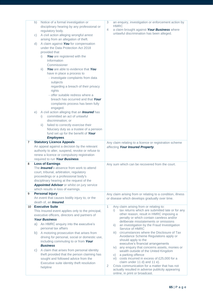|                | b) | Notice of a formal investigation or                   | 3<br>an enquiry, investigation or enforcement action by          |
|----------------|----|-------------------------------------------------------|------------------------------------------------------------------|
|                |    | disciplinary hearing by any professional or           | <b>HMRC</b>                                                      |
|                |    | regulatory body.                                      | a claim brought against Your Business where<br>4                 |
|                | C) | A civil action alleging wrongful arrest               | unlawful discrimination has been alleged.                        |
|                |    | arising from an allegation of theft.                  |                                                                  |
|                | d) | A claim against You for compensation                  |                                                                  |
|                |    | under the Data Protection Act 2018                    |                                                                  |
|                |    | provided that                                         |                                                                  |
|                |    | You are registered with the<br>i)                     |                                                                  |
|                |    | Information                                           |                                                                  |
|                |    |                                                       |                                                                  |
|                |    | Commissioner                                          |                                                                  |
|                |    | You are able to evidence that You<br>$\mathsf{ii}$ )  |                                                                  |
|                |    | have in place a process to                            |                                                                  |
|                |    | - investigate complaints from data                    |                                                                  |
|                |    | subjects                                              |                                                                  |
|                |    | regarding a breach of their privacy                   |                                                                  |
|                |    | rights                                                |                                                                  |
|                |    | - offer suitable redress where a                      |                                                                  |
|                |    | breach has occurred and that Your                     |                                                                  |
|                |    | complaints process has been fully                     |                                                                  |
|                |    | engaged.                                              |                                                                  |
|                | e) | A civil action alleging that an <b>Insured</b> has    |                                                                  |
|                |    | committed an act of unlawful                          |                                                                  |
|                |    | i)                                                    |                                                                  |
|                |    | discrimination; or                                    |                                                                  |
|                |    | failed to correctly exercise their<br>$\mathsf{ii}$ ) |                                                                  |
|                |    | fiduciary duty as a trustee of a pension              |                                                                  |
|                |    | fund set up for the benefit of Your                   |                                                                  |
|                |    | <b>Employees.</b>                                     |                                                                  |
| $\overline{7}$ |    | <b>Statutory Licence Appeals</b>                      | Any claim relating to a licence or registration scheme           |
|                |    | An appeal against a decision by the relevant          | affecting Your Insured Property.                                 |
|                |    | authority to alter, suspend, revoke or refuse to      |                                                                  |
|                |    | renew a licence or compulsory registration            |                                                                  |
|                |    | required to run Your Business.                        |                                                                  |
| 8              |    | <b>Loss of Earnings</b>                               | Any sum which can be recovered from the court.                   |
|                |    | The <b>Insured</b> 's absence from work to attend     |                                                                  |
|                |    | court, tribunal, arbitration, regulatory              |                                                                  |
|                |    | proceedings or a professional body's                  |                                                                  |
|                |    | disciplinary hearing at the request of the            |                                                                  |
|                |    | Appointed Advisor or whilst on jury service           |                                                                  |
|                |    | which results in loss of earnings.                    |                                                                  |
| 9              |    | <b>Personal Injury</b>                                | Any claim arising from or relating to a condition, illness       |
|                |    | An event that causes bodily injury to, or the         | or disease which develops gradually over time.                   |
|                |    | death of, an <i>Insured</i> .                         |                                                                  |
| 10             |    | <b>Executive Suite</b>                                | 1<br>Any claim arising from or relating to:                      |
|                |    | This Insured event applies only to the principal,     | tax returns which are submitted late or for any<br>i).           |
|                |    | executive officers, directors and partners of         | other reason, result in HMRC imposing a                          |
|                |    | <b>Your Business</b>                                  | penalty or which contain careless and/or                         |
|                |    | a) An HMRC enquiry into the executive's               | deliberate misstatements or omissions                            |
|                |    |                                                       | an investigation by the Fraud Investigation<br>ii)               |
|                |    | personal tax affairs                                  | Service of HMRC<br>circumstances where the Disclosure of Tax     |
|                | b) | A motoring prosecution that arises from               | iii)                                                             |
|                |    | driving for personal, social or domestic use,         | Avoidance Scheme Regulations apply or<br>should apply to the     |
|                |    | including commuting to or from Your                   | executive's financial arrangements                               |
|                |    | <b>Business</b>                                       | iv) any enquiry that concerns assets, monies or                  |
|                | C) | A claim that arises from personal identity            | wealth outside of the United Kingdom                             |
|                |    | theft provided that the person claiming has           | a parking offence<br>V)                                          |
|                |    | sought and followed advice from the                   | vi) costs incurred in excess of £25,000 for a                    |
|                |    | Executive suite identity theft resolution             | claim under 11 d) and 11 e).                                     |
|                |    | helpline                                              | Crisis communication for a matter that has not<br>$\overline{2}$ |
|                |    |                                                       | actually resulted in adverse publicity appearing                 |
|                |    |                                                       | online, in print or broadcast.                                   |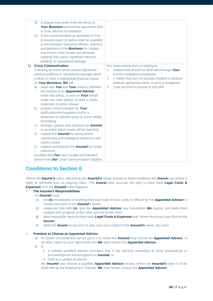|    | d)<br>e)                             | A dispute that arises from the terms of<br>Your Business partnership agreement that<br>is to be referred to mediation<br>Crisis communication as described in Part<br>B Insured event 11 below shall be available<br>to the principal, executive officers, directors<br>and partners of the <b>Business</b> for matters<br>occurring in their private and personal<br>capacity that cause significant adverse<br>publicity or reputational damage.                                                                                                                                                                                                                                                                                                                                                                                                                                                                                                      |                                                                                                                                                                                                                                                                                                         |
|----|--------------------------------------|---------------------------------------------------------------------------------------------------------------------------------------------------------------------------------------------------------------------------------------------------------------------------------------------------------------------------------------------------------------------------------------------------------------------------------------------------------------------------------------------------------------------------------------------------------------------------------------------------------------------------------------------------------------------------------------------------------------------------------------------------------------------------------------------------------------------------------------------------------------------------------------------------------------------------------------------------------|---------------------------------------------------------------------------------------------------------------------------------------------------------------------------------------------------------------------------------------------------------------------------------------------------------|
| 11 | a)<br>b)<br>$\mathsf{C}$<br>d)<br>e) | <b>Crisis Communication</b><br>Following an event which causes significant<br>adverse publicity or reputational damage which<br>is likely to have a widespread financial impact<br>on Your Business, We will<br>liaise with You and Your solicitor (whether<br>the solicitor is an <b>Appointed Advisor</b><br>under this policy, or acts on Your behalf<br>under any other policy), to draft a media<br>statement or press release<br>prepare communication for Your<br>staff/customers/suppliers and/or a<br>telephone or website script or social media<br>messaging<br>arrange, support and represent an <b>Insured</b><br>at an event which media will be reporting<br>support the <b>Insured</b> by taking phone<br>calls/emails and managing interaction with<br>media outlets<br>support and prepare the <b>Insured</b> for media<br>interviews<br>provided that You have sought and followed<br>advice from Our Crisis Communication helpline. | Any claim arising from or relating to:<br>matters that should be dealt with through Your<br>1<br>normal complaints procedures<br>a matter that has not actually resulted in adverse<br>$\overline{2}$<br>publicity appearing online, in print or broadcast<br>costs incurred in excess of £25,000.<br>3 |

# **Conditions to Section 6**

Where the *Insurer's* risk is affected by the *Insured's* failure to keep to these conditions the *Insurer* can refuse a claim or withdraw from an ongoing claim. The *Insurer* also reserves the right to claim back *Legal Costs & Expenses* from the *Insured* if this happens.

### 1. **The Insured's Responsibilities**

### An *Insured* must:

- a) tell *Us* immediately of anything that may make it more costly or difficult for the *Appointed Advisor* to resolve the claim in the *Insured*'s favour
- b) cooperate fully with *Us*, give the *Appointed Advisor* any instructions *We* require, and keep them updated with progress of the claim and not hinder them
- c) take reasonable steps to claim back *Legal Costs & Expenses* and, where recovered, pay them to the *Insurer*
- d) allow the *Insurer* at any time to take over and conduct in the *Insured's* name, any claim.

### 2. **Freedom to Choose an Appointed Advisor**

- a) In certain circumstances as set out in 2 b) below the *Insured* may choose an *Appointed Advisor*. In all other cases no such right exists and *We* shall choose the *Appointed Advisor*.
- b) If:
	- i) a suitably qualified advisor considers that it has become necessary to issue proceedings or proceedings are issued against an *Insured*, or
	- ii) there is a conflict of interest

the *Insured* may choose a qualified *Appointed Advisor* except, where the *Insured's* claim is to be dealt with by the Employment Tribunal, *We* shall always choose the *Appointed Advisor*.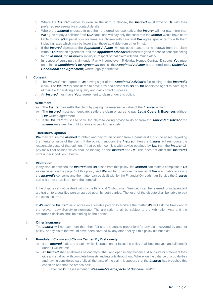- c) Where the *Insured* wishes to exercise the right to choose, the *Insured* must write to *Us* with their preferred representative's contact details.
- d) Where the *Insured* chooses to use their preferred representative, the *Insurer* will not pay more than *We* agree to pay a solicitor from *Our* panel and will pay only the costs that the *Insurer* would have been liable to pay. (*Our* panel solicitor firms are chosen with care and *We* agree special terms with them including rates which may be lower than those available from other firms).
- e) If the *Insured* dismisses the *Appointed Advisor* without good reason, or withdraws from the claim without *Our* written agreement, or if the *Appointed Advisor* refuses with good reason to continue acting for an *Insured*, the *Insurer's* liability in respect of that claim will end immediately.
- f) In respect of pursuing a claim under Part A Insured event 5 Holiday Homes Contract Disputes *You* must enter into a *Conditional Fee Agreement* (unless the *Appointed Advisor* has entered into a *Collective*  **Conditional Fee Agreement**) where legally permitted.

### 3. **Consent**

- a) The *Insured* must agree to *Us* having sight of the *Appointed Advisor*'s file relating to the *Insured's* claim. The *Insured* is considered to have provided consent to *Us* or *Our* appointed agent to have sight of their file for auditing and quality and cost control purposes.
- b) An *Insured* must have *Your* agreement to claim under this policy.

#### 4. **Settlement**

- a) The *Insurer* can settle the claim by paying the reasonable value of the *Insured's* claim.
- b) The *Insured* must not negotiate, settle the claim or agree to pay *Legal Costs & Expenses* without *Our* written agreement.
- c) If the *Insured* refuses to settle the claim following advice to do so from the *Appointed Advisor* the **Insurer** reserves the right to refuse to pay further costs.

### 5. **Barrister's Opinion**

*We* may require the *Insured* to obtain and pay for an opinion from a barrister if a dispute arises regarding the merits or value of the claim. If the opinion supports the *Insured*, then the *Insurer* will reimburse the reasonable costs of that opinion. If that opinion conflicts with advice obtained by *Us*, then the *Insurer* will pay for a final opinion which shall be binding on the *Insured* and *Us*. This does not affect the *Insured's*  right under Condition 6 below.

### 6. **Arbitration**

If any dispute between the *Insured* and *Us* arises from this policy, the *Insured* can make a complaint to *Us* as described on the page 4 of this policy and *We* will try to resolve the matter. If *We* are unable to satisfy the *Insured's* concerns and the matter can be dealt with by the Financial Ombudsman Service the *Insured* can ask them to arbitrate over the complaint.

If the dispute cannot be dealt with by the Financial Ombudsman Service, it can be referred for independent arbitration to a qualified person agreed upon by both parties. The loser of the dispute shall be liable to pay the costs incurred.

If *We* and the *Insured* fail to agree on a suitable person to arbitrate the matter *We* will ask the President of the relevant Law Society to nominate. The arbitration shall be subject to the Arbitration Acts and the arbitrator's decision shall be binding on the parties.

### 7. **Other Insurance**

The *Insurer* will not pay more than their fair share (rateable proportion) for any claim covered by another policy, or any claim that would have been covered by any other policy if this policy did not exist.

#### 8. **Fraudulent Claims and Claims Tainted By Dishonesty**

- a) If the *Insured* makes any claim which is fraudulent or false, the policy shall become void and all benefit under it will be lost.
- b) An *Insured* shall at all times be entirely truthful and open in any evidence, disclosure or statement they give and shall act with complete honesty and integrity throughout. Where, on the balance of probabilities and having considered carefully all the facts of the claim, it appears that the *Insured* has breached this condition and that the breach has:
	- i) affected *Our* assessment of *Reasonable Prospects of Success*, and/or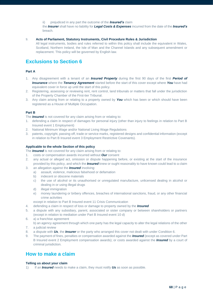ii) prejudiced in any part the outcome of the *Insured's* claim

the *Insurer* shall have no liability for *Legal Costs & Expenses* incurred from the date of the *Insured's* breach.

### 9. **Acts of Parliament, Statutory Instruments, Civil Procedure Rules & Jurisdiction**

All legal instruments, bodies and rules referred to within this policy shall include the equivalent in Wales, Scotland, Northern Ireland, the Isle of Man and the Channel Islands and any subsequent amendment or replacement. This policy will be governed by English law.

# **Exclusions to Section 6**

### **Part A**

- 1. Any disagreement with a tenant of an *Insured Property* during the first 90 days of the first *Period of Insurance* where the *Tenancy Agreement* started before the start of this cover except where *You* have had equivalent cover in force up until the start of this policy.
- 2. Registering, assessing or reviewing rent, rent control, land tribunals or matters that fall under the jurisdiction of the Property Chamber of the First-tier Tribunal.
- 3. Any claim arising from or relating to a property owned by *You* which has been or which should have been registered as a House of Multiple Occupation.

### **Part B**

The *Insured* is not covered for any claim arising from or relating to:

- 1. defending a claim in respect of damages for personal injury (other than injury to feelings in relation to Part B Insured event 1 Employment)
- 2. National Minimum Wage and/or National Living Wage Regulations
- 3. patents, copyright, passing-off, trade or service marks, registered designs and confidential information (except in relation to Part B Insured event 3 Employment Restrictive Covenants).

### **Applicable to the whole Section of this policy**

The *Insured* is not covered for any claim arising from or relating to:

- 1. costs or compensation awards incurred without *Our* consent
- 2. any actual or alleged act, omission or dispute happening before, or existing at the start of the insurance provided by this policy, and which the *Insured* knew or ought reasonably to have known could lead to a claim
- 3. an allegation against the *Insured* involving:
	- a) assault, violence, malicious falsehood or defamation
	- b) indecent or obscene materials
	- c) the use of alcohol or its unauthorised or unregulated manufacture, unlicensed dealing in alcohol or dealing in or using illegal drugs
	- d) illegal immigration
	- e) money laundering or bribery offences, breaches of international sanctions, fraud, or any other financial crime activities
	- except in relation to Part B Insured event 11 Crisis Communication
- 4. defending a claim in respect of loss or damage to property owned by the *Insured*
- 5. a dispute with any subsidiary, parent, associated or sister company or between shareholders or partners (except in relation to mediation under Part B Insured event 10 d)
- 6. a) a franchise agreement
- b) an agency agreement through which one party has the legal capacity to alter the legal relations of the other 7. a judicial review
- 
- 8. a dispute with *Us*, the *Insurer* or the party who arranged this cover not dealt with under Condition 6.
- 9. The payment of fines, penalties or compensation awarded against the *Insured* (except as covered under Part B Insured event 2 Employment compensation awards); or costs awarded against the *Insured* by a court of criminal jurisdiction.

### **How to make a claim**

### **Telling us about your claim**

1) If an *Insured* needs to make a claim, they must notify *Us* as soon as possible.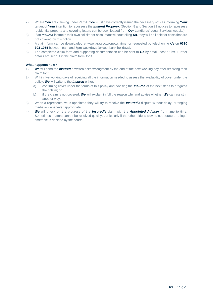- 2) Where *You* are claiming under Part A, *You* must have correctly issued the necessary notices informing *Your* tenant of *Your* intention to repossess the *Insured Property*. (Section 8 and Section 21 notices to repossess residential property and covering letters can be downloaded from *Our* Landlords' Legal Services website).
- 3) If an *Insured* instructs their own solicitor or accountant without telling *Us*, they will be liable for costs that are not covered by this policy.
- 4) A claim form can be downloaded at [www.arag.co.uk/newclaims](http://www.arag.co.uk/newclaims) or requested by telephoning *Us* on **0330 303 1955** between 9am and 5pm weekdays (except bank holidays).
- 5) The completed claim form and supporting documentation can be sent to *Us* by email, post or fax. Further details are set out in the claim form itself.

### **What happens next?**

- 1) *We* will send the *Insured* a written acknowledgment by the end of the next working day after receiving their claim form.
- 2) Within five working days of receiving all the information needed to assess the availability of cover under the policy, *We* will write to the *Insured* either:
	- a) confirming cover under the terms of this policy and advising the *Insured* of the next steps to progress their claim; or
	- b) if the claim is not covered, *We* will explain in full the reason why and advise whether *We* can assist in another way.
- 3) When a representative is appointed they will try to resolve the *Insured's* dispute without delay, arranging mediation whenever appropriate.
- 4) *We* will check on the progress of the *Insured's* claim with the *Appointed Advisor* from time to time. Sometimes matters cannot be resolved quickly, particularly if the other side is slow to cooperate or a legal timetable is decided by the courts.